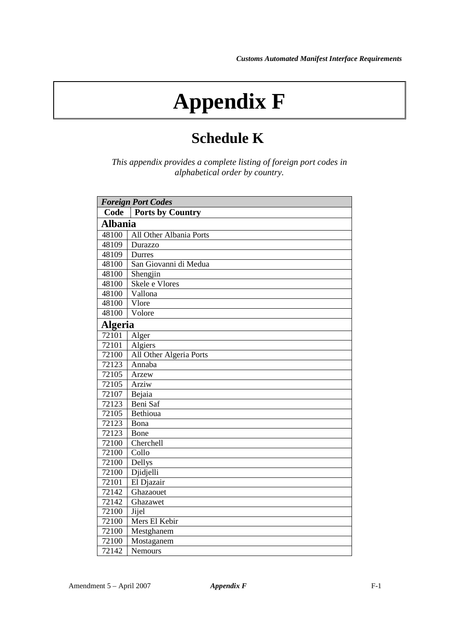## **Appendix F**

## **Schedule K**

*This appendix provides a complete listing of foreign port codes in alphabetical order by country.*

| <b>Foreign Port Codes</b> |                         |
|---------------------------|-------------------------|
| Code                      | <b>Ports by Country</b> |
| <b>Albania</b>            |                         |
| 48100                     | All Other Albania Ports |
| 48109                     | Durazzo                 |
| 48109                     | Durres                  |
| 48100                     | San Giovanni di Medua   |
| 48100                     | Shengjin                |
| 48100                     | Skele e Vlores          |
| 48100                     | Vallona                 |
| 48100                     | Vlore                   |
| 48100                     | Volore                  |
| <b>Algeria</b>            |                         |
| 72101                     | Alger                   |
| 72101                     | Algiers                 |
| 72100                     | All Other Algeria Ports |
| 72123                     | Annaba                  |
| 72105                     | Arzew                   |
| 72105                     | Arziw                   |
| 72107                     | Bejaia                  |
| 72123                     | Beni Saf                |
| 72105                     | Bethioua                |
| 72123                     | Bona                    |
| 72123                     | Bone                    |
| 72100                     | Cherchell               |
| 72100                     | Collo                   |
| 72100                     | Dellys                  |
| 72100                     | Djidjelli               |
| 72101                     | El Djazair              |
| 72142                     | Ghazaouet               |
| 72142                     | Ghazawet                |
| 72100                     | Jijel                   |
| 72100                     | Mers El Kebir           |
| 72100                     | Mestghanem              |
| 72100                     | Mostaganem              |
| 72142                     | Nemours                 |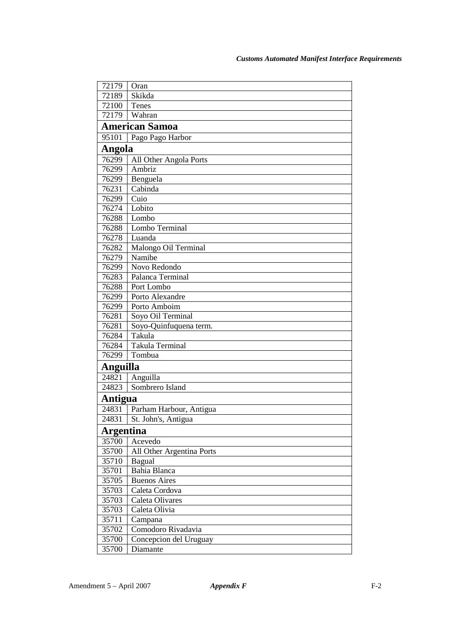| 72179            | Oran                      |  |
|------------------|---------------------------|--|
| 72189            | Skikda                    |  |
| 72100            | Tenes                     |  |
| 72179            | Wahran                    |  |
|                  | <b>American Samoa</b>     |  |
| 95101            | Pago Pago Harbor          |  |
| Angola           |                           |  |
| 76299            | All Other Angola Ports    |  |
| 76299            | Ambriz                    |  |
| 76299            | Benguela                  |  |
| 76231            | Cabinda                   |  |
| 76299            | Cuio                      |  |
| 76274            | Lobito                    |  |
| 76288            | Lombo                     |  |
| 76288            | Lombo Terminal            |  |
| 76278            | Luanda                    |  |
| 76282            | Malongo Oil Terminal      |  |
| 76279            | Namibe                    |  |
| 76299            | Novo Redondo              |  |
| 76283            | Palanca Terminal          |  |
| 76288            | Port Lombo                |  |
| 76299            | Porto Alexandre           |  |
| 76299            | Porto Amboim              |  |
| 76281            | Soyo Oil Terminal         |  |
| 76281            | Soyo-Quinfuquena term.    |  |
| 76284            | Takula                    |  |
| 76284            | Takula Terminal           |  |
| 76299            | Tombua                    |  |
|                  | <b>Anguilla</b>           |  |
| 24821            | Anguilla                  |  |
| 24823            | Sombrero Island           |  |
| Antigua          |                           |  |
| 24831            | Parham Harbour, Antigua   |  |
| 24831            | St. John's, Antigua       |  |
| <b>Argentina</b> |                           |  |
| 35700            | Acevedo                   |  |
| 35700            | All Other Argentina Ports |  |
| 35710            | Bagual                    |  |
| 35701            | Bahia Blanca              |  |
| 35705            | <b>Buenos Aires</b>       |  |
| 35703            | Caleta Cordova            |  |
| 35703            | Caleta Olivares           |  |
| 35703            | Caleta Olivia             |  |
| 35711            | Campana                   |  |
| 35702            | Comodoro Rivadavia        |  |
| 35700            | Concepcion del Uruguay    |  |
| 35700            | Diamante                  |  |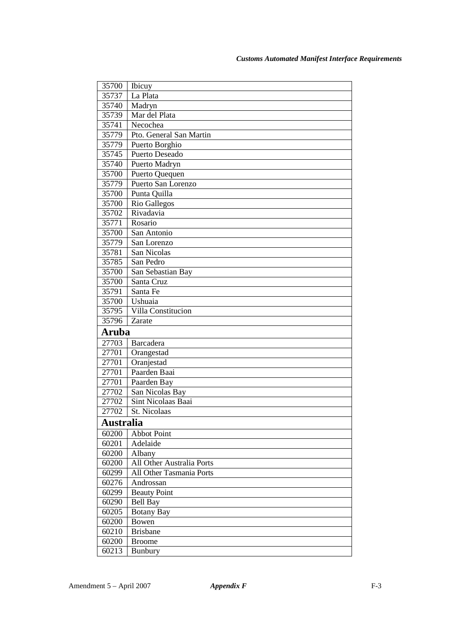| 35700            | Ibicuy                           |
|------------------|----------------------------------|
| 35737            | La Plata                         |
| 35740            | Madryn                           |
| 35739            | Mar del Plata                    |
| 35741            | Necochea                         |
| 35779            | Pto. General San Martin          |
| 35779            | Puerto Borghio                   |
| 35745            | Puerto Deseado                   |
| 35740            | Puerto Madryn                    |
| 35700            | Puerto Quequen                   |
| 35779            | Puerto San Lorenzo               |
| 35700            | Punta Quilla                     |
| 35700            | Rio Gallegos                     |
| 35702            | Rivadavia                        |
| 35771            | Rosario                          |
| 35700            | San Antonio                      |
| 35779            | San Lorenzo                      |
| 35781            | San Nicolas                      |
| 35785            | San Pedro                        |
| 35700            | San Sebastian Bay                |
| 35700            | Santa Cruz                       |
| 35791            | Santa Fe                         |
| 35700            | Ushuaia                          |
| 35795            | Villa Constitucion               |
| 35796            | Zarate                           |
| <b>Aruba</b>     |                                  |
| 27703            | Barcadera                        |
| 27701            | Orangestad                       |
| 27701            | Oranjestad                       |
| 27701            | Paarden Baai                     |
| 27701            | Paarden Bay                      |
| 27702            | San Nicolas Bay                  |
| 27702            | Sint Nicolaas Baai               |
| 27702            | St. Nicolaas                     |
| <b>Australia</b> |                                  |
| 60200            | <b>Abbot Point</b>               |
| 60201            | Adelaide                         |
| 60200            | Albany                           |
| 60200            | <b>All Other Australia Ports</b> |
| 60299            | All Other Tasmania Ports         |
| 60276            | Androssan                        |
| 60299            | <b>Beauty Point</b>              |
| 60290            | <b>Bell Bay</b>                  |
| 60205            | <b>Botany Bay</b>                |
| 60200            | Bowen                            |
| 60210            | <b>Brisbane</b>                  |
| 60200            | <b>Broome</b>                    |
| 60213            | Bunbury                          |
|                  |                                  |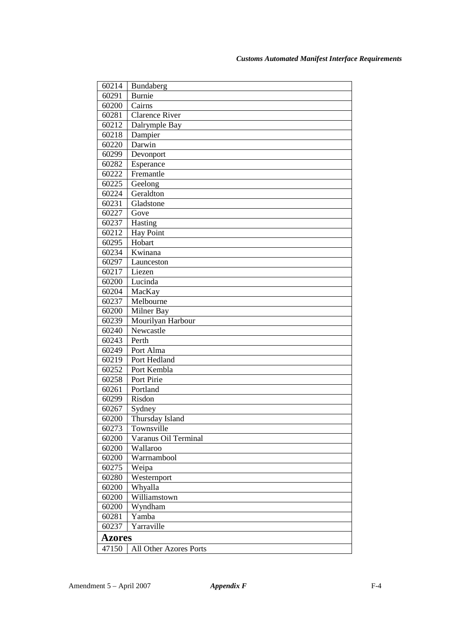| 60214                           | Bundaberg             |
|---------------------------------|-----------------------|
| 60291                           | <b>Burnie</b>         |
| 60200                           | Cairns                |
| 60281                           | <b>Clarence River</b> |
| 60212                           | Dalrymple Bay         |
| 60218                           | Dampier               |
| 60220                           | Darwin                |
| 60299                           | Devonport             |
| 60282                           | Esperance             |
| 60222                           | Fremantle             |
| 60225                           | Geelong               |
| 60224                           | Geraldton             |
| 60231                           | Gladstone             |
| 60227                           | Gove                  |
| 60237                           | Hasting               |
| 60212                           | <b>Hay Point</b>      |
| 60295                           | Hobart                |
| 60234                           | Kwinana               |
| 60297                           | Launceston            |
| 60217                           | Liezen                |
| 60200                           | Lucinda               |
| 60204                           | MacKay                |
| 60237                           | Melbourne             |
| 60200                           | Milner Bay            |
| 60239                           | Mourilyan Harbour     |
| 60240                           | Newcastle             |
| 60243                           | Perth                 |
| 60249                           | Port Alma             |
| 60219                           | Port Hedland          |
| 60252                           | Port Kembla           |
| 60258                           | Port Pirie            |
| 60261                           | Portland              |
| 60299                           | Risdon                |
| 60267                           | Sydney                |
| 60200                           | Thursday Island       |
| 60273                           | Townsville            |
| 60200                           | Varanus Oil Terminal  |
| 60200                           | Wallaroo              |
| 60200                           | Warrnambool           |
| 60275                           | Weipa                 |
| 60280                           | Westernport           |
| 60200                           | Whyalla               |
| 60200                           | Williamstown          |
| 60200                           | Wyndham               |
| 60281                           | Yamba                 |
| 60237                           | Yarraville            |
| <b>Azores</b>                   |                       |
| 47150<br>All Other Azores Ports |                       |
|                                 |                       |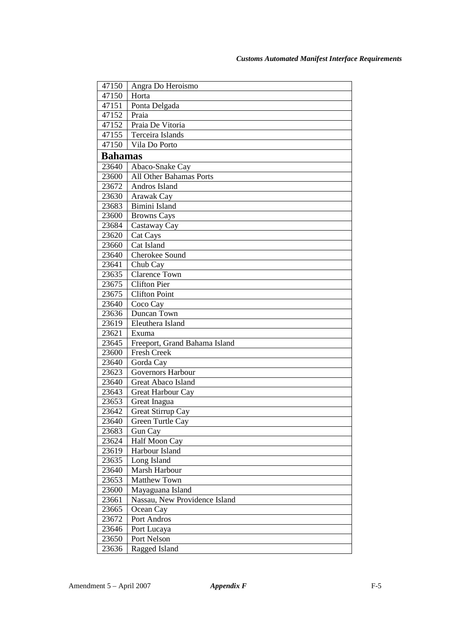| 47150          | Angra Do Heroismo<br>Horta    |
|----------------|-------------------------------|
| 47150<br>47151 |                               |
|                | Ponta Delgada                 |
| 47152          | Praia                         |
| 47152          | Praia De Vitoria              |
| 47155          | Terceira Islands              |
| 47150          | Vila Do Porto                 |
| <b>Bahamas</b> |                               |
| 23640          | Abaco-Snake Cay               |
| 23600          | All Other Bahamas Ports       |
| 23672          | Andros Island                 |
| 23630          | Arawak Cay                    |
| 23683          | Bimini Island                 |
| 23600          | <b>Browns Cays</b>            |
| 23684          | Castaway Cay                  |
| 23620          | Cat Cays                      |
| 23660          | Cat Island                    |
| 23640          | Cherokee Sound                |
| 23641          | Chub Cay                      |
| 23635          | <b>Clarence Town</b>          |
| 23675          | <b>Clifton Pier</b>           |
| 23675          | <b>Clifton Point</b>          |
| 23640          | Coco Cay                      |
| 23636          | Duncan Town                   |
| 23619          | Eleuthera Island              |
| 23621          | Exuma                         |
| 23645          | Freeport, Grand Bahama Island |
| 23600          | Fresh Creek                   |
| 23640          | Gorda Cay                     |
| 23623          | <b>Governors Harbour</b>      |
| 23640          | Great Abaco Island            |
| 23643          | Great Harbour Cay             |
| 23653          | Great Inagua                  |
| 23642          | Great Stirrup Cay             |
| 23640          | Green Turtle Cav              |
| 23683          | Gun Cay                       |
| 23624          | Half Moon Cay                 |
| 23619          | Harbour Island                |
| 23635          | Long Island                   |
| 23640          | Marsh Harbour                 |
| 23653          | <b>Matthew Town</b>           |
| 23600          | Mayaguana Island              |
| 23661          | Nassau, New Providence Island |
| 23665          | Ocean Cay                     |
| 23672          | Port Andros                   |
| 23646          | Port Lucaya                   |
| 23650          | Port Nelson                   |
| 23636          | Ragged Island                 |
|                |                               |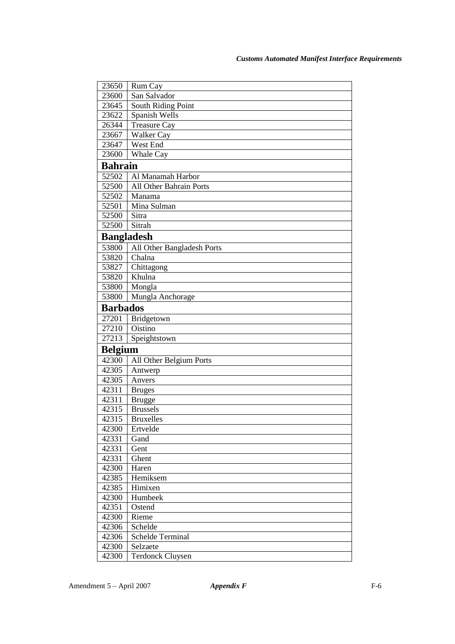| 23650             | Rum Cay                      |
|-------------------|------------------------------|
| 23600             | San Salvador                 |
| 23645             | South Riding Point           |
| 23622             | Spanish Wells                |
| 26344             | Treasure Cay                 |
| 23667             | Walker Cay                   |
| 23647             | West End                     |
| 23600             | Whale Cay                    |
| <b>Bahrain</b>    |                              |
| 52502             | Al Manamah Harbor            |
| 52500             | All Other Bahrain Ports      |
| 52502             | Manama                       |
| 52501             | Mina Sulman                  |
| 52500             | Sitra                        |
| 52500             | Sitrah                       |
| <b>Bangladesh</b> |                              |
| 53800             | All Other Bangladesh Ports   |
| 53820             | Chalna                       |
| 53827             | Chittagong                   |
| 53820             | Khulna                       |
| 53800             | Mongla                       |
| 53800             | Mungla Anchorage             |
| <b>Barbados</b>   |                              |
| 27201             | Bridgetown                   |
| 27210             | Oistino                      |
| 27213             | Speightstown                 |
| <b>Belgium</b>    |                              |
| 42300             | All Other Belgium Ports      |
| 42305             | Antwerp                      |
| 42305             | Anvers                       |
| 42311             | <b>Bruges</b>                |
| 42311             | <b>Brugge</b>                |
| 42315             | <b>Brussels</b>              |
| 42315             | <b>Bruxelles</b>             |
| 42300             | Ertvelde                     |
| 42331             | Gand                         |
| 42331             | Gent                         |
| 42331             | Ghent                        |
| 42300             | Haren                        |
| 42385             | Hemiksem                     |
| 42385             | Himixen                      |
| 42300             | Humbeek                      |
| 42351             | Ostend                       |
| 42300             | Rieme                        |
| 42306             | Schelde                      |
| 42306<br>42300    | Schelde Terminal<br>Selzaete |
| 42300             | <b>Terdonck Cluysen</b>      |
|                   |                              |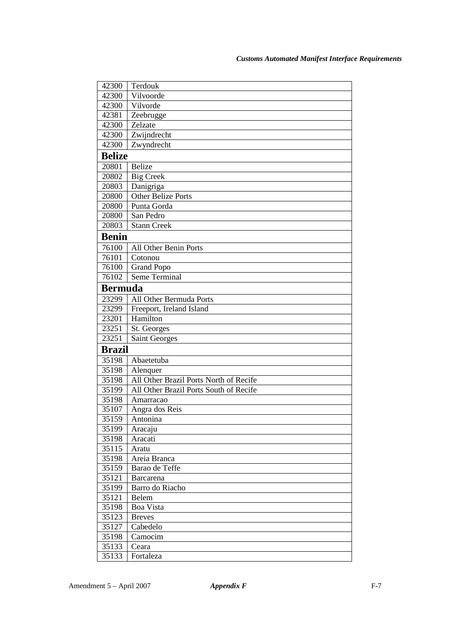| 42300          | Terdouk                                |
|----------------|----------------------------------------|
| 42300          | Vilvoorde                              |
| 42300          | Vilvorde                               |
| 42381          | Zeebrugge                              |
| 42300          | Zelzate                                |
| 42300          | Zwijndrecht                            |
| 42300          | Zwyndrecht                             |
| <b>Belize</b>  |                                        |
| 20801          | <b>Belize</b>                          |
| 20802          | <b>Big Creek</b>                       |
| 20803          | Danigriga                              |
| 20800          | <b>Other Belize Ports</b>              |
| 20800          | Punta Gorda                            |
| 20800          | San Pedro                              |
| 20803          | <b>Stann Creek</b>                     |
| <b>Benin</b>   |                                        |
| 76100          | All Other Benin Ports                  |
| 76101          | Cotonou                                |
| 76100          | <b>Grand Popo</b>                      |
| 76102          | Seme Terminal                          |
| <b>Bermuda</b> |                                        |
| 23299          | All Other Bermuda Ports                |
| 23299          | Freeport, Ireland Island               |
| 23201          | Hamilton                               |
| 23251          | St. Georges                            |
| 23251          | Saint Georges                          |
| <b>Brazil</b>  |                                        |
| 35198          | Abaetetuba                             |
| 35198          | Alenquer                               |
| 35198          | All Other Brazil Ports North of Recife |
| 35199          | All Other Brazil Ports South of Recife |
| 35198          | Amarracao                              |
| 35107          | Angra dos Reis                         |
| 35159          | Antonina                               |
| 35199          | Aracaju                                |
| 35198          | Aracati                                |
| 35115          | Aratu                                  |
| 35198          | Areia Branca                           |
| 35159          | Barao de Teffe                         |
| 35121          | <b>Barcarena</b>                       |
| 35199          | Barro do Riacho                        |
| 35121          | Belem                                  |
| 35198          | <b>Boa Vista</b>                       |
| 35123          | <b>Breves</b>                          |
| 35127          | Cabedelo                               |
| 35198          | Camocim                                |
| 35133          | Ceara                                  |
| 35133          | Fortaleza                              |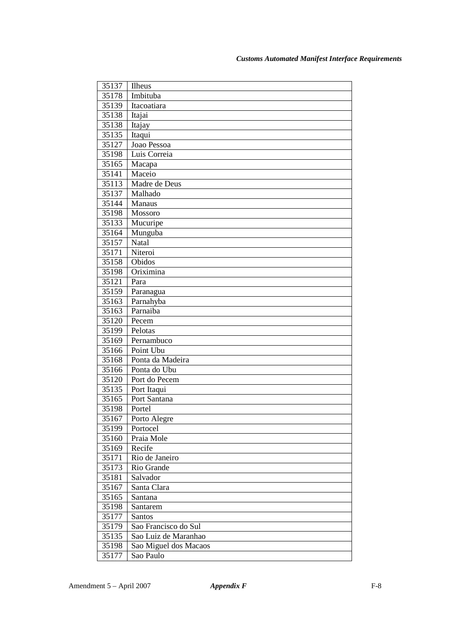| 35137 | Ilheus                |
|-------|-----------------------|
| 35178 | Imbituba              |
| 35139 | Itacoatiara           |
| 35138 | Itajai                |
| 35138 | Itajay                |
| 35135 | Itaqui                |
| 35127 | Joao Pessoa           |
| 35198 | Luis Correia          |
| 35165 | Macapa                |
| 35141 | Maceio                |
| 35113 | Madre de Deus         |
| 35137 | Malhado               |
| 35144 | Manaus                |
| 35198 | Mossoro               |
| 35133 | Mucuripe              |
| 35164 | Munguba               |
| 35157 | Natal                 |
| 35171 | Niteroi               |
| 35158 | Obidos                |
| 35198 | Oriximina             |
| 35121 | Para                  |
| 35159 | Paranagua             |
| 35163 | Parnahyba             |
| 35163 | Parnaiba              |
| 35120 | Pecem                 |
| 35199 | Pelotas               |
| 35169 | Pernambuco            |
| 35166 | Point Ubu             |
| 35168 | Ponta da Madeira      |
| 35166 | Ponta do Ubu          |
| 35120 | Port do Pecem         |
| 35135 | Port Itaqui           |
| 35165 | Port Santana          |
| 35198 | Portel                |
| 35167 | Porto Alegre          |
| 35199 | Portocel              |
| 35160 | Praia Mole            |
| 35169 | Recife                |
| 35171 | Rio de Janeiro        |
| 35173 | Rio Grande            |
| 35181 | Salvador              |
| 35167 | Santa Clara           |
| 35165 | Santana               |
| 35198 | Santarem              |
| 35177 | Santos                |
| 35179 | Sao Francisco do Sul  |
| 35135 | Sao Luiz de Maranhao  |
| 35198 | Sao Miguel dos Macaos |
| 35177 | Sao Paulo             |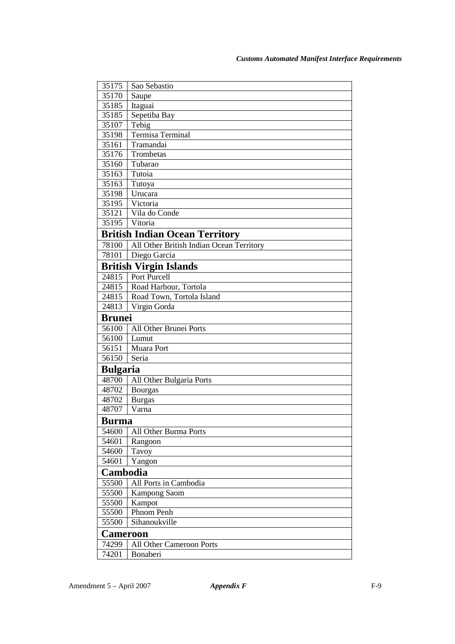| 35175           | Sao Sebastio                             |  |
|-----------------|------------------------------------------|--|
| 35170           | Saupe                                    |  |
| 35185           | Itaguai                                  |  |
| 35185           | Sepetiba Bay                             |  |
| 35107           | Tebig                                    |  |
| 35198           | Termisa Terminal                         |  |
| 35161           | Tramandai                                |  |
| 35176           | Trombetas                                |  |
| 35160           | Tubarao                                  |  |
| 35163           | Tutoia                                   |  |
| 35163           | Tutoya                                   |  |
| 35198           | Urucara                                  |  |
| 35195           | Victoria                                 |  |
| 35121           | Vila do Conde                            |  |
| 35195           | Vitoria                                  |  |
|                 | <b>British Indian Ocean Territory</b>    |  |
| 78100           | All Other British Indian Ocean Territory |  |
| 78101           | Diego Garcia                             |  |
|                 | <b>British Virgin Islands</b>            |  |
| 24815           | Port Purcell                             |  |
| 24815           | Road Harbour, Tortola                    |  |
| 24815           | Road Town, Tortola Island                |  |
| 24813           | Virgin Gorda                             |  |
| <b>Brunei</b>   |                                          |  |
| 56100           | All Other Brunei Ports                   |  |
| 56100           | Lumut                                    |  |
| 56151           | Muara Port                               |  |
| 56150           | Seria                                    |  |
| <b>Bulgaria</b> |                                          |  |
| 48700           | All Other Bulgaria Ports                 |  |
| 48702           | <b>Bourgas</b>                           |  |
| 48702           | <b>Burgas</b>                            |  |
| 48707           | Varna                                    |  |
| Burma           |                                          |  |
| 54600           | All Other Burma Ports                    |  |
| 54601           | Rangoon                                  |  |
| 54600           | Tavoy                                    |  |
| 54601           | Yangon                                   |  |
| Cambodia        |                                          |  |
| 55500           | All Ports in Cambodia                    |  |
| 55500           | Kampong Saom                             |  |
| 55500           | Kampot                                   |  |
| 55500           | Phnom Penh                               |  |
| 55500           | Sihanoukville                            |  |
| <b>Cameroon</b> |                                          |  |
| 74299           | All Other Cameroon Ports                 |  |
| 74201           | Bonaberi                                 |  |
|                 |                                          |  |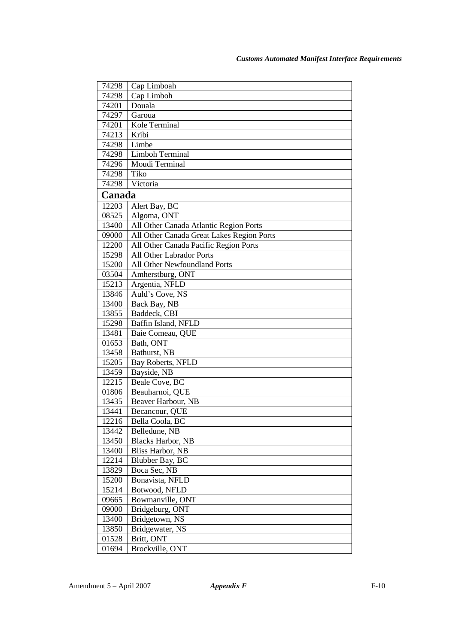| Cap Limboah<br>74298<br>Cap Limboh<br>74298<br>Douala<br>74201<br>74297<br>Garoua<br>Kole Terminal<br>74201<br>Kribi<br>74213<br>Limbe<br>74298<br>Limboh Terminal<br>74298<br>Moudi Terminal<br>74296<br>Tiko<br>74298<br>74298<br>Victoria<br>Canada<br>12203<br>Alert Bay, BC<br>08525<br>Algoma, ONT<br>All Other Canada Atlantic Region Ports<br>13400<br>All Other Canada Great Lakes Region Ports<br>09000<br>All Other Canada Pacific Region Ports<br>12200<br>All Other Labrador Ports<br>15298<br>All Other Newfoundland Ports<br>15200<br>03504<br>Amherstburg, ONT<br>Argentia, NFLD<br>15213<br>Auld's Cove, NS<br>13846<br>Back Bay, NB<br>13400<br>Baddeck, CBI<br>13855<br>Baffin Island, NFLD<br>15298<br>13481<br>Baie Comeau, QUE<br>01653<br>Bath, ONT<br>Bathurst, NB<br>13458<br>Bay Roberts, NFLD<br>15205<br>Bayside, NB<br>13459<br>12215<br>Beale Cove, BC<br>Beauharnoi, QUE<br>01806<br>Beaver Harbour, NB<br>13435<br>13441<br>Becancour, QUE<br>12216<br>1 Bella Coola. BC<br>13442<br>Belledune, NB<br><b>Blacks Harbor</b> , NB<br>13450<br><b>Bliss Harbor</b> , NB<br>13400<br>12214<br>Blubber Bay, BC<br>13829<br>Boca Sec, NB<br>15200<br>Bonavista, NFLD<br>15214<br>Botwood, NFLD<br>09665<br>Bowmanville, ONT |       |                 |
|-------------------------------------------------------------------------------------------------------------------------------------------------------------------------------------------------------------------------------------------------------------------------------------------------------------------------------------------------------------------------------------------------------------------------------------------------------------------------------------------------------------------------------------------------------------------------------------------------------------------------------------------------------------------------------------------------------------------------------------------------------------------------------------------------------------------------------------------------------------------------------------------------------------------------------------------------------------------------------------------------------------------------------------------------------------------------------------------------------------------------------------------------------------------------------------------------------------------------------------------------------|-------|-----------------|
|                                                                                                                                                                                                                                                                                                                                                                                                                                                                                                                                                                                                                                                                                                                                                                                                                                                                                                                                                                                                                                                                                                                                                                                                                                                       |       |                 |
|                                                                                                                                                                                                                                                                                                                                                                                                                                                                                                                                                                                                                                                                                                                                                                                                                                                                                                                                                                                                                                                                                                                                                                                                                                                       |       |                 |
|                                                                                                                                                                                                                                                                                                                                                                                                                                                                                                                                                                                                                                                                                                                                                                                                                                                                                                                                                                                                                                                                                                                                                                                                                                                       |       |                 |
|                                                                                                                                                                                                                                                                                                                                                                                                                                                                                                                                                                                                                                                                                                                                                                                                                                                                                                                                                                                                                                                                                                                                                                                                                                                       |       |                 |
|                                                                                                                                                                                                                                                                                                                                                                                                                                                                                                                                                                                                                                                                                                                                                                                                                                                                                                                                                                                                                                                                                                                                                                                                                                                       |       |                 |
|                                                                                                                                                                                                                                                                                                                                                                                                                                                                                                                                                                                                                                                                                                                                                                                                                                                                                                                                                                                                                                                                                                                                                                                                                                                       |       |                 |
|                                                                                                                                                                                                                                                                                                                                                                                                                                                                                                                                                                                                                                                                                                                                                                                                                                                                                                                                                                                                                                                                                                                                                                                                                                                       |       |                 |
|                                                                                                                                                                                                                                                                                                                                                                                                                                                                                                                                                                                                                                                                                                                                                                                                                                                                                                                                                                                                                                                                                                                                                                                                                                                       |       |                 |
|                                                                                                                                                                                                                                                                                                                                                                                                                                                                                                                                                                                                                                                                                                                                                                                                                                                                                                                                                                                                                                                                                                                                                                                                                                                       |       |                 |
|                                                                                                                                                                                                                                                                                                                                                                                                                                                                                                                                                                                                                                                                                                                                                                                                                                                                                                                                                                                                                                                                                                                                                                                                                                                       |       |                 |
|                                                                                                                                                                                                                                                                                                                                                                                                                                                                                                                                                                                                                                                                                                                                                                                                                                                                                                                                                                                                                                                                                                                                                                                                                                                       |       |                 |
|                                                                                                                                                                                                                                                                                                                                                                                                                                                                                                                                                                                                                                                                                                                                                                                                                                                                                                                                                                                                                                                                                                                                                                                                                                                       |       |                 |
|                                                                                                                                                                                                                                                                                                                                                                                                                                                                                                                                                                                                                                                                                                                                                                                                                                                                                                                                                                                                                                                                                                                                                                                                                                                       |       |                 |
|                                                                                                                                                                                                                                                                                                                                                                                                                                                                                                                                                                                                                                                                                                                                                                                                                                                                                                                                                                                                                                                                                                                                                                                                                                                       |       |                 |
|                                                                                                                                                                                                                                                                                                                                                                                                                                                                                                                                                                                                                                                                                                                                                                                                                                                                                                                                                                                                                                                                                                                                                                                                                                                       |       |                 |
|                                                                                                                                                                                                                                                                                                                                                                                                                                                                                                                                                                                                                                                                                                                                                                                                                                                                                                                                                                                                                                                                                                                                                                                                                                                       |       |                 |
|                                                                                                                                                                                                                                                                                                                                                                                                                                                                                                                                                                                                                                                                                                                                                                                                                                                                                                                                                                                                                                                                                                                                                                                                                                                       |       |                 |
|                                                                                                                                                                                                                                                                                                                                                                                                                                                                                                                                                                                                                                                                                                                                                                                                                                                                                                                                                                                                                                                                                                                                                                                                                                                       |       |                 |
|                                                                                                                                                                                                                                                                                                                                                                                                                                                                                                                                                                                                                                                                                                                                                                                                                                                                                                                                                                                                                                                                                                                                                                                                                                                       |       |                 |
|                                                                                                                                                                                                                                                                                                                                                                                                                                                                                                                                                                                                                                                                                                                                                                                                                                                                                                                                                                                                                                                                                                                                                                                                                                                       |       |                 |
|                                                                                                                                                                                                                                                                                                                                                                                                                                                                                                                                                                                                                                                                                                                                                                                                                                                                                                                                                                                                                                                                                                                                                                                                                                                       |       |                 |
|                                                                                                                                                                                                                                                                                                                                                                                                                                                                                                                                                                                                                                                                                                                                                                                                                                                                                                                                                                                                                                                                                                                                                                                                                                                       |       |                 |
|                                                                                                                                                                                                                                                                                                                                                                                                                                                                                                                                                                                                                                                                                                                                                                                                                                                                                                                                                                                                                                                                                                                                                                                                                                                       |       |                 |
|                                                                                                                                                                                                                                                                                                                                                                                                                                                                                                                                                                                                                                                                                                                                                                                                                                                                                                                                                                                                                                                                                                                                                                                                                                                       |       |                 |
|                                                                                                                                                                                                                                                                                                                                                                                                                                                                                                                                                                                                                                                                                                                                                                                                                                                                                                                                                                                                                                                                                                                                                                                                                                                       |       |                 |
|                                                                                                                                                                                                                                                                                                                                                                                                                                                                                                                                                                                                                                                                                                                                                                                                                                                                                                                                                                                                                                                                                                                                                                                                                                                       |       |                 |
|                                                                                                                                                                                                                                                                                                                                                                                                                                                                                                                                                                                                                                                                                                                                                                                                                                                                                                                                                                                                                                                                                                                                                                                                                                                       |       |                 |
|                                                                                                                                                                                                                                                                                                                                                                                                                                                                                                                                                                                                                                                                                                                                                                                                                                                                                                                                                                                                                                                                                                                                                                                                                                                       |       |                 |
|                                                                                                                                                                                                                                                                                                                                                                                                                                                                                                                                                                                                                                                                                                                                                                                                                                                                                                                                                                                                                                                                                                                                                                                                                                                       |       |                 |
|                                                                                                                                                                                                                                                                                                                                                                                                                                                                                                                                                                                                                                                                                                                                                                                                                                                                                                                                                                                                                                                                                                                                                                                                                                                       |       |                 |
|                                                                                                                                                                                                                                                                                                                                                                                                                                                                                                                                                                                                                                                                                                                                                                                                                                                                                                                                                                                                                                                                                                                                                                                                                                                       |       |                 |
|                                                                                                                                                                                                                                                                                                                                                                                                                                                                                                                                                                                                                                                                                                                                                                                                                                                                                                                                                                                                                                                                                                                                                                                                                                                       |       |                 |
|                                                                                                                                                                                                                                                                                                                                                                                                                                                                                                                                                                                                                                                                                                                                                                                                                                                                                                                                                                                                                                                                                                                                                                                                                                                       |       |                 |
|                                                                                                                                                                                                                                                                                                                                                                                                                                                                                                                                                                                                                                                                                                                                                                                                                                                                                                                                                                                                                                                                                                                                                                                                                                                       |       |                 |
|                                                                                                                                                                                                                                                                                                                                                                                                                                                                                                                                                                                                                                                                                                                                                                                                                                                                                                                                                                                                                                                                                                                                                                                                                                                       |       |                 |
|                                                                                                                                                                                                                                                                                                                                                                                                                                                                                                                                                                                                                                                                                                                                                                                                                                                                                                                                                                                                                                                                                                                                                                                                                                                       |       |                 |
|                                                                                                                                                                                                                                                                                                                                                                                                                                                                                                                                                                                                                                                                                                                                                                                                                                                                                                                                                                                                                                                                                                                                                                                                                                                       |       |                 |
|                                                                                                                                                                                                                                                                                                                                                                                                                                                                                                                                                                                                                                                                                                                                                                                                                                                                                                                                                                                                                                                                                                                                                                                                                                                       |       |                 |
|                                                                                                                                                                                                                                                                                                                                                                                                                                                                                                                                                                                                                                                                                                                                                                                                                                                                                                                                                                                                                                                                                                                                                                                                                                                       |       |                 |
|                                                                                                                                                                                                                                                                                                                                                                                                                                                                                                                                                                                                                                                                                                                                                                                                                                                                                                                                                                                                                                                                                                                                                                                                                                                       |       |                 |
|                                                                                                                                                                                                                                                                                                                                                                                                                                                                                                                                                                                                                                                                                                                                                                                                                                                                                                                                                                                                                                                                                                                                                                                                                                                       |       |                 |
|                                                                                                                                                                                                                                                                                                                                                                                                                                                                                                                                                                                                                                                                                                                                                                                                                                                                                                                                                                                                                                                                                                                                                                                                                                                       |       |                 |
|                                                                                                                                                                                                                                                                                                                                                                                                                                                                                                                                                                                                                                                                                                                                                                                                                                                                                                                                                                                                                                                                                                                                                                                                                                                       |       |                 |
|                                                                                                                                                                                                                                                                                                                                                                                                                                                                                                                                                                                                                                                                                                                                                                                                                                                                                                                                                                                                                                                                                                                                                                                                                                                       | 09000 | Bridgeburg, ONT |
| 13400<br>Bridgetown, NS                                                                                                                                                                                                                                                                                                                                                                                                                                                                                                                                                                                                                                                                                                                                                                                                                                                                                                                                                                                                                                                                                                                                                                                                                               |       |                 |
| 13850<br>Bridgewater, NS                                                                                                                                                                                                                                                                                                                                                                                                                                                                                                                                                                                                                                                                                                                                                                                                                                                                                                                                                                                                                                                                                                                                                                                                                              |       |                 |
| Britt, ONT<br>01528                                                                                                                                                                                                                                                                                                                                                                                                                                                                                                                                                                                                                                                                                                                                                                                                                                                                                                                                                                                                                                                                                                                                                                                                                                   |       |                 |
| 01694<br>Brockville, ONT                                                                                                                                                                                                                                                                                                                                                                                                                                                                                                                                                                                                                                                                                                                                                                                                                                                                                                                                                                                                                                                                                                                                                                                                                              |       |                 |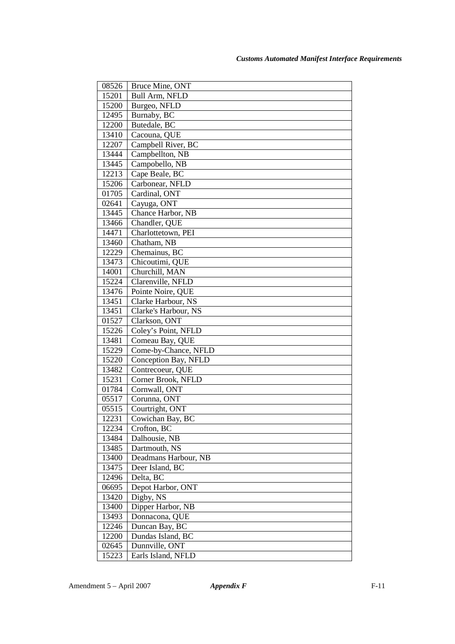| 08526 | Bruce Mine, ONT       |
|-------|-----------------------|
| 15201 | <b>Bull Arm, NFLD</b> |
| 15200 | Burgeo, NFLD          |
| 12495 | Burnaby, BC           |
| 12200 | Butedale, BC          |
| 13410 | Cacouna, QUE          |
| 12207 | Campbell River, BC    |
| 13444 | Campbellton, NB       |
| 13445 | Campobello, NB        |
| 12213 | Cape Beale, BC        |
| 15206 | Carbonear, NFLD       |
| 01705 | Cardinal, ONT         |
| 02641 | Cayuga, ONT           |
| 13445 | Chance Harbor, NB     |
| 13466 | Chandler, QUE         |
| 14471 | Charlottetown, PEI    |
| 13460 | Chatham, NB           |
| 12229 | Chemainus, BC         |
| 13473 | Chicoutimi, QUE       |
| 14001 | Churchill, MAN        |
| 15224 | Clarenville, NFLD     |
| 13476 | Pointe Noire, QUE     |
| 13451 | Clarke Harbour, NS    |
| 13451 | Clarke's Harbour, NS  |
| 01527 | Clarkson, ONT         |
| 15226 | Coley's Point, NFLD   |
| 13481 | Comeau Bay, QUE       |
| 15229 | Come-by-Chance, NFLD  |
| 15220 | Conception Bay, NFLD  |
| 13482 | Contrecoeur, QUE      |
| 15231 | Corner Brook, NFLD    |
| 01784 | Cornwall, ONT         |
| 05517 | Corunna, ONT          |
| 05515 | Courtright, ONT       |
| 12231 | Cowichan Bay, BC      |
| 12234 | Crofton, BC           |
| 13484 | Dalhousie, NB         |
| 13485 | Dartmouth, NS         |
| 13400 | Deadmans Harbour, NB  |
| 13475 | Deer Island, BC       |
| 12496 | Delta, BC             |
| 06695 | Depot Harbor, ONT     |
| 13420 | Digby, NS             |
| 13400 | Dipper Harbor, NB     |
| 13493 | Donnacona, QUE        |
| 12246 | Duncan Bay, BC        |
| 12200 | Dundas Island, BC     |
| 02645 | Dunnville, ONT        |
| 15223 | Earls Island, NFLD    |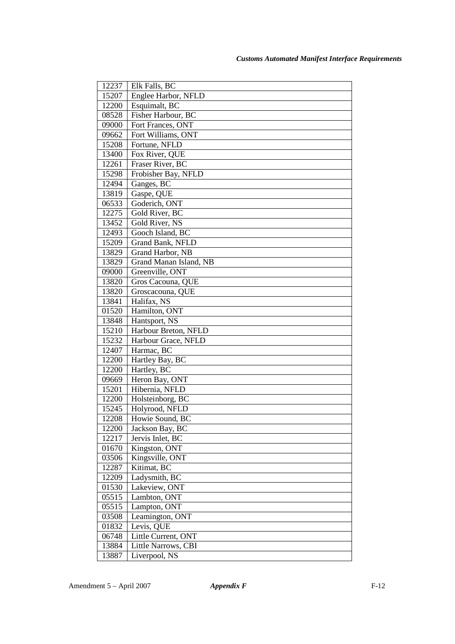| 12237          | Elk Falls, BC                      |
|----------------|------------------------------------|
| 15207          | Englee Harbor, NFLD                |
| 12200          | Esquimalt, BC                      |
| 08528          | Fisher Harbour, BC                 |
| 09000          | Fort Frances, ONT                  |
| 09662          | Fort Williams, ONT                 |
| 15208          | Fortune, NFLD                      |
| 13400          | Fox River, QUE                     |
| 12261          | Fraser River, BC                   |
| 15298          | Frobisher Bay, NFLD                |
| 12494          | Ganges, BC                         |
| 13819          | Gaspe, QUE                         |
| 06533          | Goderich, ONT                      |
| 12275          | Gold River, BC                     |
| 13452          | Gold River, NS                     |
| 12493          | Gooch Island, BC                   |
| 15209          | Grand Bank, NFLD                   |
| 13829          | Grand Harbor, NB                   |
| 13829          | Grand Manan Island, NB             |
| 09000          | Greenville, ONT                    |
| 13820          | Gros Cacouna, QUE                  |
| 13820          | Groscacouna, QUE                   |
| 13841          | Halifax, NS                        |
| 01520          | Hamilton, ONT                      |
| 13848          | Hantsport, NS                      |
| 15210          | Harbour Breton, NFLD               |
| 15232          | Harbour Grace, NFLD                |
| 12407          | Harmac, BC                         |
| 12200          | Hartley Bay, BC                    |
| 12200          | Hartley, BC                        |
| 09669          | Heron Bay, ONT                     |
| 15201<br>12200 | Hibernia, NFLD                     |
|                | Holsteinborg, BC<br>Holyrood, NFLD |
| 15245<br>12208 | Howie Sound, BC                    |
| 12200          | Jackson Bay, BC                    |
| 12217          | Jervis Inlet, BC                   |
| 01670          | Kingston, ONT                      |
| 03506          | Kingsville, ONT                    |
| 12287          | Kitimat, BC                        |
| 12209          | Ladysmith, BC                      |
| 01530          | Lakeview, ONT                      |
| 05515          | Lambton, ONT                       |
| 05515          | Lampton, ONT                       |
| 03508          | Leamington, ONT                    |
| 01832          | Levis, QUE                         |
| 06748          | Little Current, ONT                |
| 13884          | Little Narrows, CBI                |
| 13887          | Liverpool, NS                      |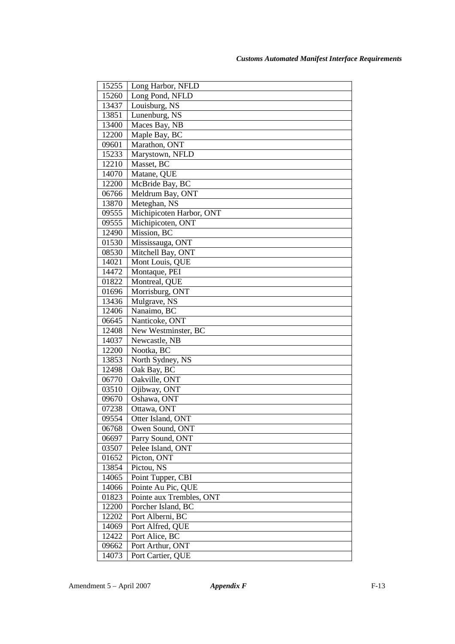| 15255 | Long Harbor, NFLD        |
|-------|--------------------------|
| 15260 | Long Pond, NFLD          |
| 13437 | Louisburg, NS            |
| 13851 | Lunenburg, NS            |
| 13400 | Maces Bay, NB            |
| 12200 | Maple Bay, BC            |
| 09601 | Marathon, ONT            |
| 15233 | Marystown, NFLD          |
| 12210 | Masset, BC               |
| 14070 | Matane, QUE              |
| 12200 | McBride Bay, BC          |
| 06766 | Meldrum Bay, ONT         |
| 13870 | Meteghan, NS             |
| 09555 | Michipicoten Harbor, ONT |
| 09555 | Michipicoten, ONT        |
| 12490 | Mission, BC              |
| 01530 | Mississauga, ONT         |
| 08530 | Mitchell Bay, ONT        |
| 14021 | Mont Louis, QUE          |
| 14472 | Montaque, PEI            |
| 01822 | Montreal, QUE            |
| 01696 | Morrisburg, ONT          |
| 13436 | Mulgrave, NS             |
| 12406 | Nanaimo, BC              |
| 06645 | Nanticoke, ONT           |
| 12408 | New Westminster, BC      |
| 14037 | Newcastle, NB            |
| 12200 | Nootka, BC               |
| 13853 | North Sydney, NS         |
| 12498 | Oak Bay, BC              |
| 06770 | Oakville, ONT            |
| 03510 | Ojibway, ONT             |
| 09670 | Oshawa, ONT              |
| 07238 | Ottawa, ONT              |
| 09554 | Otter Island, ONT        |
| 06768 | Owen Sound, ONT          |
| 06697 | Parry Sound, ONT         |
| 03507 | Pelee Island, ONT        |
| 01652 | Picton, ONT              |
| 13854 | Pictou, NS               |
| 14065 | Point Tupper, CBI        |
| 14066 | Pointe Au Pic, QUE       |
| 01823 | Pointe aux Trembles, ONT |
| 12200 | Porcher Island, BC       |
| 12202 | Port Alberni, BC         |
| 14069 | Port Alfred, QUE         |
| 12422 | Port Alice, BC           |
| 09662 | Port Arthur, ONT         |
| 14073 | Port Cartier, QUE        |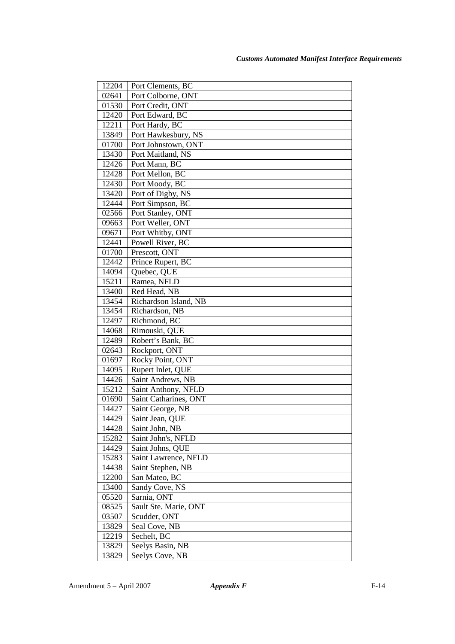| 12204          | Port Clements, BC                    |
|----------------|--------------------------------------|
| 02641          | Port Colborne, ONT                   |
| 01530          | Port Credit, ONT                     |
| 12420          | Port Edward, BC                      |
| 12211          | Port Hardy, BC                       |
| 13849          | Port Hawkesbury, NS                  |
| 01700          | Port Johnstown, ONT                  |
| 13430          | Port Maitland, NS                    |
| 12426          | Port Mann, BC                        |
| 12428          | Port Mellon, BC                      |
| 12430          | Port Moody, BC                       |
| 13420          | Port of Digby, NS                    |
| 12444          | Port Simpson, BC                     |
| 02566          | Port Stanley, ONT                    |
| 09663          | Port Weller, ONT                     |
| 09671          | Port Whitby, ONT                     |
| 12441          | Powell River, BC                     |
| 01700          | Prescott, ONT                        |
| 12442          | Prince Rupert, BC                    |
| 14094          | Quebec, QUE                          |
| 15211          | Ramea, NFLD                          |
| 13400          | Red Head, NB                         |
| 13454          | Richardson Island, NB                |
| 13454          | Richardson, NB                       |
| 12497          | Richmond, BC                         |
| 14068          | Rimouski, QUE                        |
| 12489          | Robert's Bank, BC                    |
| 02643          | Rockport, ONT                        |
| 01697          | Rocky Point, ONT                     |
| 14095          | Rupert Inlet, QUE                    |
| 14426          | Saint Andrews, NB                    |
| 15212          | Saint Anthony, NFLD                  |
| 01690          | Saint Catharines, ONT                |
| 14427          | Saint George, NB                     |
| 14429<br>14428 | Saint Jean, QUE                      |
| 15282          | Saint John, NB<br>Saint John's, NFLD |
| 14429          | Saint Johns, QUE                     |
| 15283          | Saint Lawrence, NFLD                 |
| 14438          | Saint Stephen, NB                    |
| 12200          | San Mateo, BC                        |
| 13400          | Sandy Cove, NS                       |
| 05520          | Sarnia, ONT                          |
| 08525          | Sault Ste. Marie, ONT                |
| 03507          | Scudder, ONT                         |
| 13829          | Seal Cove, NB                        |
| 12219          | Sechelt, BC                          |
| 13829          | Seelys Basin, NB                     |
| 13829          | Seelys Cove, NB                      |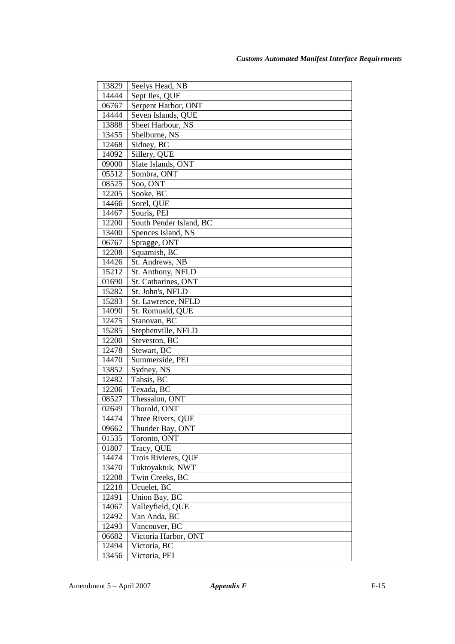| 13829          | Seelys Head, NB            |
|----------------|----------------------------|
| 14444          | Sept Iles, QUE             |
| 06767          | Serpent Harbor, ONT        |
| 14444          | Seven Islands, QUE         |
| 13888          | Sheet Harbour, NS          |
| 13455          | Shelburne, NS              |
| 12468          | Sidney, BC                 |
| 14092          | Sillery, QUE               |
| 09000          | Slate Islands, ONT         |
| 05512          | Sombra, ONT                |
| 08525          | Soo, ONT                   |
| 12205          | Sooke, BC                  |
| 14466          | Sorel, QUE                 |
| 14467          | Souris, PEI                |
| 12200          | South Pender Island, BC    |
| 13400          | Spences Island, NS         |
| 06767          | Spragge, ONT               |
| 12208          | Squamish, BC               |
| 14426          | St. Andrews, NB            |
| 15212          | St. Anthony, NFLD          |
| 01690          | St. Catharines, ONT        |
| 15282          | St. John's, NFLD           |
| 15283          | St. Lawrence, NFLD         |
| 14090          | St. Romuald, QUE           |
| 12475          | Stanovan, BC               |
| 15285          | Stephenville, NFLD         |
| 12200          | Steveston, BC              |
| 12478          | Stewart, BC                |
| 14470          | Summerside, PEI            |
| 13852          | Sydney, NS                 |
| 12482          | Tahsis, BC                 |
| 12206          | Texada, BC                 |
| 08527          | Thessalon, ONT             |
| 02649          | Thorold, ONT               |
| 14474          | Three Rivers, QUE          |
| 09662          | Thunder Bay, ONT           |
| 01535          | Toronto, ONT<br>Tracy, QUE |
| 01807          | Trois Rivieres, QUE        |
| 14474<br>13470 | Tuktoyaktuk, NWT           |
| 12208          | Twin Creeks, BC            |
| 12218          | Ucuelet, BC                |
| 12491          | Union Bay, BC              |
| 14067          | Valleyfield, QUE           |
| 12492          | Van Anda, BC               |
| 12493          | Vancouver, BC              |
| 06682          | Victoria Harbor, ONT       |
| 12494          | Victoria, BC               |
| 13456          | Victoria, PEI              |
|                |                            |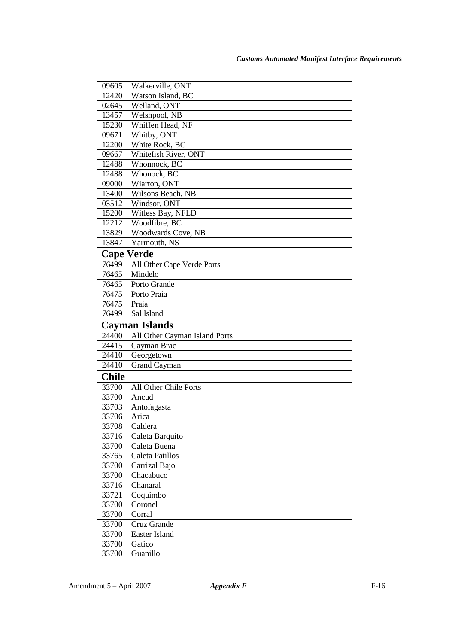| 09605             | Walkerville, ONT              |
|-------------------|-------------------------------|
| 12420             | Watson Island, BC             |
| 02645             | Welland, ONT                  |
| 13457             | Welshpool, NB                 |
| 15230             | Whiffen Head, NF              |
| 09671             | Whitby, ONT                   |
| 12200             | White Rock, BC                |
| 09667             | Whitefish River, ONT          |
| 12488             | Whonnock, BC                  |
| 12488             | Whonock, BC                   |
| 09000             | Wiarton, ONT                  |
| 13400             | Wilsons Beach, NB             |
| 03512             | Windsor, ONT                  |
| 15200             | Witless Bay, NFLD             |
| 12212             | Woodfibre, BC                 |
| 13829             | <b>Woodwards Cove, NB</b>     |
| 13847             | Yarmouth, NS                  |
| <b>Cape Verde</b> |                               |
| 76499             | All Other Cape Verde Ports    |
| 76465             | Mindelo                       |
| 76465             | Porto Grande                  |
| 76475             | Porto Praia                   |
| 76475             | Praia                         |
|                   |                               |
| 76499             | Sal Island                    |
|                   | <b>Cayman Islands</b>         |
| 24400             | All Other Cayman Island Ports |
| 24415             | Cayman Brac                   |
| 24410             | Georgetown                    |
| 24410             | <b>Grand Cayman</b>           |
| <b>Chile</b>      |                               |
| 33700             | All Other Chile Ports         |
| 33700             | Ancud                         |
| 33703             | Antofagasta                   |
| 33706             | Arica                         |
| 33708             | Caldera                       |
| 33716             | Caleta Barquito               |
| 33700             | Caleta Buena                  |
| 33765             | Caleta Patillos               |
| 33700             | Carrizal Bajo                 |
| 33700             | Chacabuco                     |
| 33716             | Chanaral                      |
| 33721             | Coquimbo                      |
| 33700             | Coronel                       |
| 33700             | Corral                        |
| 33700             | Cruz Grande                   |
| 33700             | Easter Island                 |
| 33700             | Gatico<br>Guanillo            |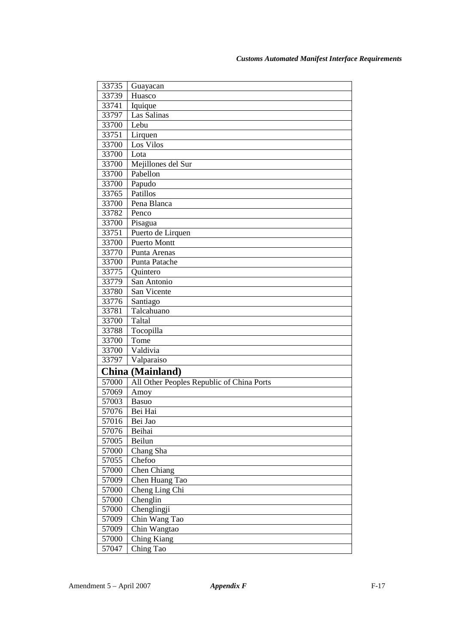| 33735 | Guayacan                                  |
|-------|-------------------------------------------|
| 33739 | Huasco                                    |
| 33741 | Iquique                                   |
| 33797 | Las Salinas                               |
| 33700 | Lebu                                      |
| 33751 | Lirquen                                   |
| 33700 | Los Vilos                                 |
| 33700 | Lota                                      |
| 33700 | Mejillones del Sur                        |
| 33700 | Pabellon                                  |
| 33700 | Papudo                                    |
| 33765 | Patillos                                  |
| 33700 | Pena Blanca                               |
| 33782 | Penco                                     |
| 33700 | Pisagua                                   |
| 33751 | Puerto de Lirquen                         |
| 33700 | Puerto Montt                              |
| 33770 | Punta Arenas                              |
| 33700 | Punta Patache                             |
| 33775 | Quintero                                  |
| 33779 | San Antonio                               |
| 33780 | San Vicente                               |
| 33776 | Santiago                                  |
| 33781 | Talcahuano                                |
| 33700 | Taltal                                    |
| 33788 | Tocopilla                                 |
| 33700 | Tome                                      |
| 33700 | Valdivia                                  |
| 33797 | Valparaiso                                |
|       | <b>China (Mainland)</b>                   |
| 57000 | All Other Peoples Republic of China Ports |
| 57069 | Amoy                                      |
| 57003 | <b>Basuo</b>                              |
| 57076 | Bei Hai                                   |
| 57016 | Bei Jao                                   |
| 57076 | Beihai                                    |
| 57005 | Beilun                                    |
| 57000 | Chang Sha                                 |
| 57055 | Chefoo                                    |
| 57000 | Chen Chiang                               |
| 57009 | Chen Huang Tao                            |
| 57000 | Cheng Ling Chi                            |
| 57000 | Chenglin                                  |
| 57000 | Chenglingji                               |
| 57009 | Chin Wang Tao                             |
| 57009 | Chin Wangtao                              |
| 57000 | Ching Kiang                               |
| 57047 | Ching Tao                                 |
|       |                                           |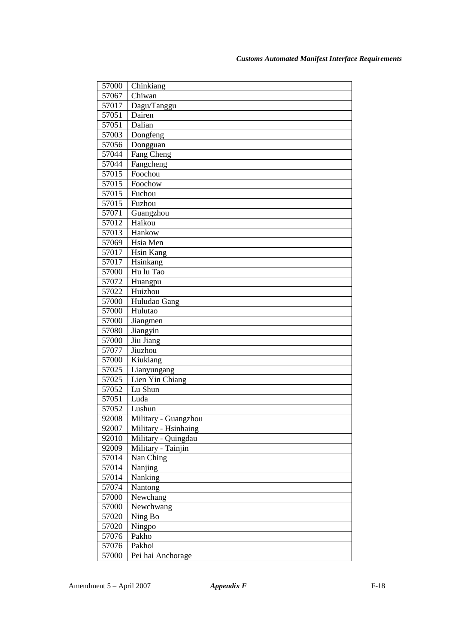| 57000          | Chinkiang                   |
|----------------|-----------------------------|
| 57067          | $\overline{\text{Chi}}$ wan |
| 57017          | Dagu/Tanggu                 |
| 57051          | Dairen                      |
| 57051          | Dalian                      |
| 57003          | Dongfeng                    |
| 57056          | Dongguan                    |
| 57044          | Fang Cheng                  |
| 57044          | Fangcheng                   |
| 57015          | Foochou                     |
| 57015          | Foochow                     |
| 57015          | Fuchou                      |
| 57015          | Fuzhou                      |
| 57071          | Guangzhou                   |
| 57012          | Haikou                      |
| 57013          | Hankow                      |
| 57069          | $\overline{H}$ sia Men      |
| 57017          | <b>Hsin Kang</b>            |
| 57017          | Hsinkang                    |
| 57000          | Hu lu Tao                   |
| 57072          | Huangpu                     |
| 57022          | Huizhou                     |
| 57000          | Huludao Gang                |
| 57000          | Hulutao                     |
| 57000          | Jiangmen                    |
| 57080          | Jiangyin                    |
| 57000          | Jiu Jiang                   |
| 57077          | Jiuzhou                     |
| 57000          | Kiukiang                    |
| 57025          | Lianyungang                 |
| 57025          | Lien Yin Chiang<br>Lu Shun  |
| 57052<br>57051 | Luda                        |
| 57052          | Lushun                      |
| 92008          | Military - Guangzhou        |
| 92007          | Military - Hsinhaing        |
| 92010          | Military - Quingdau         |
| 92009          | Military - Tainjin          |
| 57014          | Nan Ching                   |
| 57014          | Nanjing                     |
| 57014          | Nanking                     |
| 57074          | Nantong                     |
| 57000          | Newchang                    |
| 57000          | Newchwang                   |
| 57020          | Ning Bo                     |
| 57020          | Ningpo                      |
| 57076          | Pakho                       |
| 57076          | Pakhoi                      |
| 57000          | Pei hai Anchorage           |
|                |                             |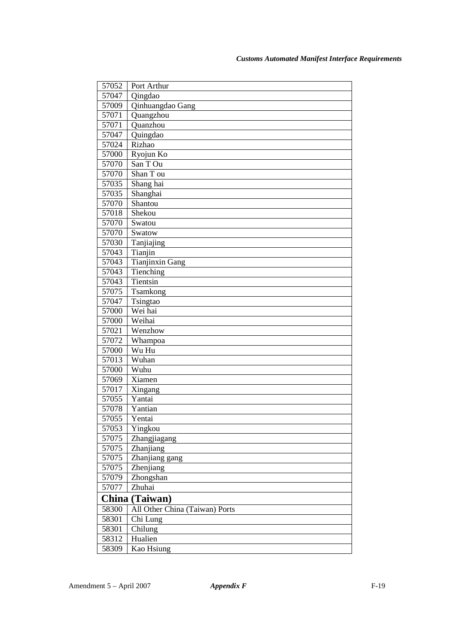| 57052 | Port Arthur                    |
|-------|--------------------------------|
| 57047 | Qingdao                        |
| 57009 | Qinhuangdao Gang               |
| 57071 | Quangzhou                      |
| 57071 | Quanzhou                       |
| 57047 | Quingdao                       |
| 57024 | Rizhao                         |
| 57000 | Ryojun Ko                      |
| 57070 | San T Ou                       |
| 57070 | Shan T ou                      |
| 57035 | Shang hai                      |
| 57035 | Shanghai                       |
| 57070 | Shantou                        |
| 57018 | Shekou                         |
| 57070 | Swatou                         |
| 57070 | Swatow                         |
| 57030 | Tanjiajing                     |
| 57043 | Tianjin                        |
| 57043 | <b>Tianjinxin Gang</b>         |
| 57043 | Tienching                      |
| 57043 | Tientsin                       |
| 57075 | Tsamkong                       |
| 57047 | Tsingtao                       |
| 57000 | Wei hai                        |
| 57000 | Weihai                         |
| 57021 | Wenzhow                        |
| 57072 | Whampoa                        |
| 57000 | Wu Hu                          |
| 57013 | Wuhan                          |
| 57000 | $\mathrm{\overline{W}}$ uhu    |
| 57069 | Xiamen                         |
| 57017 | Xingang                        |
| 57055 | Yantai                         |
| 57078 | Yantian                        |
| 57055 | Yentai                         |
| 57053 | Yingkou                        |
| 57075 | Zhangjiagang                   |
| 57075 | Zhanjiang                      |
| 57075 | Zhanjiang gang                 |
| 57075 | Zhenjiang                      |
| 57079 | Zhongshan                      |
| 57077 | Zhuhai                         |
|       | China (Taiwan)                 |
| 58300 | All Other China (Taiwan) Ports |
| 58301 | Chi Lung                       |
| 58301 | Chilung                        |
| 58312 | Hualien                        |
| 58309 | Kao Hsiung                     |
|       |                                |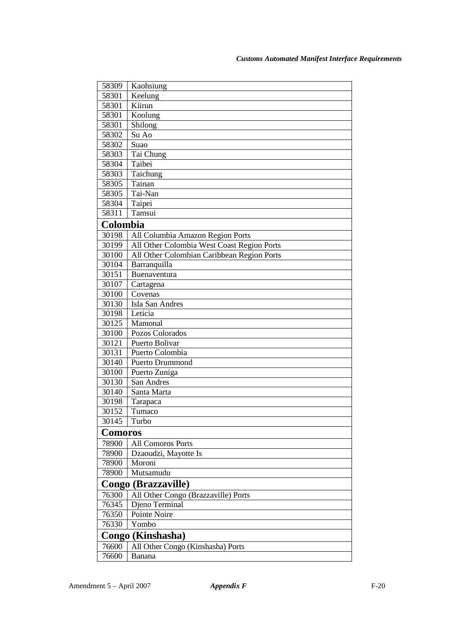| 58309          | Kaohsiung                                  |
|----------------|--------------------------------------------|
| 58301          | Keelung                                    |
| 58301          | Kiirun                                     |
| 58301          | Koolung                                    |
| 58301          | Shilong                                    |
| 58302          | Su Ao                                      |
| 58302          | Suao                                       |
| 58303          | Tai Chung                                  |
| 58304          | Taibei                                     |
| 58303          | Taichung                                   |
| 58305          | Tainan                                     |
| 58305          | Tai-Nan                                    |
| 58304          | Taipei                                     |
| 58311          | Tamsui                                     |
| Colombia       |                                            |
| 30198          | All Columbia Amazon Region Ports           |
| 30199          | All Other Colombia West Coast Region Ports |
| 30100          | All Other Colombian Caribbean Region Ports |
| 30104          | Barranquilla                               |
| 30151          | Buenaventura                               |
| 30107          | Cartagena                                  |
| 30100          | Covenas                                    |
| 30130          | Isla San Andres                            |
| 30198          | Leticia                                    |
| 30125          | Mamonal                                    |
| 30100          | Pozos Colorados                            |
| 30121          | Puerto Bolivar                             |
| 30131          | Puerto Colombia                            |
| 30140          | Puerto Drummond                            |
| 30100          | Puerto Zuniga                              |
| 30130          | San Andres                                 |
| 30140          | Santa Marta                                |
| 30198          | Tarapaca                                   |
| 30152          | Tumaco                                     |
| 30145          | Turbo                                      |
| <b>Comoros</b> |                                            |
| 78900          | <b>All Comoros Ports</b>                   |
| 78900          | Dzaoudzi, Mayotte Is                       |
| 78900          | Moroni                                     |
| 78900          | Mutsamudu                                  |
|                | Congo (Brazzaville)                        |
| 76300          | All Other Congo (Brazzaville) Ports        |
| 76345          | Djeno Terminal                             |
| 76350          | Pointe Noire                               |
| 76330          | Yombo                                      |
|                | Congo (Kinshasha)                          |
| 76600          | All Other Congo (Kinshasha) Ports          |
| 76600          | Banana                                     |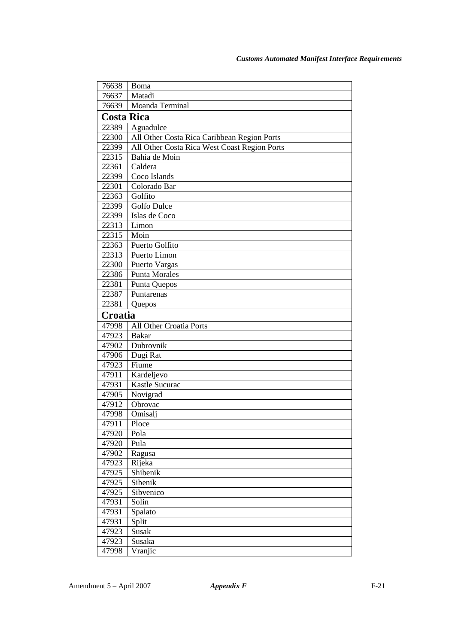| 76638             | Boma                                         |
|-------------------|----------------------------------------------|
| 76637             | Matadi                                       |
| 76639             | Moanda Terminal                              |
| <b>Costa Rica</b> |                                              |
| 22389             | Aguadulce                                    |
| 22300             | All Other Costa Rica Caribbean Region Ports  |
| 22399             | All Other Costa Rica West Coast Region Ports |
| 22315             | Bahia de Moin                                |
| 22361             | Caldera                                      |
| 22399             | Coco Islands                                 |
| 22301             | Colorado Bar                                 |
| 22363             | Golfito                                      |
| 22399             | Golfo Dulce                                  |
| 22399             | Islas de Coco                                |
| 22313             | $\overline{\text{Limon}}$                    |
| 22315             | Moin                                         |
| 22363             | Puerto Golfito                               |
| 22313             | Puerto Limon                                 |
| 22300             | Puerto Vargas                                |
| 22386             | Punta Morales                                |
| 22381             | Punta Quepos                                 |
| 22387             | Puntarenas                                   |
| 22381             | Quepos                                       |
| Croatia           |                                              |
| 47998             | All Other Croatia Ports                      |
| 47923             | <b>Bakar</b>                                 |
| 47902             | Dubrovnik                                    |
| 47906             | Dugi Rat                                     |
| 47923             | Fiume                                        |
| 47911             | Kardeljevo                                   |
| 47931             | Kastle Sucurac                               |
| 47905             | Novigrad                                     |
| 47912             | Obrovac                                      |
| 47998             | Omisalj                                      |
| 47911             | Ploce                                        |
| 47920             | Pola                                         |
| 47920             | Pula                                         |
| 47902             | Ragusa                                       |
| 47923             | Rijeka                                       |
| 47925             | Shibenik                                     |
| 47925             | Sibenik                                      |
| 47925             | Sibvenico                                    |
| 47931             | Solin                                        |
| 47931             | Spalato                                      |
| 47931             | Split                                        |
| 47923             | Susak                                        |
| 47923             | Susaka                                       |
| 47998             | Vranjic                                      |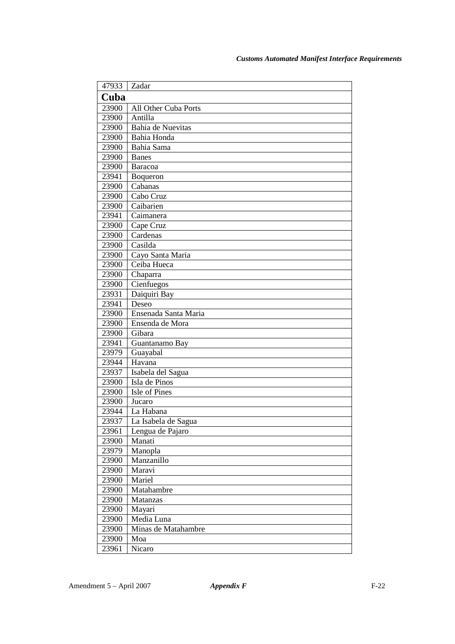| 47933 | Zadar                |  |
|-------|----------------------|--|
| Cuba  |                      |  |
| 23900 | All Other Cuba Ports |  |
| 23900 | Antilla              |  |
| 23900 | Bahia de Nuevitas    |  |
| 23900 | Bahia Honda          |  |
| 23900 | Bahia Sama           |  |
| 23900 | <b>Banes</b>         |  |
| 23900 | <b>Baracoa</b>       |  |
| 23941 | Boqueron             |  |
| 23900 | Cabanas              |  |
| 23900 | Cabo Cruz            |  |
| 23900 | Caibarien            |  |
| 23941 | Caimanera            |  |
| 23900 | Cape Cruz            |  |
| 23900 | Cardenas             |  |
| 23900 | Casilda              |  |
| 23900 | Cayo Santa Maria     |  |
| 23900 | Ceiba Hueca          |  |
| 23900 | Chaparra             |  |
| 23900 | Cienfuegos           |  |
| 23931 | Daiquiri Bay         |  |
| 23941 | Deseo                |  |
| 23900 | Ensenada Santa Maria |  |
| 23900 | Ensenda de Mora      |  |
| 23900 | Gibara               |  |
| 23941 | Guantanamo Bay       |  |
| 23979 | Guayabal             |  |
| 23944 | Havana               |  |
| 23937 | Isabela del Sagua    |  |
| 23900 | Isla de Pinos        |  |
| 23900 | Isle of Pines        |  |
| 23900 | Jucaro               |  |
| 23944 | La Habana            |  |
| 23937 | La Isabela de Sagua  |  |
| 23961 | Lengua de Pajaro     |  |
| 23900 | Manati               |  |
| 23979 | Manopla              |  |
| 23900 | Manzanillo           |  |
| 23900 | Maravi               |  |
| 23900 | Mariel               |  |
| 23900 | Matahambre           |  |
| 23900 | Matanzas             |  |
| 23900 | Mayari               |  |
| 23900 | Media Luna           |  |
| 23900 | Minas de Matahambre  |  |
| 23900 | Moa                  |  |
| 23961 | Nicaro               |  |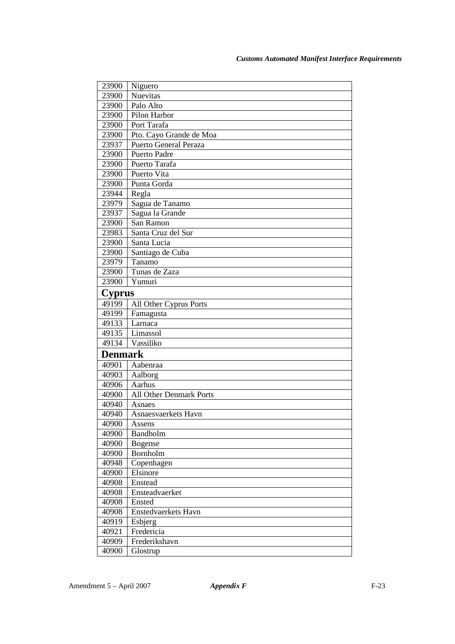| 23900          | Niguero                        |
|----------------|--------------------------------|
| 23900          | <b>Nuevitas</b>                |
| 23900          | Palo Alto                      |
| 23900          | Pilon Harbor                   |
| 23900          | Port Tarafa                    |
| 23900          | Pto. Cayo Grande de Moa        |
| 23937          | <b>Puerto General Peraza</b>   |
| 23900          | Puerto Padre                   |
| 23900          | Puerto Tarafa                  |
| 23900          | Puerto Vita                    |
| 23900          | Punta Gorda                    |
| 23944          | Regla                          |
| 23979          | Sagua de Tanamo                |
| 23937          | Sagua la Grande                |
| 23900          | San Ramon                      |
| 23983          | Santa Cruz del Sur             |
| 23900          | Santa Lucia                    |
| 23900          | Santiago de Cuba               |
| 23979          | Tanamo                         |
| 23900          | Tunas de Zaza                  |
| 23900          | Yumuri                         |
| <b>Cyprus</b>  |                                |
| 49199          | All Other Cyprus Ports         |
| 49199          | Famagusta                      |
| 49133          | Larnaca                        |
| 49135          | Limassol                       |
| 49134          | Vassiliko                      |
| <b>Denmark</b> |                                |
| 40901          | Aabenraa                       |
| 40903          | Aalborg                        |
| 40906          | Aarhus                         |
| 40900          | <b>All Other Denmark Ports</b> |
| 40940          | Asnaes                         |
| 40940          | Asnaesvaerkets Havn            |
| 40900          | Assens                         |
| 40900          | Bandholm                       |
| 40900          | <b>Bogense</b>                 |
| 40900          | Bornholm                       |
| 40948          | Copenhagen                     |
| 40900          | Elsinore                       |
| 40908          | Enstead                        |
| 40908          | Ensteadvaerket                 |
| 40908          | Ensted                         |
| 40908          | <b>Enstedvaerkets Havn</b>     |
| 40919          | Esbjerg                        |
| 40921          | Fredericia                     |
| 40909          | Frederikshavn                  |
| 40900          | Glostrup                       |
|                |                                |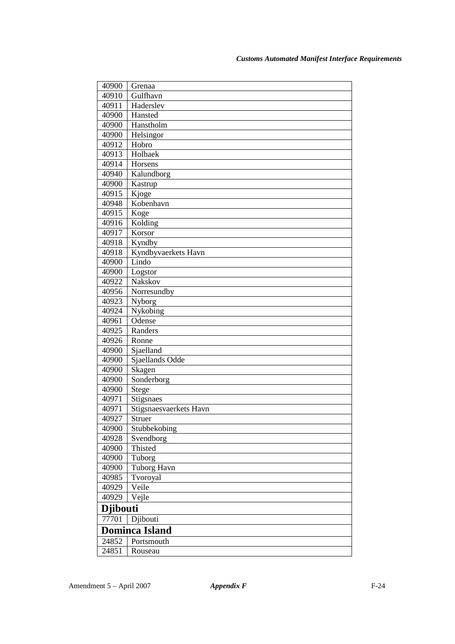| 40900           | Grenaa                 |
|-----------------|------------------------|
| 40910           | Gulfhavn               |
| 40911           | Haderslev              |
| 40900           | Hansted                |
| 40900           | Hanstholm              |
| 40900           | Helsingor              |
| 40912           | Hobro                  |
| 40913           | Holbaek                |
| 40914           | Horsens                |
| 40940           | Kalundborg             |
| 40900           | Kastrup                |
| 40915           | Kjoge                  |
| 40948           | Kobenhavn              |
| 40915           | Koge                   |
| 40916           | Kolding                |
| 40917           | Korsor                 |
| 40918           | Kyndby                 |
| 40918           | Kyndbyvaerkets Havn    |
| 40900           | Lindo                  |
| 40900           | Logstor                |
| 40922           | Nakskov                |
| 40956           | Norresundby            |
| 40923           | Nyborg                 |
| 40924           | Nykobing               |
| 40961           | Odense                 |
| 40925           | Randers                |
| 40926           | Ronne                  |
| 40900           | Sjaelland              |
| 40900           | Sjaellands Odde        |
| 40900           | Skagen                 |
| 40900           | Sonderborg             |
| 40900           | Stege                  |
| 40971           | Stigsnaes              |
| 40971           | Stigsnaesvaerkets Havn |
| 40927           | Struer                 |
| 40900           | Stubbekobing           |
| 40928           | Svendborg              |
| 40900           | Thisted                |
| 40900           | Tuborg                 |
| 40900           | <b>Tuborg Havn</b>     |
| 40985           | Tvoroyal               |
| 40929           | Veile                  |
| 40929           | Vejle                  |
| <b>Djibouti</b> |                        |
| 77701           | Djibouti               |
|                 | <b>Dominca Island</b>  |
| 24852           | Portsmouth             |
| 24851           | Rouseau                |
|                 |                        |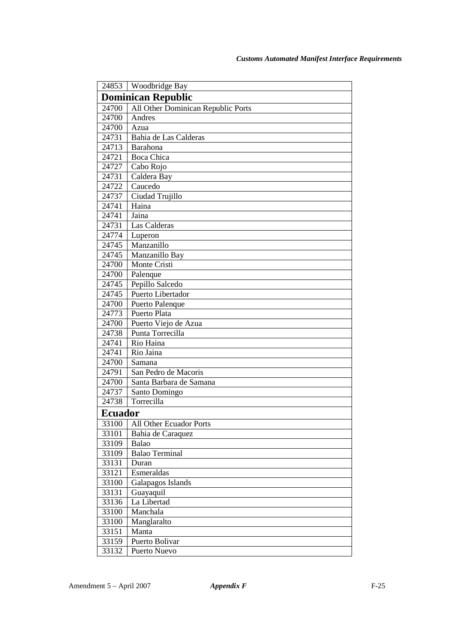| 24853                     | Woodbridge Bay                     |  |
|---------------------------|------------------------------------|--|
| <b>Dominican Republic</b> |                                    |  |
| 24700                     | All Other Dominican Republic Ports |  |
| 24700                     | Andres                             |  |
| 24700                     | Azua                               |  |
| 24731                     | Bahia de Las Calderas              |  |
| 24713                     | Barahona                           |  |
| 24721                     | <b>Boca Chica</b>                  |  |
| 24727                     | Cabo Rojo                          |  |
| 24731                     | Caldera Bay                        |  |
| 24722                     | Caucedo                            |  |
| 24737                     | Ciudad Trujillo                    |  |
| 24741                     | Haina                              |  |
| 24741                     | Jaina                              |  |
| 24731                     | Las Calderas                       |  |
| 24774                     | Luperon                            |  |
| 24745                     | Manzanillo                         |  |
| 24745                     | Manzanillo Bay                     |  |
| 24700                     | Monte Cristi                       |  |
| 24700                     | Palenque                           |  |
| 24745                     | Pepillo Salcedo                    |  |
| 24745                     | Puerto Libertador                  |  |
| 24700                     | Puerto Palenque                    |  |
| 24773                     | Puerto Plata                       |  |
| 24700                     | Puerto Viejo de Azua               |  |
| 24738                     | Punta Torrecilla                   |  |
| 24741                     | Rio Haina                          |  |
| 24741                     | Rio Jaina                          |  |
| 24700                     | Samana                             |  |
| 24791                     | San Pedro de Macoris               |  |
| 24700                     | Santa Barbara de Samana            |  |
| 24737                     | Santo Domingo                      |  |
| 24738                     | Torrecilla                         |  |
| <b>Ecuador</b>            |                                    |  |
|                           | 33100   All Other Ecuador Ports    |  |
| 33101                     | Bahia de Caraquez                  |  |
| 33109                     | Balao                              |  |
| 33109                     | <b>Balao Terminal</b>              |  |
| 33131                     | Duran                              |  |
| 33121                     | Esmeraldas                         |  |
| 33100                     | Galapagos Islands                  |  |
| 33131                     | Guayaquil                          |  |
| 33136                     | La Libertad                        |  |
| 33100                     | Manchala                           |  |
| 33100                     | Manglaralto                        |  |
| 33151                     | Manta                              |  |
| 33159                     | Puerto Bolivar                     |  |
| 33132                     | Puerto Nuevo                       |  |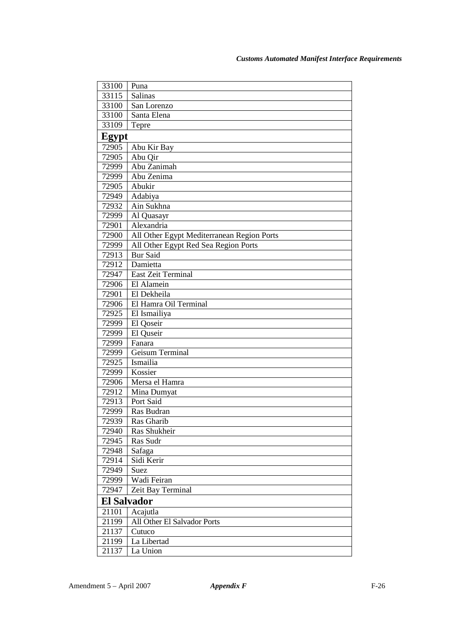| 33100              | Puna                                       |
|--------------------|--------------------------------------------|
| 33115              | Salinas                                    |
| 33100              | San Lorenzo                                |
| 33100              | Santa Elena                                |
| 33109              | Tepre                                      |
| Egypt              |                                            |
| 72905              | Abu Kir Bay                                |
| 72905              | Abu Qir                                    |
| 72999              | Abu Zanimah                                |
| 72999              | Abu Zenima                                 |
| 72905              | Abukir                                     |
| 72949              | Adabiya                                    |
| 72932              | Ain Sukhna                                 |
| 72999              | Al Quasayr                                 |
| 72901              | Alexandria                                 |
| 72900              | All Other Egypt Mediterranean Region Ports |
| 72999              | All Other Egypt Red Sea Region Ports       |
| 72913              | <b>Bur Said</b>                            |
| 72912              | Damietta                                   |
| 72947              | East Zeit Terminal                         |
| 72906              | El Alamein                                 |
| 72901              | El Dekheila                                |
| 72906              | El Hamra Oil Terminal                      |
| 72925              | El Ismailiya                               |
| 72999              | El Qoseir                                  |
| 72999              | El Quseir                                  |
| 72999              | Fanara                                     |
| 72999              | Geisum Terminal                            |
| 72925              | Ismailia                                   |
| 72999              | Kossier                                    |
| 72906              | Mersa el Hamra                             |
| 72912              | Mina Dumyat                                |
| 72913              | Port Said                                  |
| 72999              | Ras Budran                                 |
| 72939              | Ras Gharib                                 |
| 72940              | Ras Shukheir                               |
| 72945              | Ras Sudr                                   |
| 72948              | Safaga                                     |
| 72914              | Sidi Kerir                                 |
| 72949              | Suez                                       |
| 72999              | Wadi Feiran                                |
| 72947              | Zeit Bay Terminal                          |
| <b>El Salvador</b> |                                            |
| 21101              | Acajutla                                   |
| 21199              | All Other El Salvador Ports                |
| 21137              | Cutuco                                     |
| 21199              | La Libertad                                |
| 21137              | La Union                                   |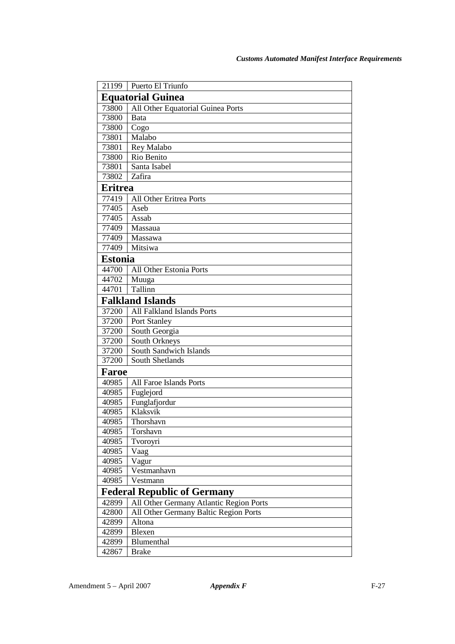| 21199                    | Puerto El Triunfo                       |  |
|--------------------------|-----------------------------------------|--|
| <b>Equatorial Guinea</b> |                                         |  |
| 73800                    | All Other Equatorial Guinea Ports       |  |
| 73800                    | Bata                                    |  |
| 73800                    | Cogo                                    |  |
| 73801                    | Malabo                                  |  |
| 73801                    | Rey Malabo                              |  |
| 73800                    | Rio Benito                              |  |
| 73801                    | Santa Isabel                            |  |
| 73802                    | Zafira                                  |  |
| <b>Eritrea</b>           |                                         |  |
| 77419                    | All Other Eritrea Ports                 |  |
| 77405                    | Aseb                                    |  |
| 77405                    | Assab                                   |  |
| 77409                    | Massaua                                 |  |
| 77409                    | Massawa                                 |  |
| 77409                    | Mitsiwa                                 |  |
| <b>Estonia</b>           |                                         |  |
| 44700                    | All Other Estonia Ports                 |  |
| 44702                    | Muuga                                   |  |
| 44701                    | Tallinn                                 |  |
| <b>Falkland Islands</b>  |                                         |  |
| 37200                    | <b>All Falkland Islands Ports</b>       |  |
| 37200                    | Port Stanley                            |  |
| 37200                    | South Georgia                           |  |
| 37200                    | South Orkneys                           |  |
| 37200                    | South Sandwich Islands                  |  |
| 37200                    | <b>South Shetlands</b>                  |  |
| <b>Faroe</b>             |                                         |  |
| 40985                    | All Faroe Islands Ports                 |  |
| 40985                    | Fuglejord                               |  |
| 40985                    | Funglafjordur                           |  |
| 40985                    | Klaksvik                                |  |
| 40985                    | Thorshavn                               |  |
| 40985                    | Torshavn                                |  |
| 40985                    | Tvoroyri                                |  |
| 40985                    | Vaag                                    |  |
| 40985                    | Vagur                                   |  |
| 40985                    | Vestmanhavn                             |  |
| 40985                    | Vestmann                                |  |
|                          | <b>Federal Republic of Germany</b>      |  |
| 42899                    | All Other Germany Atlantic Region Ports |  |
| 42800                    | All Other Germany Baltic Region Ports   |  |
| 42899                    | Altona                                  |  |
| 42899                    | Blexen                                  |  |
| 42899                    | Blumenthal                              |  |
| 42867                    | <b>Brake</b>                            |  |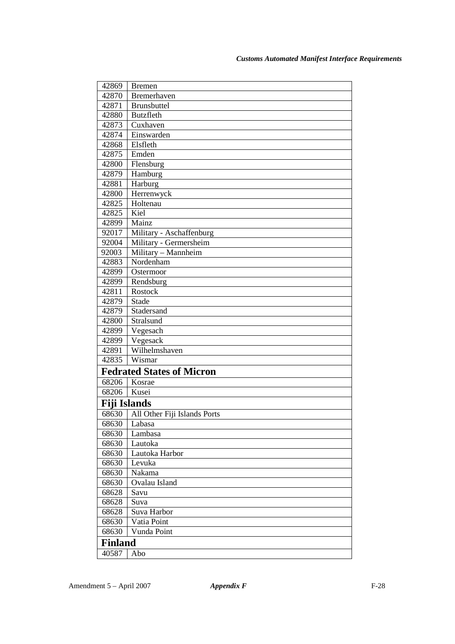| 42869               | <b>Bremen</b>                    |  |  |
|---------------------|----------------------------------|--|--|
| 42870               | Bremerhaven                      |  |  |
| 42871               | <b>Brunsbuttel</b>               |  |  |
| 42880               | <b>Butzfleth</b>                 |  |  |
| 42873               | Cuxhaven                         |  |  |
| 42874               | Einswarden                       |  |  |
| 42868               | Elsfleth                         |  |  |
| 42875               | Emden                            |  |  |
| 42800               | Flensburg                        |  |  |
| 42879               | Hamburg                          |  |  |
| 42881               | Harburg                          |  |  |
| 42800               | Herrenwyck                       |  |  |
| 42825               | Holtenau                         |  |  |
| 42825               | Kiel                             |  |  |
| 42899               | Mainz                            |  |  |
| 92017               | Military - Aschaffenburg         |  |  |
| 92004               | Military - Germersheim           |  |  |
| 92003               | Military - Mannheim              |  |  |
| 42883               | Nordenham                        |  |  |
| 42899               | Ostermoor                        |  |  |
| 42899               | Rendsburg                        |  |  |
| 42811               | Rostock                          |  |  |
| 42879               | <b>Stade</b>                     |  |  |
| 42879               | Stadersand                       |  |  |
| 42800               | Stralsund                        |  |  |
| 42899               | Vegesach                         |  |  |
| 42899               | Vegesack                         |  |  |
| 42891               | Wilhelmshaven                    |  |  |
| 42835               | Wismar                           |  |  |
|                     | <b>Fedrated States of Micron</b> |  |  |
| 68206               | Kosrae                           |  |  |
| 68206               | Kusei                            |  |  |
| <b>Fiji Islands</b> |                                  |  |  |
| 68630               | All Other Fiji Islands Ports     |  |  |
| 68630               | Labasa                           |  |  |
| 68630               | Lambasa                          |  |  |
| 68630               | Lautoka                          |  |  |
| 68630               | Lautoka Harbor                   |  |  |
| 68630               | Levuka                           |  |  |
| 68630               | Nakama                           |  |  |
| 68630               | Ovalau Island                    |  |  |
| 68628               | Savu                             |  |  |
| 68628               | Suva                             |  |  |
| 68628               | Suva Harbor                      |  |  |
| 68630               | Vatia Point                      |  |  |
| 68630               | Vunda Point                      |  |  |
| <b>Finland</b>      |                                  |  |  |
| 40587               | Abo                              |  |  |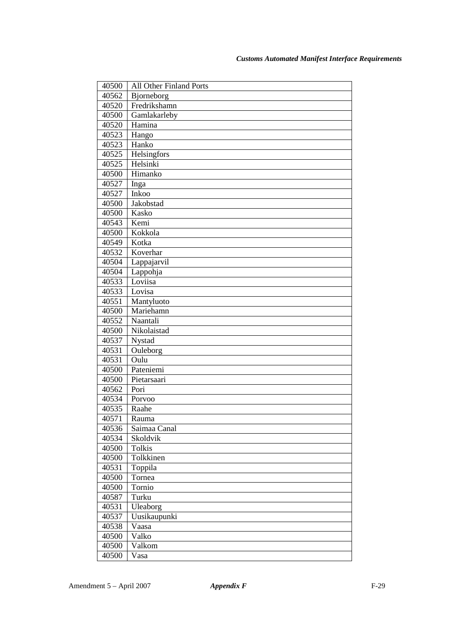| 40500          | All Other Finland Ports  |
|----------------|--------------------------|
| 40562          | Bjorneborg               |
| 40520          | Fredrikshamn             |
| 40500          | Gamlakarleby             |
| 40520          | Hamina                   |
| 40523          | Hango                    |
| 40523          | Hanko                    |
| 40525          | Helsingfors              |
| 40525          | Helsinki                 |
| 40500          | Himanko                  |
| 40527          | Inga                     |
| 40527          | Inkoo                    |
| 40500          | Jakobstad                |
| 40500          | Kasko                    |
| 40543          | Kemi                     |
| 40500          | Kokkola                  |
| 40549          | Kotka                    |
| 40532          | Koverhar                 |
| 40504          | Lappajarvil              |
| 40504          | Lappohja                 |
| 40533          | Loviisa                  |
| 40533          | Lovisa                   |
| 40551          | Mantyluoto               |
| 40500          | Mariehamn                |
| 40552          | Naantali                 |
| 40500          | Nikolaistad              |
| 40537          | Nystad                   |
| 40531          | Ouleborg                 |
| 40531          | Oulu                     |
| 40500          | Pateniemi                |
| 40500          | Pietarsaari              |
| 40562<br>40534 | Pori                     |
| 40535          | Porvoo<br>Raahe          |
| 40571          |                          |
|                | Rauma                    |
| 40536<br>40534 | Saimaa Canal<br>Skoldvik |
| 40500          | Tolkis                   |
| 40500          | Tolkkinen                |
| 40531          | Toppila                  |
| 40500          | Tornea                   |
| 40500          | Tornio                   |
| 40587          | Turku                    |
| 40531          | Uleaborg                 |
| 40537          | Uusikaupunki             |
| 40538          | Vaasa                    |
| 40500          | Valko                    |
| 40500          | Valkom                   |
| 40500          | Vasa                     |
|                |                          |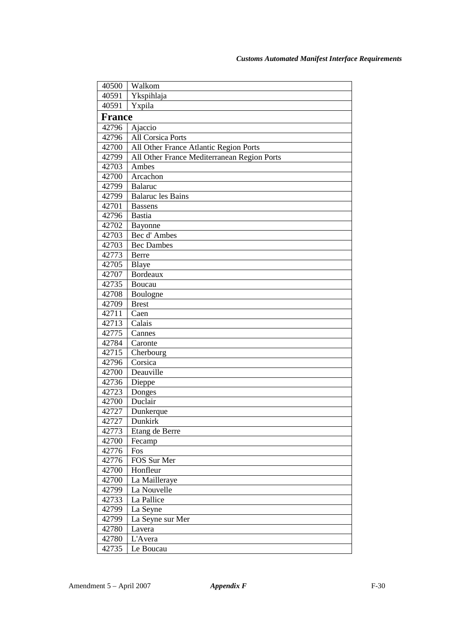| 40500         | Walkom                                      |
|---------------|---------------------------------------------|
| 40591         | Ykspihlaja                                  |
| 40591         | Yxpila                                      |
| <b>France</b> |                                             |
| 42796         | Ajaccio                                     |
| 42796         | <b>All Corsica Ports</b>                    |
| 42700         | All Other France Atlantic Region Ports      |
| 42799         | All Other France Mediterranean Region Ports |
| 42703         | Ambes                                       |
| 42700         | Arcachon                                    |
| 42799         | <b>Balaruc</b>                              |
| 42799         | <b>Balaruc</b> les Bains                    |
| 42701         | <b>Bassens</b>                              |
| 42796         | <b>Bastia</b>                               |
| 42702         | Bayonne                                     |
| 42703         | Bec d'Ambes                                 |
| 42703         | <b>Bec Dambes</b>                           |
| 42773         | Berre                                       |
| 42705         | Blaye                                       |
| 42707         | Bordeaux                                    |
| 42735         | Boucau                                      |
| 42708         | Boulogne                                    |
| 42709         | <b>Brest</b>                                |
| 42711         | Caen                                        |
| 42713         | Calais                                      |
| 42775         | Cannes                                      |
| 42784         | Caronte                                     |
| 42715         | Cherbourg                                   |
| 42796         | Corsica                                     |
| 42700         | Deauville                                   |
| 42736         | Dieppe                                      |
| 42723         | Donges                                      |
| 42700         | Duclair                                     |
| 42727         | Dunkerque                                   |
| 42727         | Dunkirk                                     |
| 42773         | Etang de Berre                              |
| 42700         | Fecamp                                      |
| 42776         | Fos                                         |
| 42776         | FOS Sur Mer                                 |
| 42700         | Honfleur                                    |
| 42700         | La Mailleraye                               |
| 42799         | La Nouvelle                                 |
| 42733         | La Pallice                                  |
| 42799         | La Seyne                                    |
| 42799         | La Seyne sur Mer                            |
| 42780         | Lavera                                      |
| 42780         | L'Avera                                     |
| 42735         | Le Boucau                                   |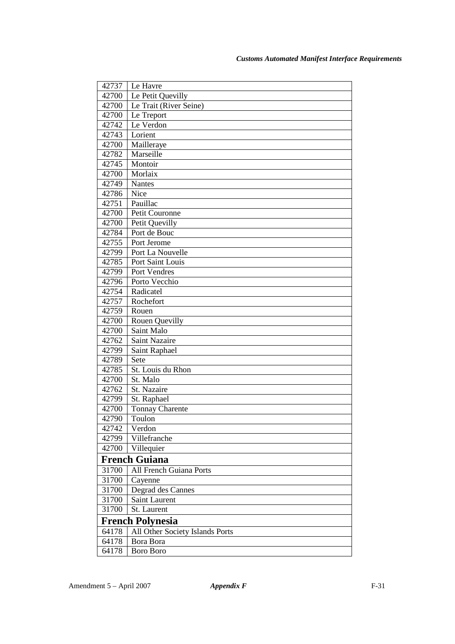| Le Petit Quevilly<br>42700<br>Le Trait (River Seine)<br>42700<br>Le Treport<br>42700<br>Le Verdon<br>42742<br>Lorient<br>42743<br>42700<br>Mailleraye<br>42782<br>Marseille<br>Montoir<br>42745<br>Morlaix<br>42700<br>42749<br><b>Nantes</b><br>42786<br>Nice<br>Pauillac<br>42751 |
|-------------------------------------------------------------------------------------------------------------------------------------------------------------------------------------------------------------------------------------------------------------------------------------|
|                                                                                                                                                                                                                                                                                     |
|                                                                                                                                                                                                                                                                                     |
|                                                                                                                                                                                                                                                                                     |
|                                                                                                                                                                                                                                                                                     |
|                                                                                                                                                                                                                                                                                     |
|                                                                                                                                                                                                                                                                                     |
|                                                                                                                                                                                                                                                                                     |
|                                                                                                                                                                                                                                                                                     |
|                                                                                                                                                                                                                                                                                     |
|                                                                                                                                                                                                                                                                                     |
|                                                                                                                                                                                                                                                                                     |
|                                                                                                                                                                                                                                                                                     |
| Petit Couronne<br>42700                                                                                                                                                                                                                                                             |
| 42700<br>Petit Quevilly                                                                                                                                                                                                                                                             |
| Port de Bouc<br>42784                                                                                                                                                                                                                                                               |
| 42755<br>Port Jerome                                                                                                                                                                                                                                                                |
| 42799<br>Port La Nouvelle                                                                                                                                                                                                                                                           |
| Port Saint Louis<br>42785                                                                                                                                                                                                                                                           |
| 42799<br>Port Vendres                                                                                                                                                                                                                                                               |
| Porto Vecchio<br>42796                                                                                                                                                                                                                                                              |
| Radicatel<br>42754                                                                                                                                                                                                                                                                  |
| Rochefort<br>42757                                                                                                                                                                                                                                                                  |
| 42759<br>Rouen                                                                                                                                                                                                                                                                      |
| 42700<br>Rouen Quevilly                                                                                                                                                                                                                                                             |
| Saint Malo<br>42700                                                                                                                                                                                                                                                                 |
| 42762<br>Saint Nazaire                                                                                                                                                                                                                                                              |
| Saint Raphael<br>42799                                                                                                                                                                                                                                                              |
| Sete<br>42789                                                                                                                                                                                                                                                                       |
| St. Louis du Rhon<br>42785                                                                                                                                                                                                                                                          |
| 42700<br>St. Malo                                                                                                                                                                                                                                                                   |
| 42762<br>St. Nazaire                                                                                                                                                                                                                                                                |
| 42799<br>St. Raphael                                                                                                                                                                                                                                                                |
| 42700<br><b>Tonnay Charente</b>                                                                                                                                                                                                                                                     |
| Toulon<br>42790                                                                                                                                                                                                                                                                     |
| Verdon<br>42742                                                                                                                                                                                                                                                                     |
| 42799<br>Villefranche                                                                                                                                                                                                                                                               |
| 42700<br>Villequier                                                                                                                                                                                                                                                                 |
| <b>French Guiana</b>                                                                                                                                                                                                                                                                |
| 31700<br><b>All French Guiana Ports</b>                                                                                                                                                                                                                                             |
| 31700<br>Cayenne                                                                                                                                                                                                                                                                    |
| 31700<br>Degrad des Cannes                                                                                                                                                                                                                                                          |
| 31700<br>Saint Laurent                                                                                                                                                                                                                                                              |
| 31700<br>St. Laurent                                                                                                                                                                                                                                                                |
| <b>French Polynesia</b>                                                                                                                                                                                                                                                             |
| 64178<br>All Other Society Islands Ports                                                                                                                                                                                                                                            |
| 64178<br>Bora Bora                                                                                                                                                                                                                                                                  |
| 64178<br><b>Boro Boro</b>                                                                                                                                                                                                                                                           |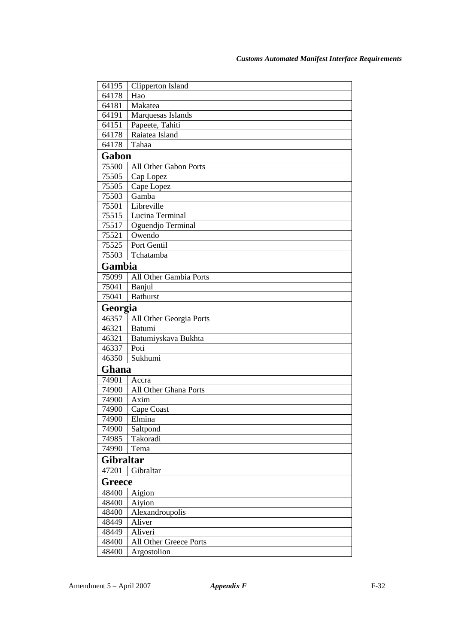| 64195     | Clipperton Island       |
|-----------|-------------------------|
| 64178     | Hao                     |
| 64181     | Makatea                 |
| 64191     | Marquesas Islands       |
| 64151     | Papeete, Tahiti         |
| 64178     | Raiatea Island          |
| 64178     | Tahaa                   |
| Gabon     |                         |
| 75500     | All Other Gabon Ports   |
| 75505     | Cap Lopez               |
| 75505     | Cape Lopez              |
| 75503     | Gamba                   |
| 75501     | Libreville              |
| 75515     | Lucina Terminal         |
| 75517     | Oguendjo Terminal       |
| 75521     | Owendo                  |
| 75525     | Port Gentil             |
| 75503     | Tchatamba               |
| Gambia    |                         |
| 75099     | All Other Gambia Ports  |
| 75041     | Banjul                  |
| 75041     | <b>Bathurst</b>         |
| Georgia   |                         |
| 46357     | All Other Georgia Ports |
| 46321     | Batumi                  |
| 46321     | Batumiyskava Bukhta     |
| 46337     | Poti                    |
| 46350     | Sukhumi                 |
| Ghana     |                         |
| 74901     | Accra                   |
| 74900     | All Other Ghana Ports   |
| 74900     | Axim                    |
| 74900     | Cape Coast              |
| 74900     | Elmina                  |
| 74900     | Saltpond                |
| 74985     | Takoradi                |
| 74990     | Tema                    |
| Gibraltar |                         |
| 47201     | Gibraltar               |
| Greece    |                         |
| 48400     | Aigion                  |
| 48400     | Aiyion                  |
| 48400     | Alexandroupolis         |
| 48449     | Aliver                  |
| 48449     | Aliveri                 |
| 48400     | All Other Greece Ports  |
| 48400     | Argostolion             |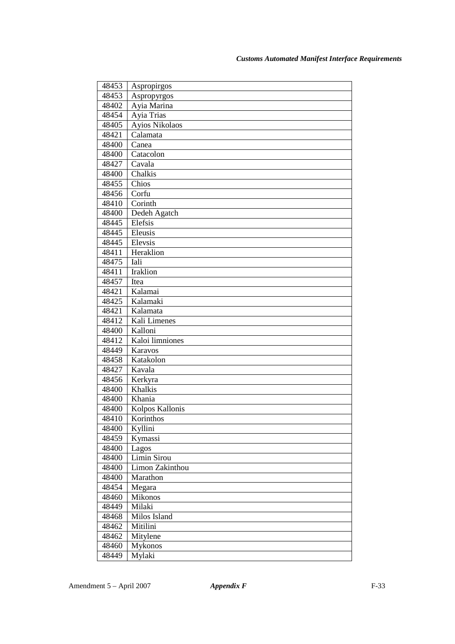| 48453 | Aspropirgos     |
|-------|-----------------|
| 48453 | Aspropyrgos     |
| 48402 | Ayia Marina     |
| 48454 | Ayia Trias      |
| 48405 | Ayios Nikolaos  |
| 48421 | Calamata        |
| 48400 | Canea           |
| 48400 | Catacolon       |
| 48427 | Cavala          |
| 48400 | Chalkis         |
| 48455 | Chios           |
| 48456 | Corfu           |
| 48410 | Corinth         |
| 48400 | Dedeh Agatch    |
| 48445 | Elefsis         |
| 48445 | Eleusis         |
| 48445 | Elevsis         |
| 48411 | Heraklion       |
| 48475 | Iali            |
| 48411 | Iraklion        |
| 48457 | Itea            |
| 48421 | Kalamai         |
| 48425 | Kalamaki        |
| 48421 | Kalamata        |
| 48412 | Kali Limenes    |
| 48400 | Kalloni         |
| 48412 | Kaloi limniones |
| 48449 | Karavos         |
| 48458 | Katakolon       |
| 48427 | Kavala          |
| 48456 | Kerkyra         |
| 48400 | Khalkis         |
| 48400 | Khania          |
| 48400 | Kolpos Kallonis |
| 48410 | Korinthos       |
| 48400 | Kyllini         |
| 48459 | Kymassi         |
| 48400 | Lagos           |
| 48400 | Limin Sirou     |
| 48400 | Limon Zakinthou |
| 48400 | Marathon        |
| 48454 | Megara          |
| 48460 | Mikonos         |
| 48449 | Milaki          |
| 48468 | Milos Island    |
| 48462 | Mitilini        |
| 48462 | Mitylene        |
| 48460 | Mykonos         |
| 48449 | Mylaki          |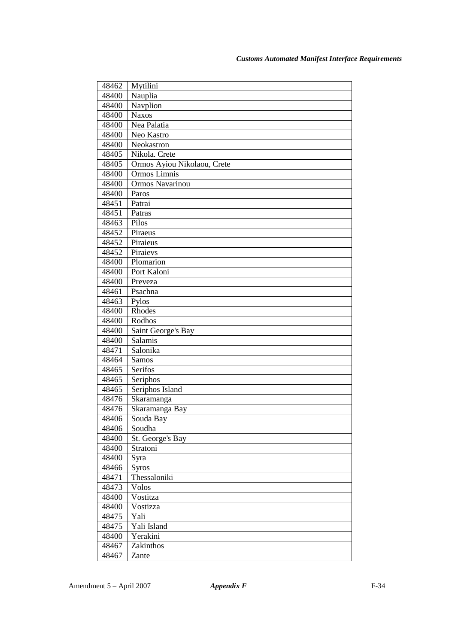| 48462          | Mytilini                    |
|----------------|-----------------------------|
| 48400          | Nauplia                     |
| 48400          | Navplion                    |
| 48400          | <b>Naxos</b>                |
| 48400          | Nea Palatia                 |
| 48400          | Neo Kastro                  |
| 48400          | Neokastron                  |
| 48405          | Nikola. Crete               |
| 48405          | Ormos Ayiou Nikolaou, Crete |
| 48400          | Ormos Limnis                |
| 48400          | Ormos Navarinou             |
| 48400          | Paros                       |
| 48451          | Patrai                      |
| 48451          | Patras                      |
| 48463          | Pilos                       |
| 48452          | Piraeus                     |
| 48452          | Piraieus                    |
| 48452          | Piraievs                    |
| 48400          | Plomarion                   |
| 48400          | Port Kaloni                 |
| 48400          | Preveza                     |
| 48461          | Psachna                     |
| 48463          | Pylos                       |
| 48400          | Rhodes                      |
| 48400          | Rodhos                      |
| 48400          | Saint George's Bay          |
| 48400          | Salamis<br>Salonika         |
| 48471<br>48464 | <b>Samos</b>                |
| 48465          | Serifos                     |
| 48465          | Seriphos                    |
| 48465          | Seriphos Island             |
| 48476          | Skaramanga                  |
| 48476          | Skaramanga Bay              |
| 48406          | Souda Bay                   |
| 48406          | Soudha                      |
| 48400          | St. George's Bay            |
| 48400          | Stratoni                    |
| 48400          | Syra                        |
| 48466          | <b>Syros</b>                |
| 48471          | Thessaloniki                |
| 48473          | Volos                       |
| 48400          | Vostitza                    |
| 48400          | Vostizza                    |
| 48475          | Yali                        |
| 48475          | Yali Island                 |
| 48400          | Yerakini                    |
| 48467          | Zakinthos                   |
| 48467          | Zante                       |
|                |                             |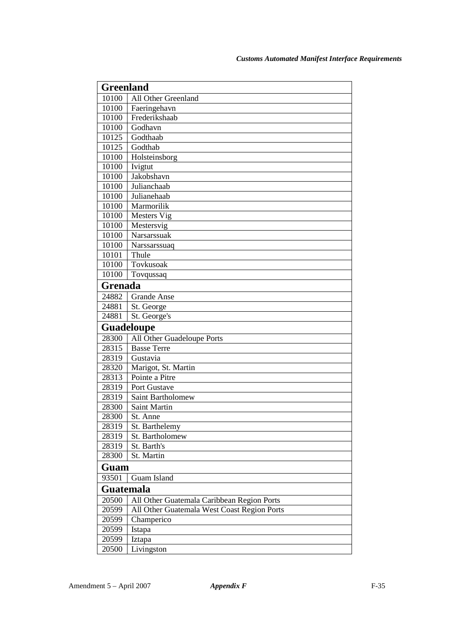| <b>Greenland</b> |                                             |  |
|------------------|---------------------------------------------|--|
| 10100            | All Other Greenland                         |  |
| 10100            | Faeringehavn                                |  |
| 10100            | Frederikshaab                               |  |
| 10100            | Godhavn                                     |  |
| 10125            | Godthaab                                    |  |
| 10125            | Godthab                                     |  |
| 10100            | Holsteinsborg                               |  |
| 10100            | Ivigtut                                     |  |
| 10100            | Jakobshavn                                  |  |
| 10100            | Julianchaab                                 |  |
| 10100            | Julianehaab                                 |  |
| 10100            | Marmorilik                                  |  |
| 10100            | Mesters Vig                                 |  |
| 10100            | Mestersvig                                  |  |
| 10100            | Narsarssuak                                 |  |
| 10100            | Narssarssuaq                                |  |
| 10101            | Thule                                       |  |
| 10100            | Tovkusoak                                   |  |
| 10100            | Tovqussaq                                   |  |
|                  | Grenada                                     |  |
| 24882            | <b>Grande Anse</b>                          |  |
| 24881            | St. George                                  |  |
| 24881            | St. George's                                |  |
|                  | <b>Guadeloupe</b>                           |  |
| 28300            | All Other Guadeloupe Ports                  |  |
| 28315            | <b>Basse Terre</b>                          |  |
| 28319            | Gustavia                                    |  |
| 28320            | Marigot, St. Martin                         |  |
| 28313            | Pointe a Pitre                              |  |
| 28319            | Port Gustave                                |  |
| 28319            | Saint Bartholomew                           |  |
| 28300            | <b>Saint Martin</b>                         |  |
| 28300            | St. Anne                                    |  |
| 28319            | St. Barthelemy                              |  |
| 28319            | St. Bartholomew                             |  |
| 28319            | St. Barth's                                 |  |
| 28300            | St. Martin                                  |  |
|                  |                                             |  |
| Guam             |                                             |  |
| 93501            | Guam Island                                 |  |
| Guatemala        |                                             |  |
| 20500            | All Other Guatemala Caribbean Region Ports  |  |
| 20599            | All Other Guatemala West Coast Region Ports |  |
| 20599            | Champerico                                  |  |
| 20599            | Istapa                                      |  |
| 20599            | Iztapa                                      |  |
| 20500            | Livingston                                  |  |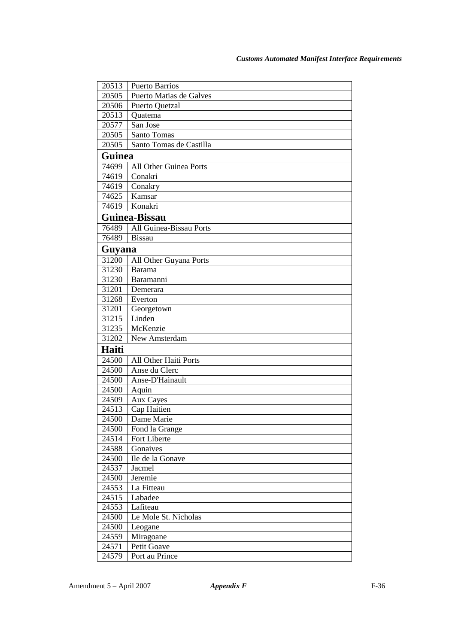| 20513         | <b>Puerto Barrios</b>   |
|---------------|-------------------------|
| 20505         | Puerto Matias de Galves |
| 20506         | Puerto Quetzal          |
| 20513         | Quatema                 |
| 20577         | San Jose                |
| 20505         | Santo Tomas             |
| 20505         | Santo Tomas de Castilla |
| <b>Guinea</b> |                         |
| 74699         | All Other Guinea Ports  |
| 74619         | Conakri                 |
| 74619         | Conakry                 |
| 74625         | Kamsar                  |
| 74619         | Konakri                 |
|               | Guinea-Bissau           |
| 76489         | All Guinea-Bissau Ports |
| 76489         | <b>Bissau</b>           |
| Guyana        |                         |
| 31200         | All Other Guyana Ports  |
| 31230         | <b>Barama</b>           |
| 31230         | Baramanni               |
| 31201         | Demerara                |
| 31268         | Everton                 |
| 31201         | Georgetown              |
| 31215         | Linden                  |
| 31235         | McKenzie                |
| 31202         | New Amsterdam           |
| Haiti         |                         |
| 24500         | All Other Haiti Ports   |
| 24500         | Anse du Clerc           |
| 24500         | Anse-D'Hainault         |
| 24500         | Aquin                   |
| 24509         | Aux Cayes               |
| 24513         | Cap Haitien             |
| 24500         | Dame Marie              |
| 24500         | Fond la Grange          |
| 24514         | Fort Liberte            |
| 24588         | Gonaives                |
| 24500         | Ile de la Gonave        |
| 24537         | Jacmel                  |
| 24500         | Jeremie                 |
| 24553         | La Fitteau              |
| 24515         | Labadee                 |
| 24553         | Lafiteau                |
| 24500         | Le Mole St. Nicholas    |
| 24500         | Leogane                 |
| 24559         | Miragoane               |
| 24571         | Petit Goave             |
| 24579         | Port au Prince          |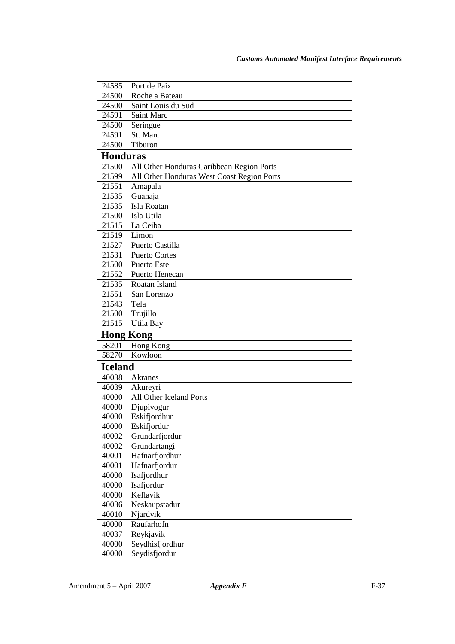| 24585            | Port de Paix                               |
|------------------|--------------------------------------------|
| 24500            | Roche a Bateau                             |
| 24500            | Saint Louis du Sud                         |
| 24591            | Saint Marc                                 |
| 24500            | Seringue                                   |
| 24591            | St. Marc                                   |
| 24500            | Tiburon                                    |
| <b>Honduras</b>  |                                            |
| 21500            | All Other Honduras Caribbean Region Ports  |
| 21599            | All Other Honduras West Coast Region Ports |
| 21551            | Amapala                                    |
| 21535            | Guanaja                                    |
| 21535            | Isla Roatan                                |
| 21500            | Isla Utila                                 |
| 21515            | La Ceiba                                   |
| 21519            | Limon                                      |
| 21527            | Puerto Castilla                            |
| 21531            | <b>Puerto Cortes</b>                       |
| 21500            | Puerto Este                                |
| 21552            | Puerto Henecan                             |
| 21535            | Roatan Island                              |
| 21551            | San Lorenzo                                |
| 21543            | Tela                                       |
| 21500            | Trujillo                                   |
| 21515            | Utila Bay                                  |
| <b>Hong Kong</b> |                                            |
| 58201            | Hong Kong                                  |
| 58270            | Kowloon                                    |
| <b>Iceland</b>   |                                            |
| 40038            | Akranes                                    |
| 40039            | Akureyri                                   |
| 40000            | All Other Iceland Ports                    |
| 40000            | Djupivogur                                 |
| 40000            | Eskifjordhur                               |
| 40000            | Eskifjordur                                |
| 40002            | Grundarfjordur                             |
| 40002            | Grundartangi                               |
| 40001            | Hafnarfjordhur                             |
| 40001            | Hafnarfjordur                              |
| 40000            | Isafjordhur                                |
| 40000            | Isafjordur                                 |
| 40000            | Keflavik                                   |
| 40036            | Neskaupstadur                              |
| 40010            | Njardvik                                   |
| 40000            | Raufarhofn                                 |
| 40037            | Reykjavik                                  |
| 40000            | Seydhisfjordhur                            |
| 40000            | Seydisfjordur                              |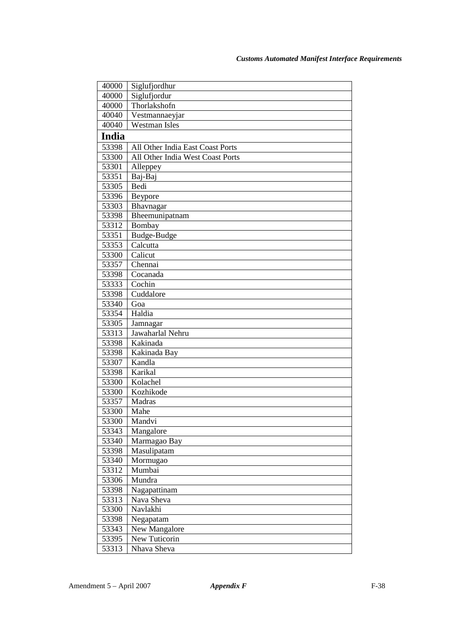| 40000        | Siglufjordhur                    |
|--------------|----------------------------------|
| 40000        | Siglufjordur                     |
| 40000        | Thorlakshofn                     |
| 40040        | Vestmannaeyjar                   |
| 40040        | <b>Westman Isles</b>             |
| <b>India</b> |                                  |
| 53398        | All Other India East Coast Ports |
| 53300        | All Other India West Coast Ports |
| 53301        | Alleppey                         |
| 53351        | Baj-Baj                          |
| 53305        | Bedi                             |
| 53396        | Beypore                          |
| 53303        | Bhavnagar                        |
| 53398        | Bheemunipatnam                   |
| 53312        | Bombay                           |
| 53351        | Budge-Budge                      |
| 53353        | Calcutta                         |
| 53300        | Calicut                          |
| 53357        | Chennai                          |
| 53398        | Cocanada                         |
| 53333        | Cochin                           |
| 53398        | Cuddalore                        |
| 53340        | Goa                              |
| 53354        | Haldia                           |
| 53305        | Jamnagar                         |
| 53313        | Jawaharlal Nehru                 |
| 53398        | Kakinada                         |
| 53398        | Kakinada Bay                     |
| 53307        | Kandla                           |
| 53398        | Karikal                          |
| 53300        | Kolachel                         |
| 53300        | Kozhikode                        |
| 53357        | Madras                           |
| 53300        | Mahe                             |
| 53300        | Mandvi                           |
| 53343        | Mangalore                        |
| 53340        | Marmagao Bay                     |
| 53398        | Masulipatam                      |
| 53340        | Mormugao                         |
| 53312        | Mumbai                           |
| 53306        | Mundra                           |
| 53398        | Nagapattinam                     |
| 53313        | Nava Sheva                       |
| 53300        | Navlakhi                         |
| 53398        | Negapatam                        |
| 53343        | New Mangalore                    |
| 53395        | New Tuticorin                    |
| 53313        | Nhava Sheva                      |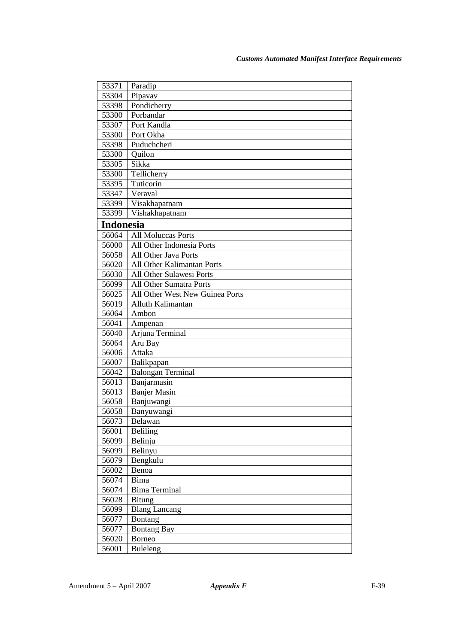| 53371            | Paradip                         |
|------------------|---------------------------------|
| 53304            | Pipavav                         |
| 53398            | Pondicherry                     |
| 53300            | Porbandar                       |
| 53307            | Port Kandla                     |
| 53300            | Port Okha                       |
| 53398            | Puduchcheri                     |
| 53300            | Quilon                          |
| 53305            | Sikka                           |
| 53300            | Tellicherry                     |
| 53395            | Tuticorin                       |
| 53347            | Veraval                         |
| 53399            | Visakhapatnam                   |
| 53399            | Vishakhapatnam                  |
| <b>Indonesia</b> |                                 |
| 56064            | <b>All Moluccas Ports</b>       |
| 56000            | All Other Indonesia Ports       |
| 56058            | All Other Java Ports            |
| 56020            | All Other Kalimantan Ports      |
| 56030            | All Other Sulawesi Ports        |
| 56099            | All Other Sumatra Ports         |
| 56025            | All Other West New Guinea Ports |
| 56019            | Alluth Kalimantan               |
| 56064            | Ambon                           |
| 56041            | Ampenan                         |
| 56040            | Arjuna Terminal                 |
| 56064            | Aru Bay                         |
| 56006            | Attaka                          |
| 56007            | Balikpapan                      |
| 56042            | <b>Balongan Terminal</b>        |
| 56013            | Banjarmasin                     |
| 56013            | <b>Banjer Masin</b>             |
| 56058            | Banjuwangi                      |
| 56058            | Banyuwangi                      |
| 56073            | Belawan                         |
| 56001            | Beliling                        |
| 56099            | Belinju                         |
| 56099            | Belinyu                         |
| 56079            | Bengkulu                        |
| 56002            | Benoa                           |
| 56074            | Bima                            |
| 56074            | <b>Bima Terminal</b>            |
| 56028            | <b>Bitung</b>                   |
| 56099            | <b>Blang Lancang</b>            |
| 56077            | <b>Bontang</b>                  |
| 56077            | <b>Bontang Bay</b>              |
| 56020            | Borneo                          |
| 56001            | <b>Buleleng</b>                 |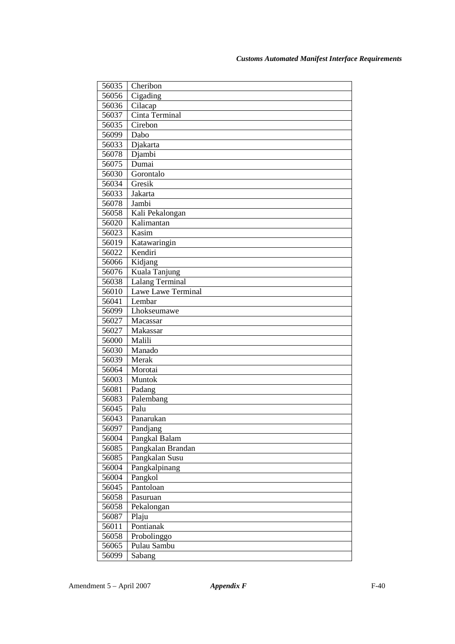| 56035 | Cheribon           |
|-------|--------------------|
| 56056 | Cigading           |
| 56036 | Cilacap            |
| 56037 | Cinta Terminal     |
| 56035 | Cirebon            |
| 56099 | Dabo               |
| 56033 | Djakarta           |
| 56078 | Djambi             |
| 56075 | Dumai              |
| 56030 | Gorontalo          |
| 56034 | Gresik             |
| 56033 | Jakarta            |
| 56078 | Jambi              |
| 56058 | Kali Pekalongan    |
| 56020 | Kalimantan         |
| 56023 | Kasim              |
| 56019 | Katawaringin       |
| 56022 | Kendiri            |
| 56066 | Kidjang            |
| 56076 | Kuala Tanjung      |
| 56038 | Lalang Terminal    |
| 56010 | Lawe Lawe Terminal |
| 56041 | Lembar             |
| 56099 | Lhokseumawe        |
| 56027 | Macassar           |
| 56027 | Makassar           |
| 56000 | Malili             |
| 56030 | Manado             |
| 56039 | Merak              |
| 56064 | Morotai            |
| 56003 | Muntok             |
| 56081 | Padang             |
| 56083 | Palembang          |
| 56045 | Palu               |
| 56043 | Panarukan          |
| 56097 | Pandjang           |
| 56004 | Pangkal Balam      |
| 56085 | Pangkalan Brandan  |
| 56085 | Pangkalan Susu     |
| 56004 | Pangkalpinang      |
| 56004 | Pangkol            |
| 56045 | Pantoloan          |
| 56058 | Pasuruan           |
| 56058 | Pekalongan         |
| 56087 | Plaju              |
| 56011 | Pontianak          |
| 56058 | Probolinggo        |
| 56065 | Pulau Sambu        |
| 56099 | Sabang             |
|       |                    |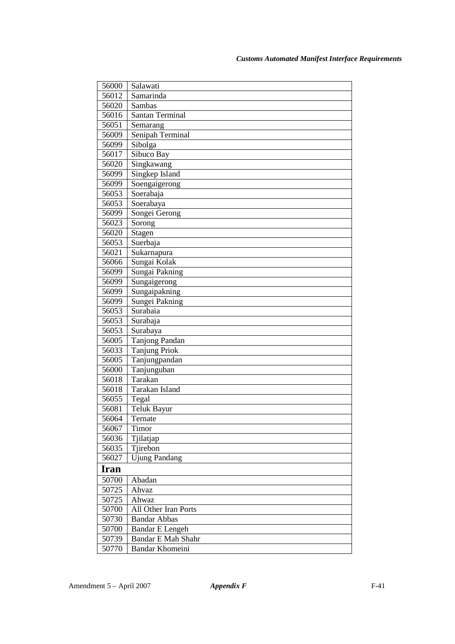| 56000       | Salawati               |
|-------------|------------------------|
| 56012       | Samarinda              |
| 56020       | Sambas                 |
| 56016       | <b>Santan Terminal</b> |
| 56051       | Semarang               |
| 56009       | Senipah Terminal       |
| 56099       | Sibolga                |
| 56017       | Sibuco Bay             |
| 56020       | Singkawang             |
| 56099       | Singkep Island         |
| 56099       | Soengaigerong          |
| 56053       | Soerabaja              |
| 56053       | Soerabaya              |
| 56099       | Songei Gerong          |
| 56023       | Sorong                 |
| 56020       | Stagen                 |
| 56053       | Suerbaja               |
| 56021       | Sukarnapura            |
| 56066       | Sungai Kolak           |
| 56099       | Sungai Pakning         |
| 56099       | Sungaigerong           |
| 56099       | Sungaipakning          |
| 56099       | Sungei Pakning         |
| 56053       | Surabaia               |
| 56053       | Surabaja               |
| 56053       | Surabaya               |
| 56005       | Tanjong Pandan         |
| 56033       | Tanjung Priok          |
| 56005       | Tanjungpandan          |
| 56000       | Tanjunguban            |
| 56018       | Tarakan                |
| 56018       | Tarakan Island         |
| 56055       | Tegal                  |
| 56081       | Teluk Bayur            |
| 56064       | Ternate                |
| 56067       | Timor                  |
| 56036       | Tjilatjap              |
| 56035       | Tjirebon               |
| 56027       | <b>Ujung Pandang</b>   |
| <b>Iran</b> |                        |
| 50700       | Abadan                 |
| 50725       | Ahvaz                  |
| 50725       | Ahwaz                  |
| 50700       | All Other Iran Ports   |
| 50730       | <b>Bandar Abbas</b>    |
| 50700       | <b>Bandar E Lengeh</b> |
| 50739       | Bandar E Mah Shahr     |
| 50770       | Bandar Khomeini        |
|             |                        |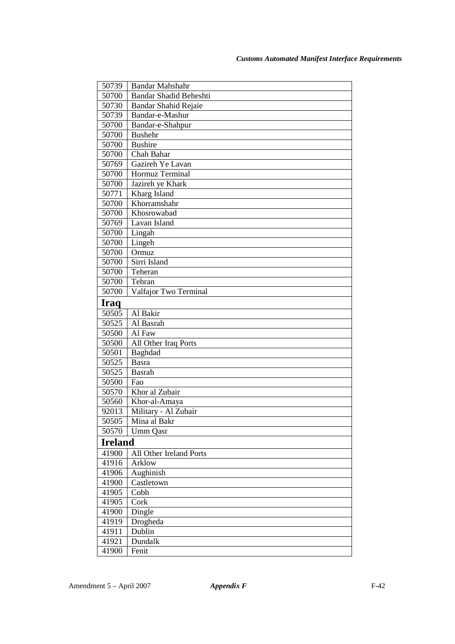| 50739          | <b>Bandar Mahshahr</b>  |
|----------------|-------------------------|
| 50700          | Bandar Shadid Beheshti  |
| 50730          | Bandar Shahid Rejaie    |
| 50739          | Bandar-e-Mashur         |
| 50700          | Bandar-e-Shahpur        |
| 50700          | <b>Bushehr</b>          |
| 50700          | <b>Bushire</b>          |
| 50700          | Chah Bahar              |
| 50769          | Gazireh Ye Lavan        |
| 50700          | Hormuz Terminal         |
| 50700          | Jazireh ye Khark        |
| 50771          | Kharg Island            |
| 50700          | Khorramshahr            |
| 50700          | Khosrowabad             |
| 50769          | Lavan Island            |
| 50700          | Lingah                  |
| 50700          | Lingeh                  |
| 50700          | Ormuz                   |
| 50700          | Sirri Island            |
| 50700          | Teheran                 |
| 50700          | Tehran                  |
| 50700          | Valfajor Two Terminal   |
| Iraq           |                         |
| 50505          | Al Bakir                |
| 50525          | Al Basrah               |
| 50500          | Al Faw                  |
| 50500          | All Other Iraq Ports    |
| 50501          | Baghdad                 |
| 50525          | <b>Basra</b>            |
| 50525          | Basrah                  |
| 50500          | Fao                     |
| 50570          | Khor al Zubair          |
| 50560          | Khor-al-Amaya           |
| 92013          | Military - Al Zubair    |
| 50505<br>50570 | Mina al Bakr            |
|                | Umm Qasr                |
| <b>Ireland</b> |                         |
| 41900          | All Other Ireland Ports |
| 41916          | Arklow                  |
| 41906          | Aughinish               |
| 41900          | Castletown              |
| 41905          | Cobh                    |
| 41905          | Cork                    |
| 41900          | Dingle                  |
| 41919<br>41911 | Drogheda<br>Dublin      |
|                |                         |
| 41921          | Dundalk                 |
| 41900          | Fenit                   |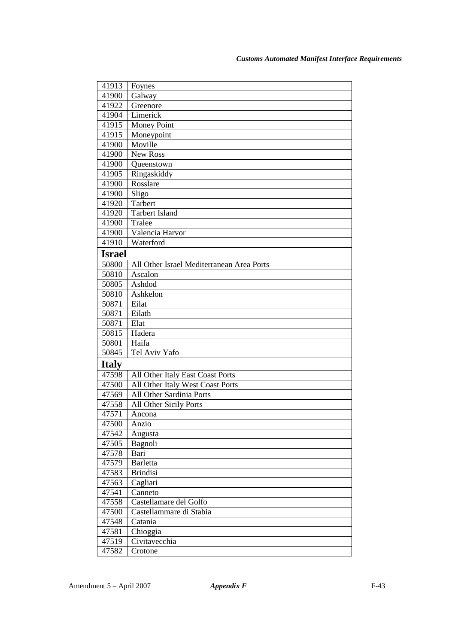| 41913         | Foynes                                    |
|---------------|-------------------------------------------|
| 41900         | Galway                                    |
| 41922         | Greenore                                  |
| 41904         | Limerick                                  |
| 41915         | <b>Money Point</b>                        |
| 41915         | Moneypoint                                |
| 41900         | Moville                                   |
| 41900         | New Ross                                  |
| 41900         | Queenstown                                |
| 41905         | Ringaskiddy                               |
| 41900         | Rosslare                                  |
| 41900         | Sligo                                     |
| 41920         | Tarbert                                   |
| 41920         | <b>Tarbert Island</b>                     |
| 41900         | Tralee                                    |
| 41900         | Valencia Harvor                           |
| 41910         | Waterford                                 |
| <b>Israel</b> |                                           |
| 50800         | All Other Israel Mediterranean Area Ports |
| 50810         | Ascalon                                   |
| 50805         | Ashdod                                    |
| 50810         | Ashkelon                                  |
| 50871         | Eilat                                     |
| 50871         | Eilath                                    |
| 50871         | Elat                                      |
| 50815         | Hadera                                    |
| 50801         | Haifa                                     |
| 50845         | Tel Aviv Yafo                             |
| <b>Italy</b>  |                                           |
| 47598         | All Other Italy East Coast Ports          |
| 47500         | All Other Italy West Coast Ports          |
| 47569         | All Other Sardinia Ports                  |
| 47558         | All Other Sicily Ports                    |
| 47571         | Ancona                                    |
| 47500         | Anzio                                     |
| 47542         | Augusta                                   |
| 47505         | Bagnoli                                   |
| 47578         | Bari                                      |
| 47579         | <b>Barletta</b>                           |
| 47583         | <b>Brindisi</b>                           |
| 47563         | Cagliari                                  |
| 47541         | Canneto                                   |
| 47558         | Castellamare del Golfo                    |
| 47500         | Castellammare di Stabia                   |
| 47548         | Catania                                   |
| 47581         | Chioggia                                  |
| 47519         | Civitavecchia                             |
| 47582         | Crotone                                   |
|               |                                           |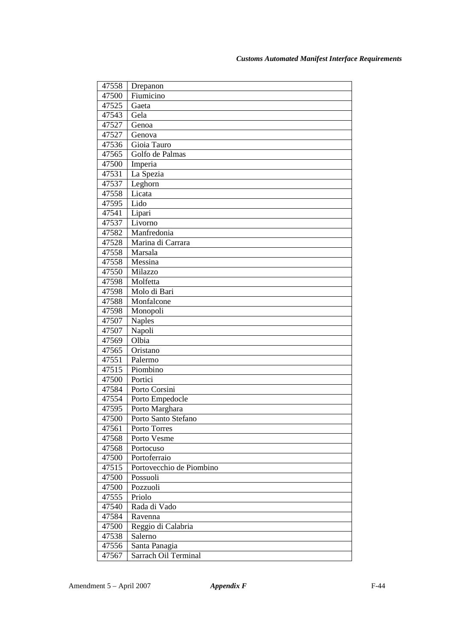| 47558          | Drepanon                 |
|----------------|--------------------------|
| 47500          | Fiumicino                |
| 47525          | Gaeta                    |
| 47543          | Gela                     |
| 47527          | Genoa                    |
| 47527          | Genova                   |
| 47536          | Gioia Tauro              |
| 47565          | Golfo de Palmas          |
| 47500          | Imperia                  |
| 47531          | La Spezia                |
| 47537          | Leghorn                  |
| 47558          | Licata                   |
| 47595          | Lido                     |
| 47541          | Lipari                   |
| 47537          | Livorno                  |
| 47582          | Manfredonia              |
| 47528          | Marina di Carrara        |
| 47558          | Marsala                  |
| 47558          | Messina                  |
| 47550          | Milazzo                  |
| 47598          | Molfetta                 |
| 47598          | Molo di Bari             |
| 47588          | Monfalcone               |
| 47598          | Monopoli                 |
| 47507          | <b>Naples</b>            |
| 47507          | Napoli                   |
| 47569          | Olbia                    |
| 47565          | Oristano                 |
| 47551<br>47515 | Palermo<br>Piombino      |
| 47500          | Portici                  |
| 47584          | Porto Corsini            |
| 47554          | Porto Empedocle          |
| 47595          | Porto Marghara           |
| 47500          | Porto Santo Stefano      |
| 47561          | Porto Torres             |
| 47568          | Porto Vesme              |
| 47568          | Portocuso                |
| 47500          | Portoferraio             |
| 47515          | Portovecchio de Piombino |
| 47500          | Possuoli                 |
| 47500          | Pozzuoli                 |
| 47555          | Priolo                   |
| 47540          | Rada di Vado             |
| 47584          | Ravenna                  |
| 47500          | Reggio di Calabria       |
| 47538          | Salerno                  |
| 47556          | Santa Panagia            |
| 47567          | Sarrach Oil Terminal     |
|                |                          |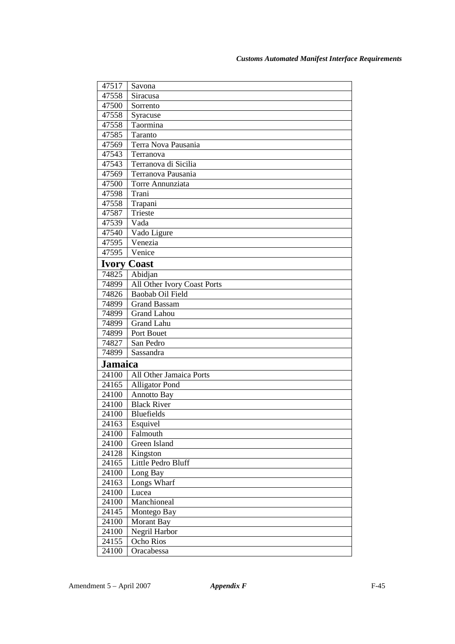| 47517   | Savona                      |
|---------|-----------------------------|
| 47558   | Siracusa                    |
| 47500   | Sorrento                    |
| 47558   | Syracuse                    |
| 47558   | Taormina                    |
| 47585   | Taranto                     |
| 47569   | Terra Nova Pausania         |
| 47543   | Terranova                   |
| 47543   | Terranova di Sicilia        |
| 47569   | Terranova Pausania          |
| 47500   | Torre Annunziata            |
| 47598   | Trani                       |
| 47558   | Trapani                     |
| 47587   | Trieste                     |
| 47539   | Vada                        |
| 47540   | Vado Ligure                 |
| 47595   | Venezia                     |
| 47595   | Venice                      |
|         | <b>Ivory Coast</b>          |
| 74825   | Abidjan                     |
| 74899   | All Other Ivory Coast Ports |
| 74826   | Baobab Oil Field            |
| 74899   | <b>Grand Bassam</b>         |
| 74899   | <b>Grand Lahou</b>          |
| 74899   | <b>Grand Lahu</b>           |
| 74899   | Port Bouet                  |
| 74827   | San Pedro                   |
| 74899   | Sassandra                   |
| Jamaica |                             |
| 24100   | All Other Jamaica Ports     |
| 24165   | <b>Alligator Pond</b>       |
| 24100   | Annotto Bay                 |
| 24100   | <b>Black River</b>          |
| 24100   | <b>Bluefields</b>           |
| 24163   | Esquivel                    |
| 24100   | Falmouth                    |
| 24100   | Green Island                |
| 24128   | Kingston                    |
| 24165   | Little Pedro Bluff          |
| 24100   | Long Bay                    |
| 24163   | Longs Wharf                 |
| 24100   | Lucea                       |
| 24100   | Manchioneal                 |
| 24145   | Montego Bay                 |
| 24100   | Morant Bay                  |
| 24100   | Negril Harbor               |
| 24155   | Ocho Rios                   |
| 24100   | Oracabessa                  |
|         |                             |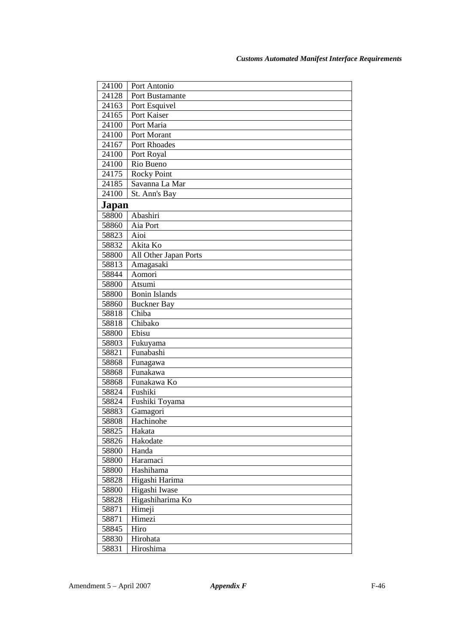| 24100 | Port Antonio          |
|-------|-----------------------|
| 24128 | Port Bustamante       |
| 24163 | Port Esquivel         |
| 24165 | Port Kaiser           |
| 24100 | Port Maria            |
| 24100 | Port Morant           |
| 24167 | Port Rhoades          |
| 24100 | Port Royal            |
| 24100 | Rio Bueno             |
| 24175 | <b>Rocky Point</b>    |
| 24185 | Savanna La Mar        |
| 24100 | St. Ann's Bay         |
| Japan |                       |
| 58800 | Abashiri              |
| 58860 | Aia Port              |
| 58823 | Aioi                  |
| 58832 | Akita Ko              |
| 58800 | All Other Japan Ports |
| 58813 | Amagasaki             |
| 58844 | Aomori                |
| 58800 | Atsumi                |
| 58800 | <b>Bonin Islands</b>  |
| 58860 | <b>Buckner</b> Bay    |
| 58818 | Chiba                 |
| 58818 | Chibako               |
| 58800 | Ebisu                 |
| 58803 | Fukuyama              |
| 58821 | Funabashi             |
| 58868 | Funagawa              |
| 58868 | Funakawa              |
| 58868 | Funakawa Ko           |
| 58824 | Fushiki               |
| 58824 | Fushiki Toyama        |
| 58883 | Gamagori              |
| 58808 | Hachinohe             |
| 58825 | Hakata                |
| 58826 | Hakodate              |
| 58800 | Handa                 |
| 58800 | Haramaci              |
| 58800 | Hashihama             |
| 58828 | Higashi Harima        |
| 58800 | Higashi Iwase         |
| 58828 | Higashiharima Ko      |
| 58871 | Himeji                |
| 58871 | Himezi                |
| 58845 | Hiro                  |
| 58830 | Hirohata              |
| 58831 | Hiroshima             |
|       |                       |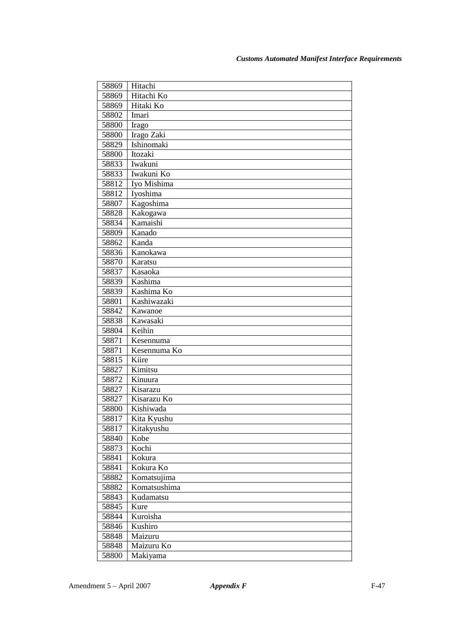| 58869          | Hitachi                   |
|----------------|---------------------------|
| 58869          | Hitachi Ko                |
| 58869          | Hitaki Ko                 |
| 58802          | Imari                     |
| 58800          | Irago                     |
| 58800          | Irago Zaki                |
| 58829          | Ishinomaki                |
| 58800          | Itozaki                   |
| 58833          | Iwakuni                   |
| 58833          | Iwakuni Ko                |
| 58812          | Iyo Mishima               |
| 58812          | Iyoshima                  |
| 58807          | Kagoshima                 |
| 58828          | Kakogawa                  |
| 58834          | Kamaishi                  |
| 58809          | Kanado                    |
| 58862          | Kanda                     |
| 58836          | Kanokawa                  |
| 58870          | Karatsu                   |
| 58837          | Kasaoka                   |
| 58839          | Kashima                   |
| 58839          | Kashima Ko<br>Kashiwazaki |
| 58801          |                           |
| 58842          | Kawanoe                   |
| 58838          | Kawasaki<br>Keihin        |
| 58804<br>58871 | Kesennuma                 |
| 58871          | Kesennuma Ko              |
| 58815          | Kiire                     |
| 58827          | Kimitsu                   |
| 58872          | Kinuura                   |
| 58827          | Kisarazu                  |
| 58827          | Kisarazu Ko               |
| 58800          | Kishiwada                 |
| 58817          | Kita Kyushu               |
| 58817          | Kitakyushu                |
| 58840          | Kobe                      |
| 58873          | Kochi                     |
| 58841          | Kokura                    |
| 58841          | Kokura Ko                 |
| 58882          | Komatsujima               |
| 58882          | Komatsushima              |
| 58843          | Kudamatsu                 |
| 58845          | Kure                      |
| 58844          | Kuroisha                  |
| 58846          | Kushiro                   |
| 58848          | Maizuru                   |
| 58848          | Maizuru Ko                |
| 58800          | Makiyama                  |
|                |                           |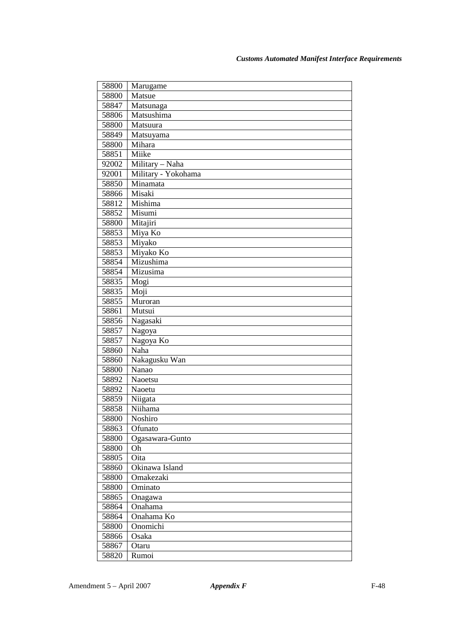| 58800          | Marugame                   |
|----------------|----------------------------|
| 58800          | Matsue                     |
| 58847          | Matsunaga                  |
| 58806          | Matsushima                 |
| 58800          | Matsuura                   |
| 58849          | Matsuyama                  |
| 58800          | Mihara                     |
| 58851          | Miike                      |
| 92002          | Military - Naha            |
| 92001          | Military - Yokohama        |
| 58850          | Minamata                   |
| 58866          | Misaki                     |
| 58812          | Mishima                    |
| 58852          | Misumi                     |
| 58800          | Mitajiri                   |
| 58853          | Miya Ko                    |
| 58853          | Miyako                     |
| 58853          | Miyako Ko                  |
| 58854          | Mizushima                  |
| 58854          | Mizusima                   |
| 58835          | Mogi                       |
| 58835          | Moji                       |
| 58855          | Muroran                    |
| 58861          | Mutsui                     |
| 58856          | Nagasaki                   |
| 58857          | Nagoya                     |
| 58857          | Nagoya Ko                  |
| 58860          | Naha                       |
| 58860          | Nakagusku Wan              |
| 58800          | Nanao                      |
| 58892          | Naoetsu                    |
| 58892          | Naoetu                     |
| 58859          | Niigata                    |
| 58858          | Niihama                    |
| 58800          | Noshiro                    |
| 58863          | Ofunato<br>Ogasawara-Gunto |
| 58800<br>58800 | Oh                         |
| 58805          | Oita                       |
| 58860          | Okinawa Island             |
| 58800          | Omakezaki                  |
| 58800          | Ominato                    |
| 58865          | Onagawa                    |
| 58864          | Onahama                    |
| 58864          | Onahama Ko                 |
| 58800          | Onomichi                   |
| 58866          | Osaka                      |
| 58867          | Otaru                      |
| 58820          | Rumoi                      |
|                |                            |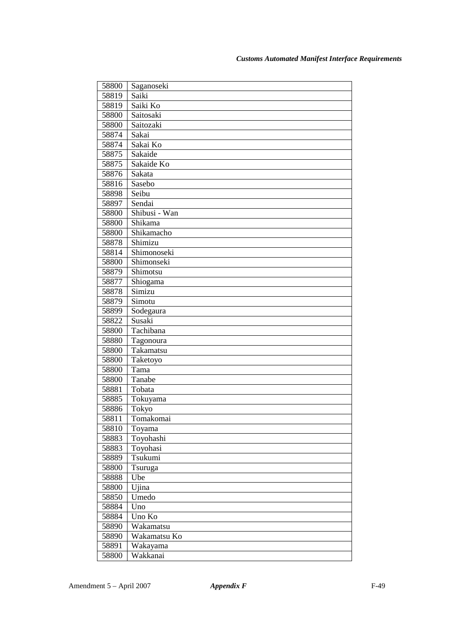| 58800 | Saganoseki    |
|-------|---------------|
| 58819 | Saiki         |
| 58819 | Saiki Ko      |
| 58800 | Saitosaki     |
| 58800 | Saitozaki     |
| 58874 | Sakai         |
| 58874 | Sakai Ko      |
| 58875 | Sakaide       |
| 58875 | Sakaide Ko    |
| 58876 | Sakata        |
| 58816 | Sasebo        |
| 58898 | Seibu         |
| 58897 | Sendai        |
| 58800 | Shibusi - Wan |
| 58800 | Shikama       |
| 58800 | Shikamacho    |
| 58878 | Shimizu       |
| 58814 | Shimonoseki   |
| 58800 | Shimonseki    |
| 58879 | Shimotsu      |
| 58877 | Shiogama      |
| 58878 | Simizu        |
| 58879 | Simotu        |
| 58899 | Sodegaura     |
| 58822 | Susaki        |
| 58800 | Tachibana     |
| 58880 | Tagonoura     |
| 58800 | Takamatsu     |
| 58800 | Taketoyo      |
| 58800 | Tama          |
| 58800 | Tanabe        |
| 58881 | Tobata        |
| 58885 | Tokuyama      |
| 58886 | Tokyo         |
| 58811 | Tomakomai     |
| 58810 | Toyama        |
| 58883 | Toyohashi     |
| 58883 | Toyohasi      |
| 58889 | Tsukumi       |
| 58800 | Tsuruga       |
| 58888 | Ube           |
| 58800 | Ujina         |
| 58850 | Umedo         |
| 58884 | Uno           |
| 58884 | Uno Ko        |
| 58890 | Wakamatsu     |
| 58890 | Wakamatsu Ko  |
| 58891 | Wakayama      |
| 58800 | Wakkanai      |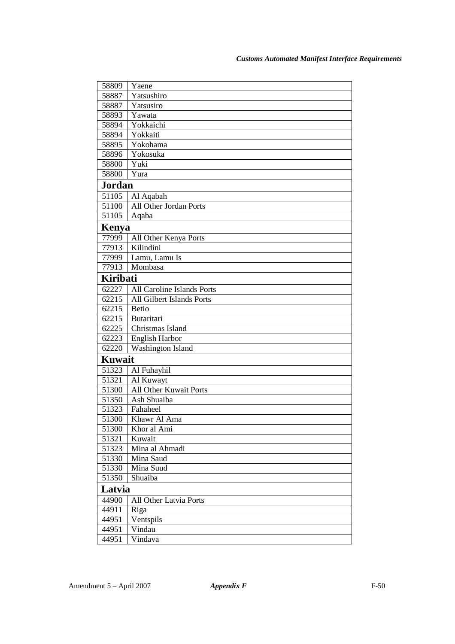| 58809           | Yaene                      |
|-----------------|----------------------------|
| 58887           | Yatsushiro                 |
| 58887           | Yatsusiro                  |
| 58893           | Yawata                     |
| 58894           | Yokkaichi                  |
| 58894           | Yokkaiti                   |
| 58895           | Yokohama                   |
| 58896           | Yokosuka                   |
| 58800           | Yuki                       |
| 58800           | Yura                       |
| <b>Jordan</b>   |                            |
| 51105           | Al Aqabah                  |
| 51100           | All Other Jordan Ports     |
| 51105           | Aqaba                      |
| Kenya           |                            |
| 77999           | All Other Kenya Ports      |
| 77913           | Kilindini                  |
| 77999           | Lamu, Lamu Is              |
| 77913           | Mombasa                    |
| <b>Kiribati</b> |                            |
| 62227           | All Caroline Islands Ports |
| 62215           | All Gilbert Islands Ports  |
| 62215           | <b>Betio</b>               |
| 62215           | <b>Butaritari</b>          |
| 62225           | Christmas Island           |
| 62223           | <b>English Harbor</b>      |
| 62220           | Washington Island          |
| <b>Kuwait</b>   |                            |
| 51323           | Al Fuhayhil                |
| 51321           | Al Kuwayt                  |
| 51300           | All Other Kuwait Ports     |
| 51350           | Ash Shuaiba                |
| 51323           | Fahaheel                   |
| 51300           | Khawr Al Ama               |
| 51300           | Khor al Ami                |
| 51321           | Kuwait                     |
| 51323           | Mina al Ahmadi             |
| 51330           | Mina Saud                  |
| 51330           | Mina Suud                  |
| 51350           | Shuaiba                    |
| Latvia          |                            |
| 44900           | All Other Latvia Ports     |
| 44911           | Riga                       |
| 44951           | Ventspils                  |
| 44951           | Vindau                     |
| 44951           | Vindava                    |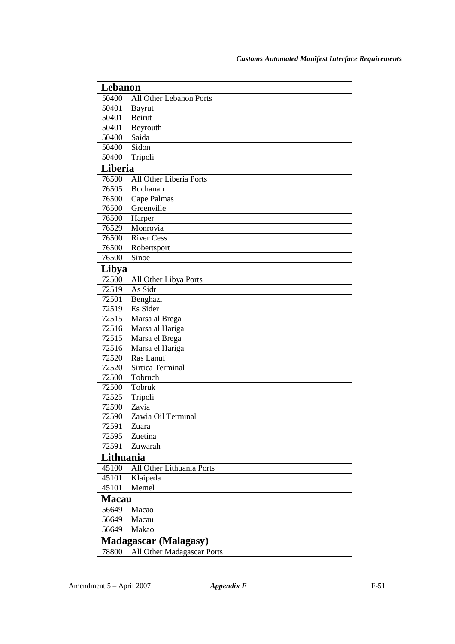| Lebanon      |                              |
|--------------|------------------------------|
| 50400        | All Other Lebanon Ports      |
| 50401        | Bayrut                       |
| 50401        | Beirut                       |
| 50401        | Beyrouth                     |
| 50400        | Saida                        |
| 50400        | Sidon                        |
| 50400        | Tripoli                      |
| Liberia      |                              |
| 76500        | All Other Liberia Ports      |
| 76505        | Buchanan                     |
| 76500        | Cape Palmas                  |
| 76500        | Greenville                   |
| 76500        | Harper                       |
| 76529        | Monrovia                     |
| 76500        | <b>River Cess</b>            |
| 76500        | Robertsport                  |
| 76500        | Sinoe                        |
| Libya        |                              |
| 72500        | All Other Libya Ports        |
| 72519        | As Sidr                      |
| 72501        | Benghazi                     |
| 72519        | Es Sider                     |
| 72515        | Marsa al Brega               |
| 72516        | Marsa al Hariga              |
| 72515        | Marsa el Brega               |
| 72516        | Marsa el Hariga              |
| 72520        | Ras Lanuf                    |
| 72520        | Sirtica Terminal             |
| 72500        | Tobruch                      |
| 72500        | Tobruk                       |
| 72525        | Tripoli                      |
| 72590        | Zavia                        |
| 72590        | Zawia Oil Terminal           |
| 72591        | Zuara                        |
| 72595        | Zuetina                      |
| 72591        | Zuwarah                      |
| Lithuania    |                              |
| 45100        | All Other Lithuania Ports    |
| 45101        | Klaipeda                     |
| 45101        | Memel                        |
| <b>Macau</b> |                              |
| 56649        | Macao                        |
| 56649        | Macau                        |
| 56649        | Makao                        |
|              | <b>Madagascar (Malagasy)</b> |
| 78800        | All Other Madagascar Ports   |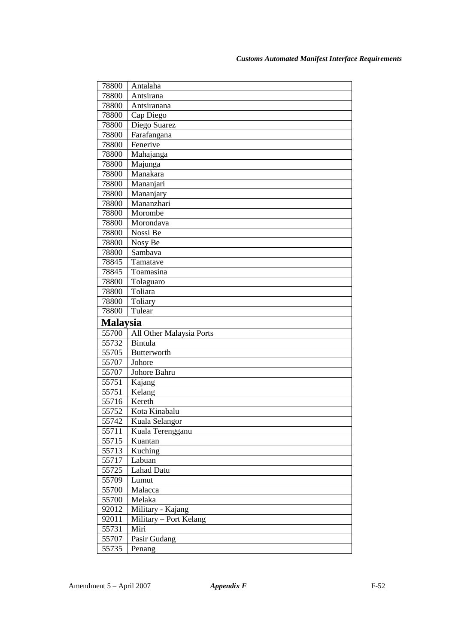| 78800<br>Antalaha<br>78800<br>Antsirana<br>78800<br>Antsiranana |  |
|-----------------------------------------------------------------|--|
|                                                                 |  |
|                                                                 |  |
|                                                                 |  |
| 78800<br>Cap Diego                                              |  |
| Diego Suarez<br>78800                                           |  |
| Farafangana<br>78800                                            |  |
| Fenerive<br>78800                                               |  |
| Mahajanga<br>78800                                              |  |
| 78800<br>Majunga                                                |  |
| Manakara<br>78800                                               |  |
| 78800<br>Mananjari                                              |  |
| 78800<br>Mananjary                                              |  |
| Mananzhari<br>78800                                             |  |
| Morombe<br>78800                                                |  |
| 78800<br>Morondava                                              |  |
| Nossi Be<br>78800                                               |  |
| 78800<br>Nosy Be                                                |  |
| Sambava<br>78800                                                |  |
| 78845<br>Tamatave                                               |  |
| Toamasina<br>78845                                              |  |
| Tolaguaro<br>78800                                              |  |
| Toliara<br>78800                                                |  |
| Toliary<br>78800                                                |  |
| Tulear<br>78800                                                 |  |
|                                                                 |  |
| <b>Malaysia</b>                                                 |  |
| 55700<br>All Other Malaysia Ports                               |  |
| Bintula<br>55732                                                |  |
| 55705<br><b>Butterworth</b>                                     |  |
| 55707<br>Johore                                                 |  |
| 55707<br>Johore Bahru                                           |  |
| 55751<br>Kajang                                                 |  |
| Kelang<br>55751                                                 |  |
| Kereth<br>55716                                                 |  |
| Kota Kinabalu<br>55752                                          |  |
| 55742<br>Kuala Selangor                                         |  |
| 55711<br>Kuala Terengganu                                       |  |
| 55715<br>Kuantan                                                |  |
| 55713<br>Kuching                                                |  |
| 55717<br>Labuan                                                 |  |
| Lahad Datu<br>55725                                             |  |
| 55709<br>Lumut                                                  |  |
| Malacca<br>55700                                                |  |
| 55700<br>Melaka                                                 |  |
| Military - Kajang<br>92012                                      |  |
| Military - Port Kelang<br>92011                                 |  |
| Miri<br>55731                                                   |  |
| 55707<br>Pasir Gudang<br>55735<br>Penang                        |  |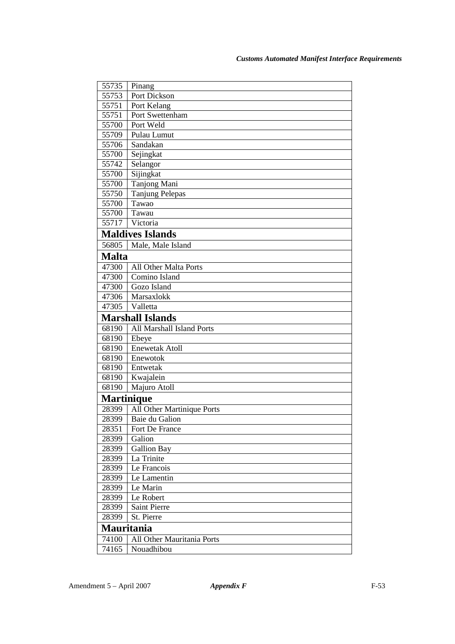| 55735             | Pinang                     |
|-------------------|----------------------------|
| 55753             | Port Dickson               |
| 55751             | Port Kelang                |
| 55751             | Port Swettenham            |
| 55700             | Port Weld                  |
| 55709             | Pulau Lumut                |
| 55706             | Sandakan                   |
| 55700             | Sejingkat                  |
| 55742             | Selangor                   |
| 55700             | Sijingkat                  |
| 55700             | Tanjong Mani               |
| 55750             | <b>Tanjung Pelepas</b>     |
| 55700             | Tawao                      |
| 55700             | Tawau                      |
| 55717             | Victoria                   |
|                   | <b>Maldives Islands</b>    |
| 56805             | Male, Male Island          |
| <b>Malta</b>      |                            |
| 47300             | All Other Malta Ports      |
| 47300             | Comino Island              |
| 47300             | Gozo Island                |
| 47306             | Marsaxlokk                 |
| 47305             | Valletta                   |
|                   | <b>Marshall Islands</b>    |
| 68190             | All Marshall Island Ports  |
| 68190             | Ebeye                      |
| 68190             | <b>Enewetak Atoll</b>      |
| 68190             | Enewotok                   |
| 68190             | Entwetak                   |
| 68190             | Kwajalein                  |
| 68190             | Majuro Atoll               |
| <b>Martinique</b> |                            |
| 28399             | All Other Martinique Ports |
| 28399             | Baie du Galion             |
| 28351             | Fort De France             |
| 28399             | Galion                     |
| 28399             | <b>Gallion Bay</b>         |
| 28399             | La Trinite                 |
| 28399             | Le Francois                |
| 28399             | Le Lamentin                |
| 28399             | Le Marin                   |
| 28399             | Le Robert                  |
| 28399             | Saint Pierre               |
| 28399             | St. Pierre                 |
| <b>Mauritania</b> |                            |
| 74100             | All Other Mauritania Ports |
| 74165             | Nouadhibou                 |
|                   |                            |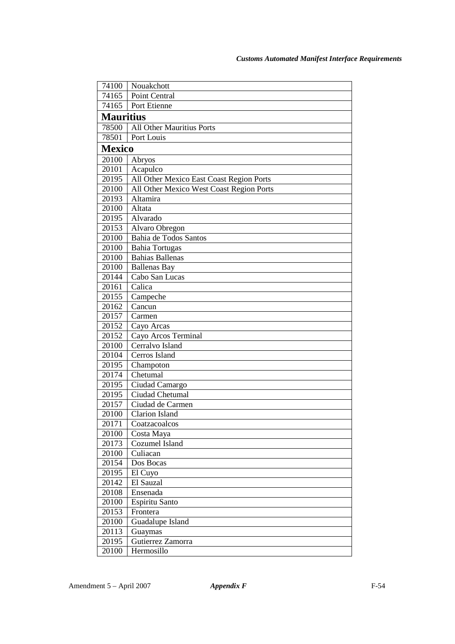| 74100            | Nouakchott                               |
|------------------|------------------------------------------|
| 74165            | Point Central                            |
| 74165            | Port Etienne                             |
| <b>Mauritius</b> |                                          |
| 78500            | All Other Mauritius Ports                |
| 78501            | Port Louis                               |
| <b>Mexico</b>    |                                          |
| 20100            | Abryos                                   |
| 20101            | Acapulco                                 |
| 20195            | All Other Mexico East Coast Region Ports |
| 20100            | All Other Mexico West Coast Region Ports |
| 20193            | Altamira                                 |
| 20100            | Altata                                   |
| 20195            | Alvarado                                 |
| 20153            | Alvaro Obregon                           |
| 20100            | Bahia de Todos Santos                    |
| 20100            | <b>Bahia Tortugas</b>                    |
| 20100            | <b>Bahias Ballenas</b>                   |
| 20100            | <b>Ballenas Bay</b>                      |
| 20144            | Cabo San Lucas                           |
| 20161            | Calica                                   |
| 20155            | Campeche                                 |
| 20162            | Cancun                                   |
| 20157            | Carmen                                   |
| 20152            | Cayo Arcas                               |
| 20152            | Cayo Arcos Terminal                      |
| 20100            | Cerralvo Island                          |
| 20104            | Cerros Island                            |
| 20195            | Champoton                                |
| 20174            | Chetumal                                 |
| 20195            | Ciudad Camargo                           |
| 20195            | Ciudad Chetumal                          |
| 20157            | Ciudad de Carmen                         |
| 20100            | <b>Clarion Island</b>                    |
| 20171            | Coatzacoalcos                            |
| 20100            | Costa Maya                               |
| 20173            | Cozumel Island                           |
| 20100            | Culiacan                                 |
| 20154            | Dos Bocas                                |
| 20195            | El Cuyo                                  |
| 20142            | El Sauzal                                |
| 20108            | Ensenada                                 |
| 20100            | Espiritu Santo                           |
| 20153            | Frontera                                 |
| 20100            | Guadalupe Island                         |
| 20113            | Guaymas                                  |
| 20195            | Gutierrez Zamorra                        |
| 20100            | Hermosillo                               |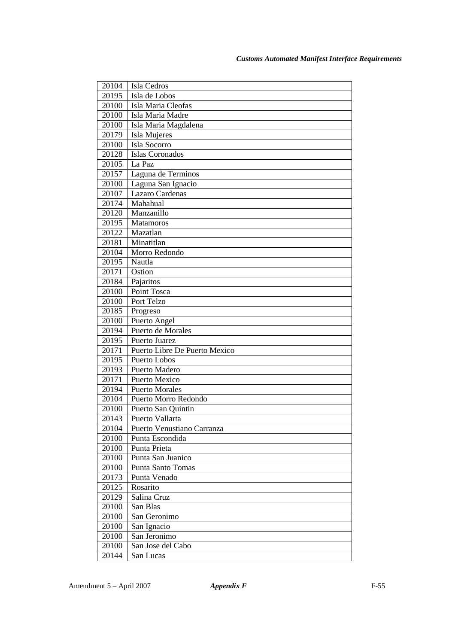| 20104 | Isla Cedros                   |
|-------|-------------------------------|
| 20195 | Isla de Lobos                 |
| 20100 | Isla Maria Cleofas            |
| 20100 | Isla Maria Madre              |
| 20100 | Isla Maria Magdalena          |
| 20179 | Isla Mujeres                  |
| 20100 | Isla Socorro                  |
| 20128 | Islas Coronados               |
| 20105 | La Paz                        |
| 20157 | Laguna de Terminos            |
| 20100 | Laguna San Ignacio            |
| 20107 | Lazaro Cardenas               |
| 20174 | Mahahual                      |
| 20120 | Manzanillo                    |
| 20195 | Matamoros                     |
| 20122 | Mazatlan                      |
| 20181 | Minatitlan                    |
| 20104 | Morro Redondo                 |
| 20195 | Nautla                        |
| 20171 | Ostion                        |
| 20184 | Pajaritos                     |
| 20100 | Point Tosca                   |
| 20100 | Port Telzo                    |
| 20185 | Progreso                      |
| 20100 | Puerto Angel                  |
| 20194 | Puerto de Morales             |
| 20195 | Puerto Juarez                 |
| 20171 | Puerto Libre De Puerto Mexico |
| 20195 | Puerto Lobos                  |
| 20193 | Puerto Madero                 |
| 20171 | Puerto Mexico                 |
| 20194 | Puerto Morales                |
| 20104 | Puerto Morro Redondo          |
| 20100 | Puerto San Quintin            |
| 20143 | Puerto Vallarta               |
| 20104 | Puerto Venustiano Carranza    |
| 20100 | Punta Escondida               |
| 20100 | Punta Prieta                  |
| 20100 | Punta San Juanico             |
| 20100 | <b>Punta Santo Tomas</b>      |
| 20173 | Punta Venado                  |
| 20125 | Rosarito                      |
| 20129 | Salina Cruz                   |
| 20100 | San Blas                      |
| 20100 | San Geronimo                  |
| 20100 | San Ignacio                   |
| 20100 | San Jeronimo                  |
| 20100 | San Jose del Cabo             |
| 20144 | San Lucas                     |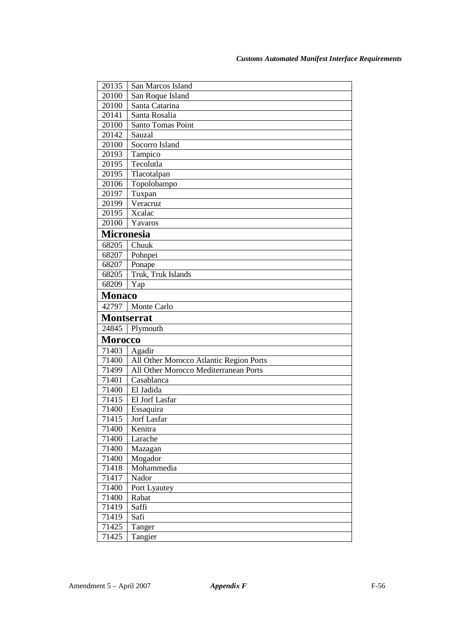| 20135             |                                         |
|-------------------|-----------------------------------------|
|                   | San Marcos Island                       |
| 20100             | San Roque Island                        |
| 20100             | Santa Catarina                          |
| 20141             | Santa Rosalia                           |
| 20100             | Santo Tomas Point                       |
| 20142             | Sauzal                                  |
| 20100             | Socorro Island                          |
| 20193             | Tampico                                 |
| 20195             | Tecolutla                               |
| 20195             | Tlacotalpan                             |
| 20106             | Topolobampo                             |
| 20197             | Tuxpan                                  |
| 20199             | Veracruz                                |
| 20195             | Xcalac                                  |
| 20100             | Yavaros                                 |
| <b>Micronesia</b> |                                         |
| 68205             | Chuuk                                   |
| 68207             | Pohnpei                                 |
| 68207             | Ponape                                  |
| 68205             | Truk, Truk Islands                      |
| 68209             | Yap                                     |
| <b>Monaco</b>     |                                         |
| 42797             | Monte Carlo                             |
| <b>Montserrat</b> |                                         |
| 24845             |                                         |
|                   | Plymouth                                |
| <b>Morocco</b>    |                                         |
| 71403             | Agadir                                  |
| 71400             | All Other Morocco Atlantic Region Ports |
| 71499             | All Other Morocco Mediterranean Ports   |
| 71401             | Casablanca                              |
| 71400             | El Jadida                               |
| 71415             | El Jorf Lasfar                          |
| 71400             | Essaquira                               |
| 71415             | Jorf Lasfar                             |
| 71400             | Kenitra                                 |
| 71400             | Larache                                 |
| 71400             | Mazagan                                 |
| 71400             | Mogador                                 |
| 71418             | Mohammedia                              |
| 71417             | Nador                                   |
| 71400             | Port Lyautey                            |
| 71400             | Rabat                                   |
| 71419             | Saffi                                   |
| 71419             | Safi                                    |
| 71425<br>71425    | Tanger<br>Tangier                       |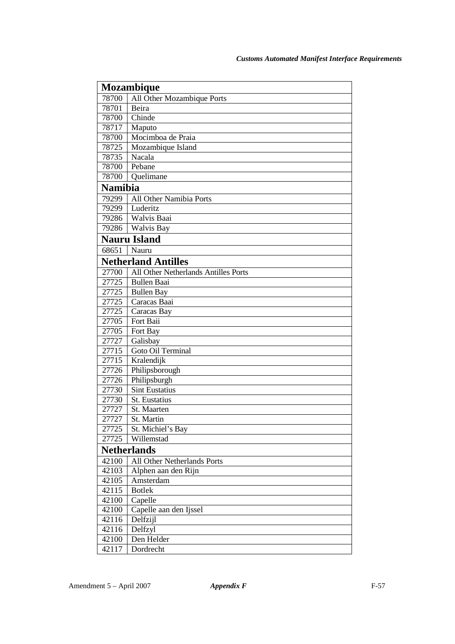| <b>Mozambique</b> |                                      |
|-------------------|--------------------------------------|
| 78700             | All Other Mozambique Ports           |
| 78701             | Beira                                |
| 78700             | Chinde                               |
| 78717             | Maputo                               |
| 78700             | Mocimboa de Praia                    |
| 78725             | Mozambique Island                    |
| 78735             | Nacala                               |
| 78700             | Pebane                               |
| 78700             | Quelimane                            |
| <b>Namibia</b>    |                                      |
| 79299             | All Other Namibia Ports              |
| 79299             | Luderitz                             |
| 79286             | Walvis Baai                          |
| 79286             | Walvis Bay                           |
|                   | <b>Nauru Island</b>                  |
| 68651             | Nauru                                |
|                   | <b>Netherland Antilles</b>           |
| 27700             | All Other Netherlands Antilles Ports |
| 27725             | <b>Bullen Baai</b>                   |
| 27725             | <b>Bullen Bay</b>                    |
| 27725             | Caracas Baai                         |
| 27725             | Caracas Bay                          |
| 27705             | Fort Baii                            |
| 27705             | Fort Bay                             |
| 27727             | Galisbay                             |
| 27715             | Goto Oil Terminal                    |
| 27715             | Kralendijk                           |
| 27726             | Philipsborough                       |
| 27726             | Philipsburgh                         |
| 27730             | <b>Sint Eustatius</b>                |
| 27730             | St. Eustatius                        |
| 27727             | St. Maarten                          |
| 27727             | St. Martin                           |
| 27725             | St. Michiel's Bay                    |
| 27725             | Willemstad                           |
|                   | <b>Netherlands</b>                   |
| 42100             | All Other Netherlands Ports          |
| 42103             | Alphen aan den Rijn                  |
| 42105             | Amsterdam                            |
| 42115             | <b>Botlek</b>                        |
| 42100             | Capelle                              |
| 42100             | Capelle aan den Ijssel               |
| 42116             | Delfzijl                             |
| 42116             | Delfzyl                              |
| 42100             | Den Helder                           |
| 42117             | Dordrecht                            |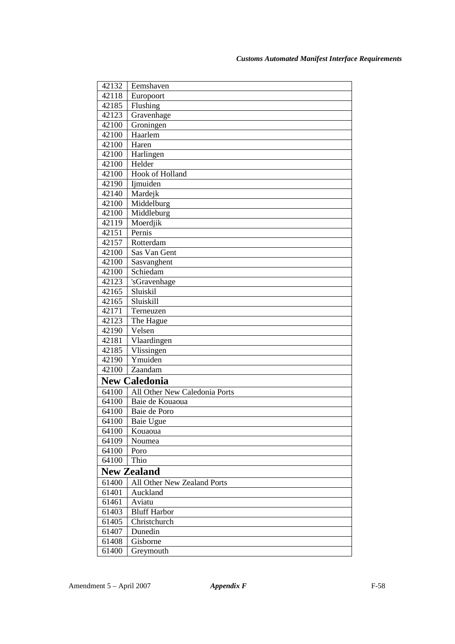| 42132 | Eemshaven                     |
|-------|-------------------------------|
| 42118 | Europoort                     |
| 42185 | Flushing                      |
| 42123 | Gravenhage                    |
| 42100 | Groningen                     |
| 42100 | Haarlem                       |
| 42100 | Haren                         |
| 42100 | Harlingen                     |
| 42100 | Helder                        |
| 42100 | <b>Hook of Holland</b>        |
| 42190 | Ijmuiden                      |
| 42140 | Mardejk                       |
| 42100 | Middelburg                    |
| 42100 | Middleburg                    |
| 42119 | Moerdjik                      |
| 42151 | Pernis                        |
| 42157 | Rotterdam                     |
| 42100 | Sas Van Gent                  |
| 42100 | Sasvanghent                   |
| 42100 | Schiedam                      |
| 42123 | 'sGravenhage                  |
| 42165 | Sluiskil                      |
| 42165 | Sluiskill                     |
| 42171 | Terneuzen                     |
| 42123 | The Hague                     |
| 42190 | Velsen                        |
| 42181 | Vlaardingen                   |
| 42185 | Vlissingen                    |
| 42190 | Ymuiden                       |
| 42100 | Zaandam                       |
|       | <b>New Caledonia</b>          |
| 64100 | All Other New Caledonia Ports |
| 64100 | Baie de Kouaoua               |
| 64100 | Baie de Poro                  |
| 64100 | Baie Ugue                     |
| 64100 | Kouaoua                       |
| 64109 | Noumea                        |
| 64100 | Poro                          |
| 64100 | Thio                          |
|       | <b>New Zealand</b>            |
| 61400 | All Other New Zealand Ports   |
| 61401 | Auckland                      |
| 61461 | Aviatu                        |
| 61403 | <b>Bluff Harbor</b>           |
| 61405 | Christchurch                  |
| 61407 | Dunedin                       |
| 61408 | Gisborne                      |
| 61400 | Greymouth                     |
|       |                               |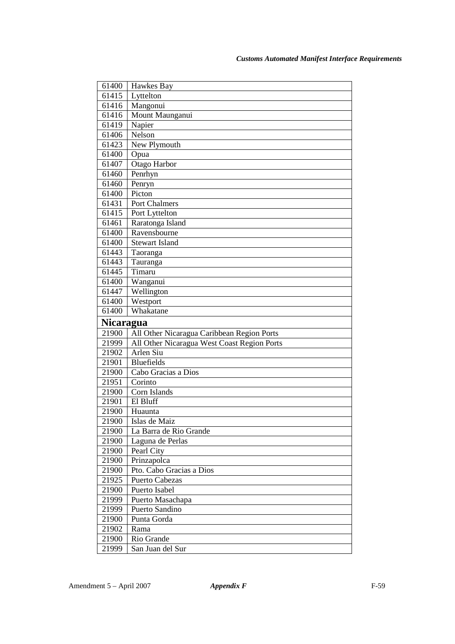| 61400            | Hawkes Bay                                  |
|------------------|---------------------------------------------|
| 61415            | Lyttelton                                   |
| 61416            | Mangonui                                    |
| 61416            | Mount Maunganui                             |
| 61419            | Napier                                      |
| 61406            | Nelson                                      |
| 61423            | New Plymouth                                |
| 61400            | Opua                                        |
| 61407            | Otago Harbor                                |
| 61460            | Penrhyn                                     |
| 61460            | Penryn                                      |
| 61400            | Picton                                      |
| 61431            | Port Chalmers                               |
| 61415            | Port Lyttelton                              |
| 61461            | Raratonga Island                            |
| 61400            | Ravensbourne                                |
| 61400            | <b>Stewart Island</b>                       |
| 61443            | Taoranga                                    |
| 61443            | Tauranga                                    |
| 61445            | Timaru                                      |
| 61400            | Wanganui                                    |
| 61447            | Wellington                                  |
| 61400            | Westport                                    |
| 61400            | Whakatane                                   |
|                  |                                             |
| <b>Nicaragua</b> |                                             |
| 21900            | All Other Nicaragua Caribbean Region Ports  |
| 21999            | All Other Nicaragua West Coast Region Ports |
| 21902            | Arlen Siu                                   |
| 21901            | <b>Bluefields</b>                           |
| 21900            | Cabo Gracias a Dios                         |
| 21951            | Corinto                                     |
| 21900            | Corn Islands                                |
| 21901            | El Bluff                                    |
| 21900            | Huaunta                                     |
| 21900            | Islas de Maiz                               |
| 21900            | La Barra de Rio Grande                      |
| 21900            | Laguna de Perlas                            |
| 21900            | Pearl City                                  |
| 21900            | Prinzapolca                                 |
| 21900            | Pto. Cabo Gracias a Dios                    |
| 21925            | Puerto Cabezas                              |
| 21900            | Puerto Isabel                               |
| 21999            | Puerto Masachapa                            |
| 21999            | Puerto Sandino                              |
| 21900            | Punta Gorda                                 |
| 21902            | Rama                                        |
| 21900            | Rio Grande                                  |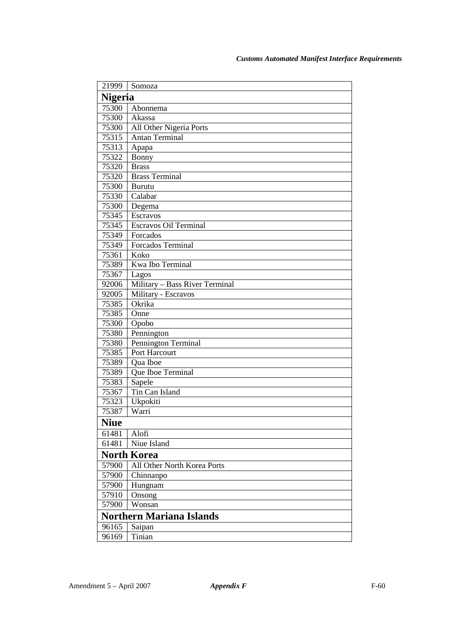| 21999          | Somoza                          |
|----------------|---------------------------------|
| <b>Nigeria</b> |                                 |
| 75300          | Abonnema                        |
| 75300          | Akassa                          |
| 75300          | All Other Nigeria Ports         |
| 75315          | Antan Terminal                  |
| 75313          | Apapa                           |
| 75322          | Bonny                           |
| 75320          | <b>Brass</b>                    |
| 75320          | <b>Brass Terminal</b>           |
| 75300          | Burutu                          |
| 75330          | Calabar                         |
| 75300          | Degema                          |
| 75345          | Escravos                        |
| 75345          | Escravos Oil Terminal           |
| 75349          | Forcados                        |
| 75349          | Forcados Terminal               |
| 75361          | Koko                            |
| 75389          | Kwa Ibo Terminal                |
| 75367          | Lagos                           |
| 92006          | Military - Bass River Terminal  |
| 92005          | Military - Escravos             |
| 75385          | Okrika                          |
| 75385          | Onne                            |
| 75300          | Opobo                           |
| 75380          | Pennington                      |
| 75380          | Pennington Terminal             |
| 75385          | Port Harcourt                   |
| 75389          | Qua Iboe                        |
| 75389          | Que Iboe Terminal               |
| 75383          | Sapele                          |
| 75367<br>75323 | Tin Can Island                  |
|                | Ukpokiti<br>Warri               |
| 75387          |                                 |
| <b>Niue</b>    |                                 |
| 61481          | Alofi                           |
| 61481          | Niue Island                     |
|                | <b>North Korea</b>              |
| 57900          | All Other North Korea Ports     |
| 57900          | Chinnanpo                       |
| 57900          | Hungnam                         |
| 57910          | Onsong                          |
| 57900          | Wonsan                          |
|                | <b>Northern Mariana Islands</b> |
| 96165          | Saipan                          |
| 96169          | Tinian                          |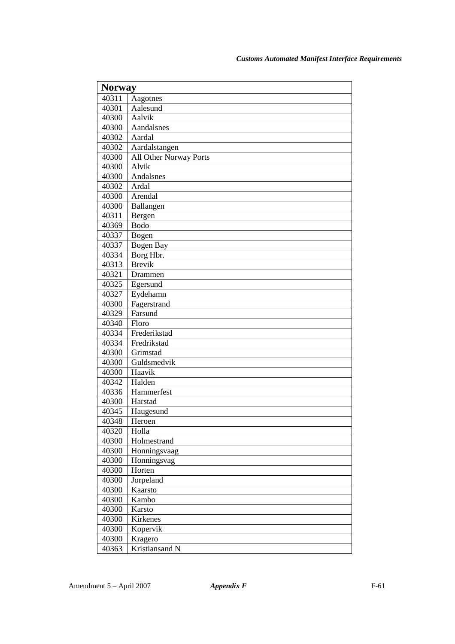| <b>Norway</b> |                        |
|---------------|------------------------|
| 40311         | Aagotnes               |
| 40301         | Aalesund               |
| 40300         | Aalvik                 |
| 40300         | Aandalsnes             |
| 40302         | Aardal                 |
| 40302         | Aardalstangen          |
| 40300         | All Other Norway Ports |
| 40300         | Alvik                  |
| 40300         | Andalsnes              |
| 40302         | Ardal                  |
| 40300         | Arendal                |
| 40300         | Ballangen              |
| 40311         | Bergen                 |
| 40369         | <b>Bodo</b>            |
| 40337         | Bogen                  |
| 40337         | Bogen Bay              |
| 40334         | Borg Hbr.              |
| 40313         | <b>Brevik</b>          |
| 40321         | Drammen                |
| 40325         | Egersund               |
| 40327         | Eydehamn               |
| 40300         | Fagerstrand            |
| 40329         | Farsund                |
| 40340         | Floro                  |
| 40334         | Frederikstad           |
| 40334         | Fredrikstad            |
| 40300         | Grimstad               |
| 40300         | Guldsmedvik            |
| 40300         | Haavik                 |
| 40342         | Halden                 |
| 40336         | Hammerfest             |
| 40300         | Harstad                |
| 40345         | Haugesund              |
| 40348         | Heroen                 |
| 40320         | Holla                  |
| 40300         | Holmestrand            |
| 40300         | Honningsvaag           |
| 40300         | Honningsvag            |
| 40300         | Horten                 |
| 40300         | Jorpeland              |
| 40300         | Kaarsto                |
| 40300         | Kambo                  |
| 40300         | Karsto                 |
| 40300         | Kirkenes               |
| 40300         | Kopervik               |
| 40300         | Kragero                |
| 40363         | Kristiansand N         |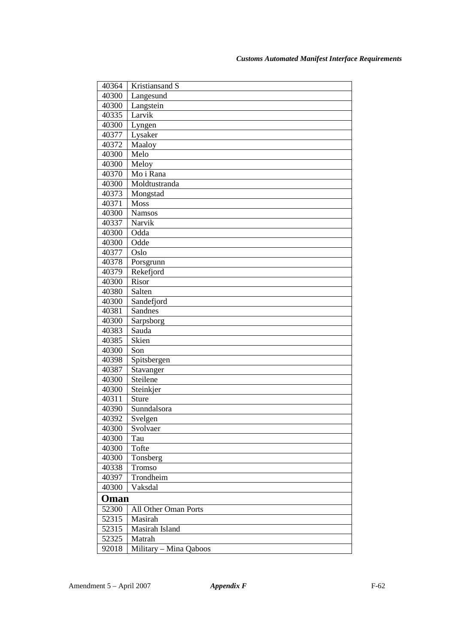| 40364 | Kristiansand S         |
|-------|------------------------|
| 40300 | Langesund              |
| 40300 | Langstein              |
| 40335 | Larvik                 |
| 40300 | Lyngen                 |
| 40377 | Lysaker                |
| 40372 | Maaloy                 |
| 40300 | Melo                   |
| 40300 | Meloy                  |
| 40370 | Mo i Rana              |
| 40300 | Moldtustranda          |
| 40373 | Mongstad               |
| 40371 | <b>Moss</b>            |
| 40300 | <b>Namsos</b>          |
| 40337 | Narvik                 |
| 40300 | Odda                   |
| 40300 | Odde                   |
| 40377 | Oslo                   |
| 40378 | Porsgrunn              |
| 40379 | Rekefjord              |
| 40300 | Risor                  |
| 40380 | Salten                 |
| 40300 | Sandefjord             |
| 40381 | Sandnes                |
| 40300 | Sarpsborg              |
| 40383 | Sauda                  |
| 40385 | Skien                  |
| 40300 | Son                    |
| 40398 | Spitsbergen            |
| 40387 | Stavanger              |
| 40300 | Steilene               |
| 40300 | Steinkjer              |
| 40311 | <b>Sture</b>           |
| 40390 | Sunndalsora            |
| 40392 | Svelgen                |
| 40300 | Svolvaer               |
| 40300 | Tau                    |
| 40300 | Tofte                  |
| 40300 | Tonsberg               |
| 40338 | Tromso                 |
| 40397 | Trondheim              |
| 40300 | Vaksdal                |
| Oman  |                        |
| 52300 | All Other Oman Ports   |
| 52315 | Masirah                |
| 52315 | Masirah Island         |
| 52325 | Matrah                 |
| 92018 | Military - Mina Qaboos |
|       |                        |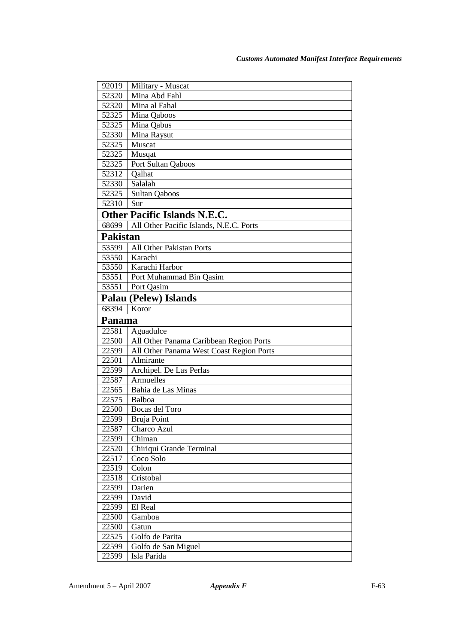| 92019           | Military - Muscat                        |
|-----------------|------------------------------------------|
| 52320           | Mina Abd Fahl                            |
| 52320           | Mina al Fahal                            |
| 52325           | Mina Qaboos                              |
| 52325           | Mina Qabus                               |
| 52330           | Mina Raysut                              |
| 52325           | Muscat                                   |
| 52325           | Musqat                                   |
| 52325           | Port Sultan Qaboos                       |
| 52312           | Qalhat                                   |
| 52330           | Salalah                                  |
| 52325           | <b>Sultan Qaboos</b>                     |
| 52310           | Sur                                      |
|                 | <b>Other Pacific Islands N.E.C.</b>      |
| 68699           | All Other Pacific Islands, N.E.C. Ports  |
| <b>Pakistan</b> |                                          |
| 53599           | All Other Pakistan Ports                 |
| 53550           | Karachi                                  |
| 53550           | Karachi Harbor                           |
| 53551           | Port Muhammad Bin Qasim                  |
| 53551           | Port Qasim                               |
|                 | <b>Palau (Pelew) Islands</b>             |
| 68394           | Koror                                    |
| Panama          |                                          |
| 22581           | Aguadulce                                |
| 22500           | All Other Panama Caribbean Region Ports  |
| 22599           | All Other Panama West Coast Region Ports |
| 22501           | Almirante                                |
| 22599           | Archipel. De Las Perlas                  |
| 22587           | Armuelles                                |
| 22565           | Bahia de Las Minas                       |
| 22575           | Balboa                                   |
| 22500           | Bocas del Toro                           |
| 22599           | Bruja Point                              |
| 22587           | Charco Azul                              |
| 22599           | Chiman                                   |
| 22520           | Chiriqui Grande Terminal                 |
| 22517           | Coco Solo                                |
| 22519           | Colon                                    |
| 22518           | Cristobal                                |
| 22599           | Darien                                   |
| 22599           | David                                    |
| 22599           | El Real<br>Gamboa                        |
| 22500           |                                          |
| 22500<br>22525  | Gatun<br>Golfo de Parita                 |
| 22599           |                                          |
|                 | Golfo de San Miguel<br>Isla Parida       |
| 22599           |                                          |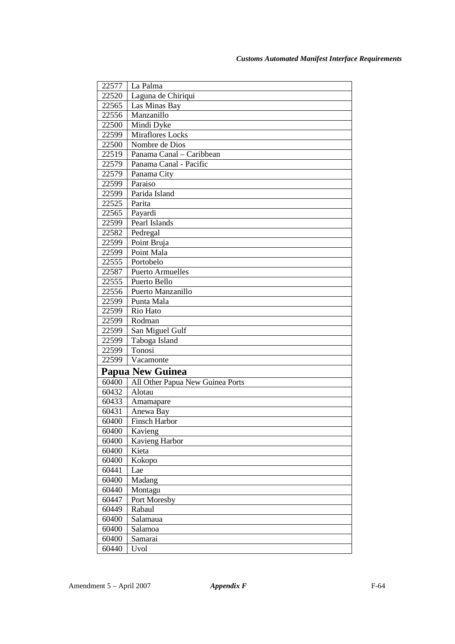| 22577                   | La Palma                         |
|-------------------------|----------------------------------|
| 22520                   | Laguna de Chiriqui               |
| 22565                   | Las Minas Bay                    |
| 22556                   | Manzanillo                       |
| 22500                   | Mindi Dyke                       |
| 22599                   | Miraflores Locks                 |
| 22500                   | Nombre de Dios                   |
| 22519                   | Panama Canal – Caribbean         |
| 22579                   | Panama Canal - Pacific           |
| 22579                   | Panama City                      |
| 22599                   | Paraiso                          |
| 22599                   | Parida Island                    |
| 22525                   | Parita                           |
| 22565                   | Payardi                          |
| 22599                   | Pearl Islands                    |
| 22582                   | Pedregal                         |
| 22599                   | Point Bruja                      |
| 22599                   | Point Mala                       |
| 22555                   | Portobelo                        |
| 22587                   | <b>Puerto Armuelles</b>          |
| 22555                   | Puerto Bello                     |
| 22556                   | Puerto Manzanillo                |
| 22599                   | Punta Mala                       |
| 22599                   | Rio Hato                         |
| 22599                   | Rodman                           |
| 22599                   | San Miguel Gulf                  |
| 22599                   | Taboga Island                    |
| 22599                   | Tonosi                           |
| 22599                   | Vacamonte                        |
| <b>Papua New Guinea</b> |                                  |
| 60400                   | All Other Papua New Guinea Ports |
| 60432                   | Alotau                           |
| 60433                   | Amamapare                        |
| 60431                   | Anewa Bay                        |
| 60400                   | Finsch Harbor                    |
| 60400                   | Kavieng                          |
| 60400                   | Kavieng Harbor                   |
| 60400                   | Kieta                            |
| 60400                   | Kokopo                           |
| 60441                   | Lae                              |
| 60400                   | Madang                           |
| 60440                   | Montagu                          |
| 60447                   | Port Moresby                     |
| 60449                   | Rabaul                           |
| 60400                   | Salamaua                         |
| 60400                   | Salamoa                          |
| 60400                   | Samarai                          |
| 60440                   | Uvol                             |
|                         |                                  |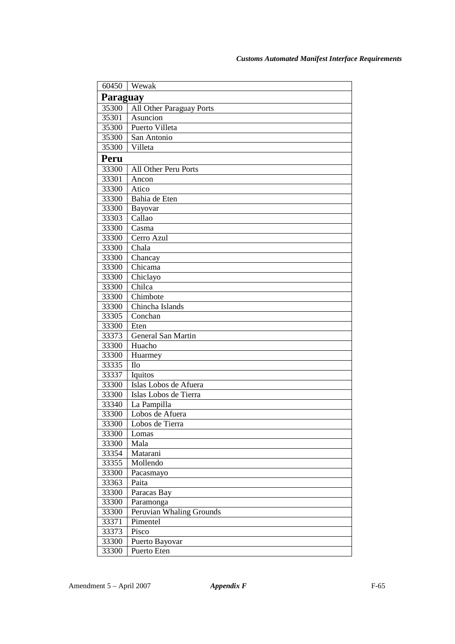| 60450          | Wewak                       |
|----------------|-----------------------------|
| Paraguay       |                             |
| 35300          | All Other Paraguay Ports    |
| 35301          | Asuncion                    |
| 35300          | Puerto Villeta              |
| 35300          | San Antonio                 |
| 35300          | Villeta                     |
| Peru           |                             |
| 33300          | All Other Peru Ports        |
| 33301          | Ancon                       |
| 33300          | Atico                       |
| 33300          | Bahia de Eten               |
| 33300          | Bayovar                     |
| 33303          | Callao                      |
| 33300          | Casma                       |
| 33300          | Cerro Azul                  |
| 33300          | Chala                       |
| 33300          | Chancay                     |
| 33300          | Chicama                     |
| 33300          | Chiclayo                    |
| 33300          | Chilca                      |
| 33300          | Chimbote                    |
| 33300          | Chincha Islands             |
| 33305          | $\overline{\text{Conchan}}$ |
| 33300          | Eten                        |
| 33373          | General San Martin          |
| 33300          | Huacho                      |
| 33300          | Huarmey                     |
| 33335          | <b>Ilo</b>                  |
| 33337          | Iquitos                     |
| 33300          | Islas Lobos de Afuera       |
| 33300          | Islas Lobos de Tierra       |
| 33340          | La Pampilla                 |
| 33300          | Lobos de Afuera             |
| 33300          | Lobos de Tierra             |
| 33300<br>33300 | Lomas<br>Mala               |
| 33354          | Matarani                    |
| 33355          | Mollendo                    |
| 33300          | Pacasmayo                   |
| 33363          | Paita                       |
| 33300          | Paracas Bay                 |
| 33300          | Paramonga                   |
| 33300          | Peruvian Whaling Grounds    |
| 33371          | Pimentel                    |
| 33373          | Pisco                       |
| 33300          | Puerto Bayovar              |
| 33300          | Puerto Eten                 |
|                |                             |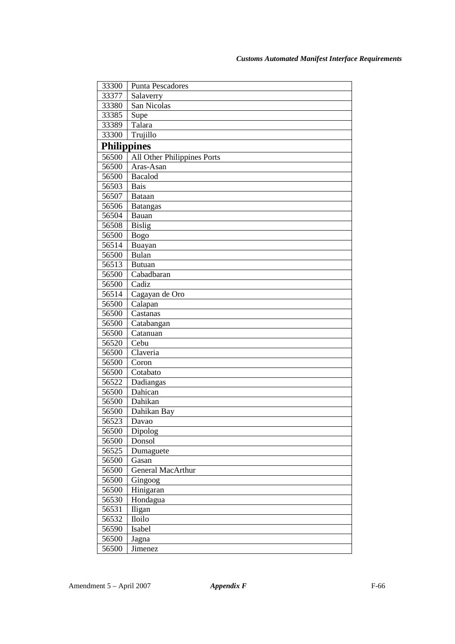| 33300              | <b>Punta Pescadores</b>     |
|--------------------|-----------------------------|
| 33377              | Salaverry                   |
| 33380              | San Nicolas                 |
| 33385              | Supe                        |
| 33389              | Talara                      |
| 33300              | Trujillo                    |
| <b>Philippines</b> |                             |
| 56500              | All Other Philippines Ports |
| 56500              | Aras-Asan                   |
| 56500              | <b>Bacalod</b>              |
| 56503              | <b>Bais</b>                 |
| 56507              | <b>Bataan</b>               |
| 56506              | <b>Batangas</b>             |
| 56504              | Bauan                       |
| 56508              | <b>Bislig</b>               |
| 56500              | <b>Bogo</b>                 |
| 56514              | Buayan                      |
| 56500              | <b>Bulan</b>                |
| 56513              | <b>Butuan</b>               |
| 56500              | Cabadbaran                  |
| 56500              | Cadiz                       |
| 56514              | Cagayan de Oro              |
| 56500              | Calapan                     |
| 56500              | Castanas                    |
| 56500              | Catabangan                  |
| 56500              | Catanuan                    |
| 56520              | Cebu                        |
| 56500              | Claveria                    |
| 56500              | Coron                       |
| 56500              | Cotabato                    |
| 56522              | Dadiangas                   |
| 56500              | Dahican                     |
| 56500              | Dahikan                     |
| 56500              | Dahikan Bay                 |
| 56523              | Davao                       |
| 56500              | Dipolog                     |
| 56500              | Donsol                      |
| 56525              | Dumaguete                   |
| 56500              | Gasan                       |
| 56500              | <b>General MacArthur</b>    |
| 56500              | Gingoog                     |
| 56500              | Hinigaran                   |
| 56530              | Hondagua                    |
| 56531              | Iligan                      |
| 56532              | Iloilo                      |
| 56590              | Isabel                      |
| 56500              | Jagna                       |
| 56500              | Jimenez                     |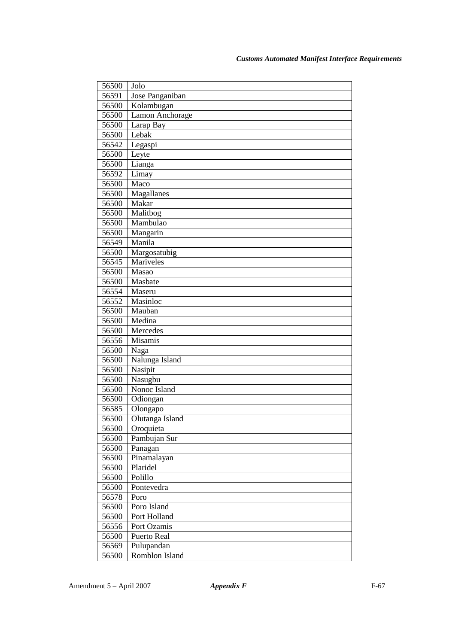| 56500 | Jolo            |
|-------|-----------------|
| 56591 | Jose Panganiban |
| 56500 | Kolambugan      |
| 56500 | Lamon Anchorage |
| 56500 | Larap Bay       |
| 56500 | Lebak           |
| 56542 | Legaspi         |
| 56500 | Leyte           |
| 56500 | Lianga          |
| 56592 | Limay           |
| 56500 | Maco            |
| 56500 | Magallanes      |
| 56500 | Makar           |
| 56500 | Malitbog        |
| 56500 | Mambulao        |
| 56500 | Mangarin        |
| 56549 | Manila          |
| 56500 | Margosatubig    |
| 56545 | Mariveles       |
| 56500 | Masao           |
| 56500 | Masbate         |
| 56554 | Maseru          |
| 56552 | Masinloc        |
| 56500 | Mauban          |
| 56500 | Medina          |
| 56500 | Mercedes        |
| 56556 | <b>Misamis</b>  |
| 56500 | Naga            |
| 56500 | Nalunga Island  |
| 56500 | Nasipit         |
| 56500 | Nasugbu         |
| 56500 | Nonoc Island    |
| 56500 | Odiongan        |
| 56585 | Olongapo        |
| 56500 | Olutanga Island |
| 56500 | Oroquieta       |
| 56500 | Pambujan Sur    |
| 56500 | Panagan         |
| 56500 | Pinamalayan     |
| 56500 | Plaridel        |
| 56500 | Polillo         |
| 56500 | Pontevedra      |
| 56578 | Poro            |
| 56500 | Poro Island     |
| 56500 | Port Holland    |
| 56556 | Port Ozamis     |
| 56500 | Puerto Real     |
| 56569 | Pulupandan      |
| 56500 | Romblon Island  |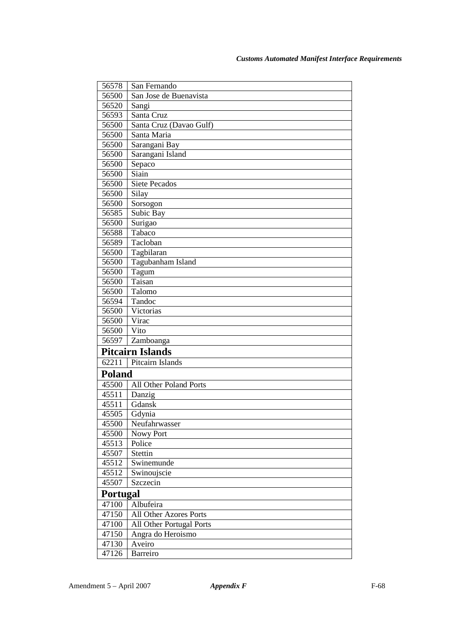| 56578           | San Fernando             |  |
|-----------------|--------------------------|--|
| 56500           | San Jose de Buenavista   |  |
| 56520           | Sangi                    |  |
| 56593           | Santa Cruz               |  |
| 56500           | Santa Cruz (Davao Gulf)  |  |
| 56500           | Santa Maria              |  |
| 56500           | Sarangani Bay            |  |
| 56500           | Sarangani Island         |  |
| 56500           | Sepaco                   |  |
| 56500           | Siain                    |  |
| 56500           | <b>Siete Pecados</b>     |  |
| 56500           | Silay                    |  |
| 56500           | Sorsogon                 |  |
| 56585           | Subic Bay                |  |
| 56500           | Surigao                  |  |
| 56588           | Tabaco                   |  |
| 56589           | Tacloban                 |  |
| 56500           | Tagbilaran               |  |
| 56500           | Tagubanham Island        |  |
| 56500           | Tagum                    |  |
| 56500           | Taisan                   |  |
| 56500           | Talomo                   |  |
| 56594           | Tandoc                   |  |
| 56500           | Victorias                |  |
| 56500           | Virac                    |  |
| 56500           | Vito                     |  |
| 56597           | Zamboanga                |  |
|                 | <b>Pitcairn Islands</b>  |  |
| 62211           | Pitcairn Islands         |  |
|                 | <b>Poland</b>            |  |
| 45500           | All Other Poland Ports   |  |
| 45511           | Danzig                   |  |
| 45511           | Gdansk                   |  |
| 45505           | Gdynia                   |  |
| 45500           | Neufahrwasser            |  |
| 45500           | Nowy Port                |  |
| 45513           | Police                   |  |
| 45507           | Stettin                  |  |
| 45512           | Swinemunde               |  |
| 45512           | Swinoujscie              |  |
| 45507           | Szczecin                 |  |
| <b>Portugal</b> |                          |  |
| 47100           | Albufeira                |  |
| 47150           | All Other Azores Ports   |  |
| 47100           | All Other Portugal Ports |  |
| 47150           | Angra do Heroismo        |  |
| 47130           | Aveiro                   |  |
| 47126           | Barreiro                 |  |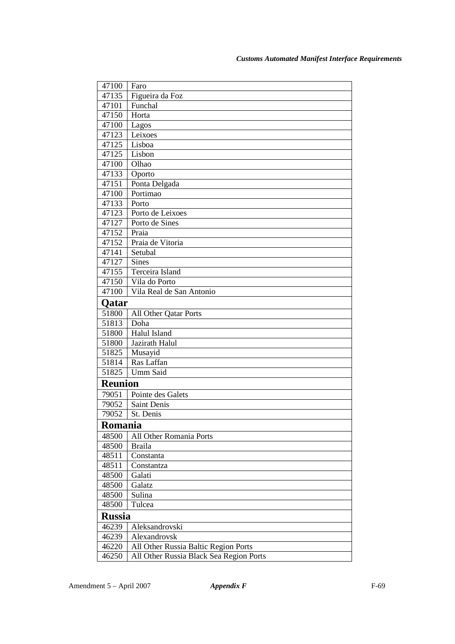| 47100          | Faro                                    |
|----------------|-----------------------------------------|
| 47135          | Figueira da Foz                         |
| 47101          | Funchal                                 |
| 47150          | Horta                                   |
| 47100          | Lagos                                   |
| 47123          | Leixoes                                 |
| 47125          | Lisboa                                  |
| 47125          | Lisbon                                  |
| 47100          | Olhao                                   |
| 47133          | Oporto                                  |
| 47151          | Ponta Delgada                           |
| 47100          | Portimao                                |
| 47133          | Porto                                   |
| 47123          | Porto de Leixoes                        |
| 47127          | Porto de Sines                          |
| 47152          | Praia                                   |
| 47152          | Praia de Vitoria                        |
| 47141          | Setubal                                 |
| 47127          | <b>Sines</b>                            |
| 47155          | Terceira Island                         |
| 47150          | Vila do Porto                           |
| 47100          | Vila Real de San Antonio                |
| Qatar          |                                         |
| 51800          | All Other Qatar Ports                   |
| 51813          | Doha                                    |
| 51800          | Halul Island                            |
| 51800          | Jazirath Halul                          |
| 51825          | Musayid                                 |
| 51814          | Ras Laffan                              |
| 51825          | Umm Said                                |
| <b>Reunion</b> |                                         |
| 79051          | Pointe des Galets                       |
| 79052          | Saint Denis                             |
| 79052          | St. Denis                               |
| <b>Romania</b> |                                         |
| 48500          | All Other Romania Ports                 |
| 48500          | <b>Braila</b>                           |
| 48511          | Constanta                               |
| 48511          | Constantza                              |
| 48500          | Galati                                  |
| 48500          | Galatz                                  |
| 48500          | Sulina                                  |
| 48500          | Tulcea                                  |
| <b>Russia</b>  |                                         |
| 46239          | Aleksandrovski                          |
| 46239          | Alexandrovsk                            |
| 46220          | All Other Russia Baltic Region Ports    |
| 46250          | All Other Russia Black Sea Region Ports |
|                |                                         |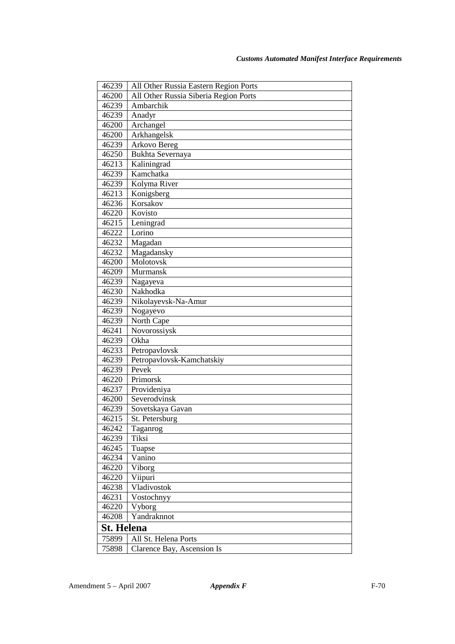| 46239             | All Other Russia Eastern Region Ports |
|-------------------|---------------------------------------|
| 46200             | All Other Russia Siberia Region Ports |
| 46239             | Ambarchik                             |
| 46239             | Anadyr                                |
| 46200             | Archangel                             |
| 46200             | Arkhangelsk                           |
| 46239             | Arkovo Bereg                          |
| 46250             | Bukhta Severnaya                      |
| 46213             | Kaliningrad                           |
| 46239             | Kamchatka                             |
| 46239             | Kolyma River                          |
| 46213             | Konigsberg                            |
| 46236             | Korsakov                              |
| 46220             | Kovisto                               |
| 46215             | Leningrad                             |
| 46222             | Lorino                                |
| 46232             | Magadan                               |
| 46232             | Magadansky                            |
| 46200             | Molotovsk                             |
| 46209             | Murmansk                              |
| 46239             | Nagayeva                              |
| 46230             | Nakhodka                              |
| 46239             | Nikolayevsk-Na-Amur                   |
| 46239             | Nogayevo                              |
| 46239             | North Cape                            |
| 46241             | Novorossiysk                          |
| 46239             | Okha                                  |
| 46233             | Petropavlovsk                         |
| 46239             | Petropavlovsk-Kamchatskiy             |
| 46239             | Pevek                                 |
| 46220             | Primorsk                              |
| 46237             | Provideniya                           |
| 46200             | Severodvinsk                          |
| 46239             | Sovetskaya Gavan                      |
| 46215             | St. Petersburg                        |
| 46242             | Taganrog                              |
| 46239             | Tiksi                                 |
| 46245             | Tuapse                                |
| 46234             | Vanino                                |
| 46220             | Viborg                                |
| 46220             | Viipuri                               |
| 46238             | Vladivostok                           |
| 46231             | Vostochnyy                            |
| 46220             | Vyborg                                |
| 46208             | Yandraknnot                           |
| <b>St. Helena</b> |                                       |
| 75899             | All St. Helena Ports                  |
| 75898             | Clarence Bay, Ascension Is            |
|                   |                                       |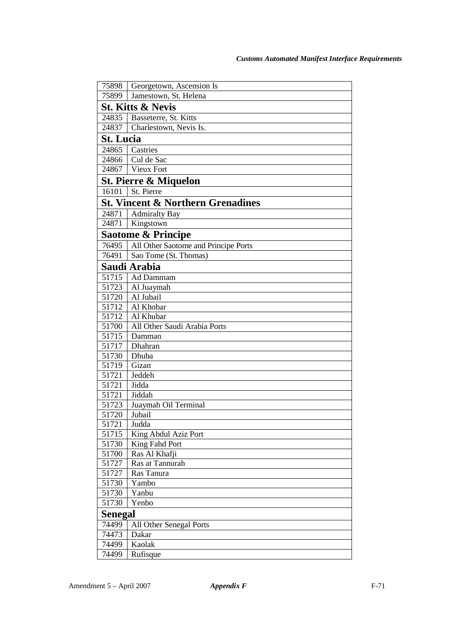| 75898            | Georgetown, Ascension Is                     |
|------------------|----------------------------------------------|
| 75899            | Jamestown, St. Helena                        |
|                  | <b>St. Kitts &amp; Nevis</b>                 |
| 24835            | Basseterre, St. Kitts                        |
| 24837            | Charlestown, Nevis Is.                       |
| <b>St. Lucia</b> |                                              |
| 24865            | Castries                                     |
| 24866            | Cul de Sac                                   |
| 24867            | Vieux Fort                                   |
|                  | <b>St. Pierre &amp; Miquelon</b>             |
| 16101            | St. Pierre                                   |
|                  | <b>St. Vincent &amp; Northern Grenadines</b> |
| 24871            | <b>Admiralty Bay</b>                         |
| 24871            | Kingstown                                    |
|                  | <b>Saotome &amp; Principe</b>                |
| 76495            | All Other Saotome and Principe Ports         |
| 76491            | Sao Tome (St. Thomas)                        |
|                  | Saudi Arabia                                 |
| 51715            | Ad Dammam                                    |
| 51723            | Al Juaymah                                   |
| 51720            | Al Jubail                                    |
| 51712            | Al Khobar                                    |
| 51712            | Al Khubar                                    |
| 51700            | All Other Saudi Arabia Ports                 |
| 51715            | Damman                                       |
| 51717            | Dhahran                                      |
| 51730            | Dhuba                                        |
| 51719            | Gizan                                        |
| 51721            | Jeddeh                                       |
| 51721            | <b>Jidda</b>                                 |
| 51721            | Jiddah                                       |
| 51723            | Juaymah Oil Terminal                         |
| 51720            | Jubail                                       |
| 51721            | Judda                                        |
| 51715            | King Abdul Aziz Port                         |
| 51730            | King Fahd Port                               |
| 51700            | Ras Al Khafji                                |
| 51727            | Ras at Tannurah                              |
| 51727            | Ras Tanura                                   |
| 51730            | Yambo                                        |
| 51730            | Yanbu                                        |
| 51730            | Yenbo                                        |
| Senegal          |                                              |
| 74499            | All Other Senegal Ports                      |
| 74473            | Dakar                                        |
| 74499            | Kaolak                                       |
| 74499            | Rufisque                                     |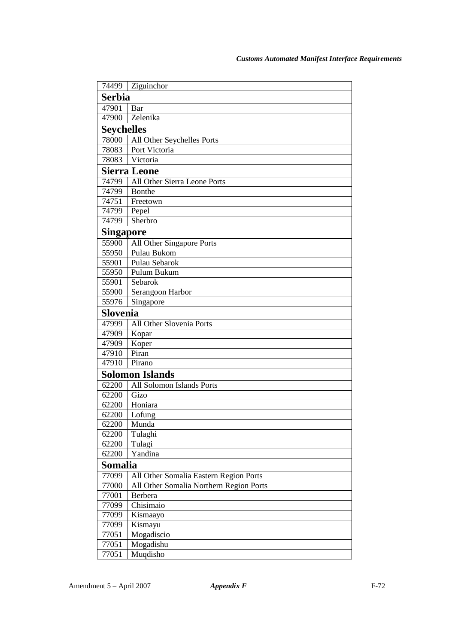| 74499             | Ziguinchor                              |  |
|-------------------|-----------------------------------------|--|
| <b>Serbia</b>     |                                         |  |
| 47901             | Bar                                     |  |
| 47900             | Zelenika                                |  |
| <b>Seychelles</b> |                                         |  |
| 78000             | All Other Seychelles Ports              |  |
| 78083             | Port Victoria                           |  |
| 78083             | Victoria                                |  |
|                   | <b>Sierra Leone</b>                     |  |
| 74799             | All Other Sierra Leone Ports            |  |
| 74799             | Bonthe                                  |  |
| 74751             | Freetown                                |  |
| 74799             | Pepel                                   |  |
| 74799             | Sherbro                                 |  |
| <b>Singapore</b>  |                                         |  |
| 55900             | All Other Singapore Ports               |  |
| 55950             | Pulau Bukom                             |  |
| 55901             | Pulau Sebarok                           |  |
| 55950             | Pulum Bukum                             |  |
| 55901             | Sebarok                                 |  |
| 55900             | Serangoon Harbor                        |  |
| 55976             | Singapore                               |  |
| Slovenia          |                                         |  |
| 47999             | All Other Slovenia Ports                |  |
| 47909             | Kopar                                   |  |
| 47909             | Koper                                   |  |
| 47910             | Piran                                   |  |
| 47910             | Pirano                                  |  |
|                   | <b>Solomon Islands</b>                  |  |
| 62200             | All Solomon Islands Ports               |  |
| 62200             | Gizo                                    |  |
| 62200             | Honiara                                 |  |
| 62200             | Lofung                                  |  |
| 62200             | Munda                                   |  |
| 62200             | Tulaghi                                 |  |
| 62200             | Tulagi                                  |  |
| 62200             | Yandina                                 |  |
| Somalia           |                                         |  |
| 77099             | All Other Somalia Eastern Region Ports  |  |
| 77000             | All Other Somalia Northern Region Ports |  |
| 77001             | Berbera                                 |  |
| 77099             | Chisimaio                               |  |
| 77099             | Kismaayo                                |  |
| 77099             | Kismayu                                 |  |
| 77051<br>77051    | Mogadiscio                              |  |
| 77051             | Mogadishu<br>Muqdisho                   |  |
|                   |                                         |  |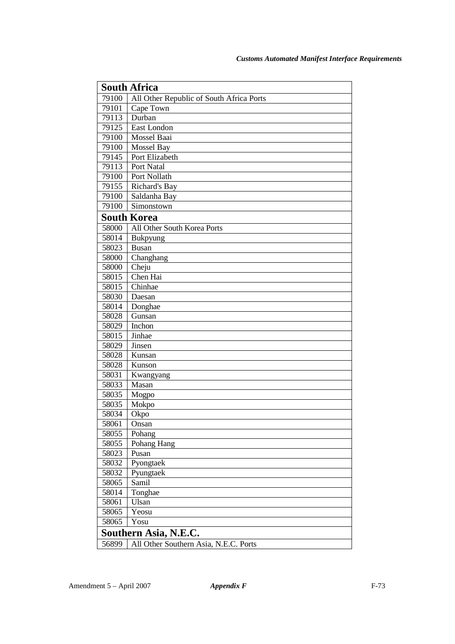|       | <b>South Africa</b>                      |
|-------|------------------------------------------|
| 79100 | All Other Republic of South Africa Ports |
| 79101 | Cape Town                                |
| 79113 | Durban                                   |
| 79125 | East London                              |
| 79100 | Mossel Baai                              |
| 79100 | Mossel Bay                               |
| 79145 | Port Elizabeth                           |
| 79113 | Port Natal                               |
| 79100 | Port Nollath                             |
| 79155 | Richard's Bay                            |
| 79100 | Saldanha Bay                             |
| 79100 | Simonstown                               |
|       | <b>South Korea</b>                       |
| 58000 | All Other South Korea Ports              |
| 58014 | Bukpyung                                 |
| 58023 | <b>Busan</b>                             |
| 58000 | Changhang                                |
| 58000 | Cheju                                    |
| 58015 | Chen Hai                                 |
| 58015 | Chinhae                                  |
| 58030 | Daesan                                   |
| 58014 | Donghae                                  |
| 58028 | Gunsan                                   |
| 58029 | Inchon                                   |
| 58015 | Jinhae                                   |
| 58029 | Jinsen                                   |
| 58028 | Kunsan                                   |
| 58028 | Kunson                                   |
| 58031 | Kwangyang                                |
| 58033 | Masan                                    |
| 58035 | Mogpo                                    |
| 58035 | Mokpo                                    |
| 58034 | Okpo                                     |
| 58061 | Onsan                                    |
| 58055 | Pohang                                   |
| 58055 | Pohang Hang                              |
| 58023 | Pusan                                    |
| 58032 | Pyongtaek                                |
| 58032 | Pyungtaek                                |
| 58065 | Samil                                    |
| 58014 | Tonghae                                  |
| 58061 | Ulsan                                    |
| 58065 | Yeosu                                    |
| 58065 | Yosu                                     |
|       | Southern Asia, N.E.C.                    |
| 56899 | All Other Southern Asia, N.E.C. Ports    |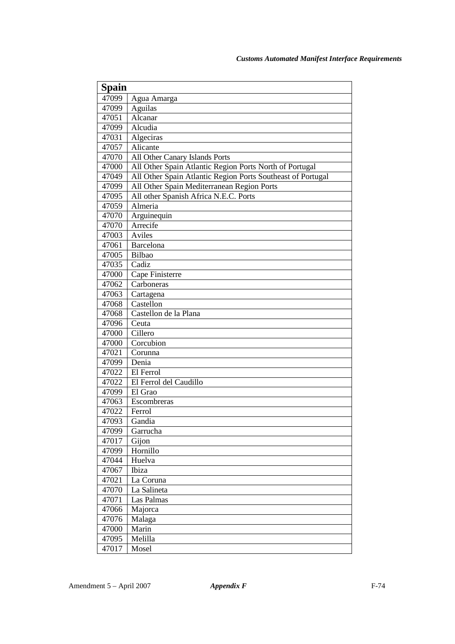| Spain          |                                                             |
|----------------|-------------------------------------------------------------|
|                |                                                             |
| 47099          | Agua Amarga                                                 |
| 47099          | Aguilas                                                     |
| 47051          | Alcanar                                                     |
| 47099          | Alcudia                                                     |
| 47031          | Algeciras                                                   |
| 47057          | Alicante                                                    |
| 47070          | All Other Canary Islands Ports                              |
| 47000          | All Other Spain Atlantic Region Ports North of Portugal     |
| 47049          | All Other Spain Atlantic Region Ports Southeast of Portugal |
| 47099          | All Other Spain Mediterranean Region Ports                  |
| 47095          | All other Spanish Africa N.E.C. Ports                       |
| 47059          | Almeria                                                     |
| 47070          | Arguinequin                                                 |
| 47070          | Arrecife                                                    |
| 47003          | Aviles                                                      |
| 47061          | Barcelona                                                   |
| 47005          | Bilbao                                                      |
| 47035          | Cadiz                                                       |
| 47000          | Cape Finisterre<br>Carboneras                               |
| 47062          |                                                             |
| 47063          | Cartagena                                                   |
| 47068          | Castellon                                                   |
| 47068          | Castellon de la Plana                                       |
| 47096          | Ceuta<br>Cillero                                            |
| 47000          | Corcubion                                                   |
| 47000<br>47021 |                                                             |
|                | Corunna<br>Denia                                            |
| 47099          | El Ferrol                                                   |
| 47022<br>47022 | El Ferrol del Caudillo                                      |
| 47099          | El Grao                                                     |
| 47063          | Escombreras                                                 |
| 47022          | Ferrol                                                      |
| 47093          | Gandia                                                      |
| 47099          | Garrucha                                                    |
| 47017          | Gijon                                                       |
| 47099          | Hornillo                                                    |
| 47044          | Huelva                                                      |
| 47067          | Ibiza                                                       |
| 47021          | La Coruna                                                   |
| 47070          | La Salineta                                                 |
| 47071          | Las Palmas                                                  |
| 47066          | Majorca                                                     |
| 47076          | Malaga                                                      |
| 47000          | Marin                                                       |
| 47095          | Melilla                                                     |
| 47017          | Mosel                                                       |
|                |                                                             |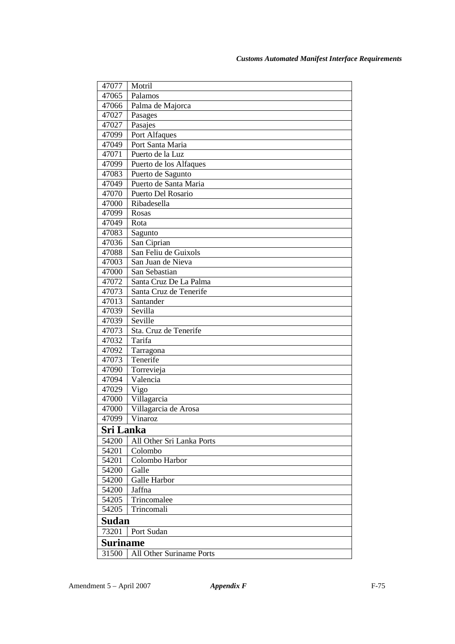| 47077            | Motril                    |
|------------------|---------------------------|
| 47065            | Palamos                   |
| 47066            | Palma de Majorca          |
| 47027            | Pasages                   |
| 47027            | Pasajes                   |
| 47099            | Port Alfaques             |
| 47049            | Port Santa Maria          |
| 47071            | Puerto de la Luz          |
| 47099            | Puerto de los Alfaques    |
| 47083            | Puerto de Sagunto         |
| 47049            | Puerto de Santa Maria     |
| 47070            | Puerto Del Rosario        |
| 47000            | Ribadesella               |
| 47099            | Rosas                     |
| 47049            | Rota                      |
| 47083            | Sagunto                   |
| 47036            | San Ciprian               |
| 47088            | San Feliu de Guixols      |
| 47003            | San Juan de Nieva         |
| 47000            | San Sebastian             |
| 47072            | Santa Cruz De La Palma    |
| 47073            | Santa Cruz de Tenerife    |
| 47013            | Santander                 |
| 47039            | Sevilla                   |
| 47039            | Seville                   |
| 47073            | Sta. Cruz de Tenerife     |
| 47032            | Tarifa                    |
| 47092            | Tarragona                 |
| 47073            | Tenerife                  |
| 47090            | Torrevieja                |
| 47094            | Valencia                  |
| 47029            | Vigo                      |
| 47000            | Villagarcia               |
| 47000            | Villagarcia de Arosa      |
| 47099            | Vinaroz                   |
| <b>Sri Lanka</b> |                           |
| 54200            | All Other Sri Lanka Ports |
| 54201            | Colombo                   |
| 54201            | Colombo Harbor            |
| 54200            | Galle                     |
| 54200            | Galle Harbor              |
| 54200            | Jaffna                    |
| 54205            | Trincomalee               |
| 54205            | Trincomali                |
| Sudan            |                           |
| 73201            | Port Sudan                |
| <b>Suriname</b>  |                           |
| 31500            | All Other Suriname Ports  |
|                  |                           |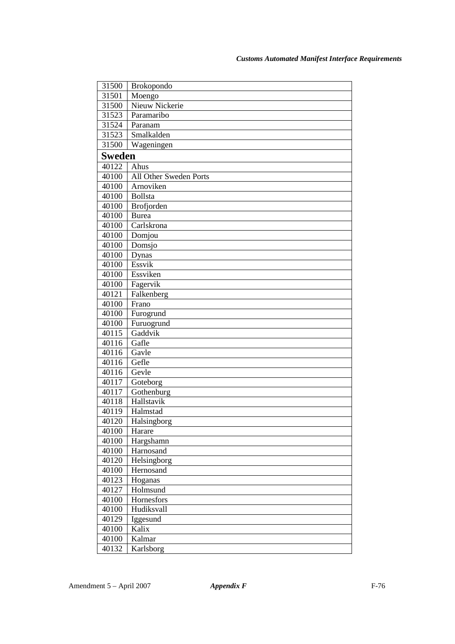| 31500              | <b>Brokopondo</b>      |
|--------------------|------------------------|
| 31501              | Moengo                 |
| 31500              | Nieuw Nickerie         |
| 31523              | Paramaribo             |
| 31524              | Paranam                |
| 31523              | Smalkalden             |
| 31500              | Wageningen             |
| <b>Sweden</b>      |                        |
| 40122              | Ahus                   |
| 40100              | All Other Sweden Ports |
| 40100              | Arnoviken              |
| 40100              | Bollsta                |
| 40100              | Brofjorden             |
| 40100              | <b>Burea</b>           |
| 40100              | Carlskrona             |
| 40100              | Domjou                 |
| 40100              | Domsjo                 |
| 40100              | Dynas                  |
| 40100              | Essvik                 |
| 40100              | Essviken               |
| 40100              | Fagervik               |
| $4012\overline{1}$ | Falkenberg             |
| 40100              | Frano                  |
| 40100              | Furogrund              |
| 40100              | Furuogrund             |
| 40115              | Gaddvik                |
| 40116              | Gafle                  |
| 40116              | Gavle                  |
| 40116              | Gefle                  |
| 40116              | Gevle                  |
| 40117              | Goteborg               |
| 40117              | Gothenburg             |
| 40118              | Hallstavik             |
| 40119              | Halmstad               |
| 40120              | Halsingborg            |
| 40100              | Harare                 |
| 40100              | Hargshamn              |
| 40100              | Harnosand              |
| 40120              | Helsingborg            |
| 40100              | Hernosand              |
| 40123              | Hoganas                |
| 40127              | Holmsund               |
| 40100              | Hornesfors             |
| 40100              | Hudiksvall             |
| 40129              | Iggesund               |
| 40100              | Kalix                  |
| 40100              | Kalmar                 |
| 40132              | Karlsborg              |
|                    |                        |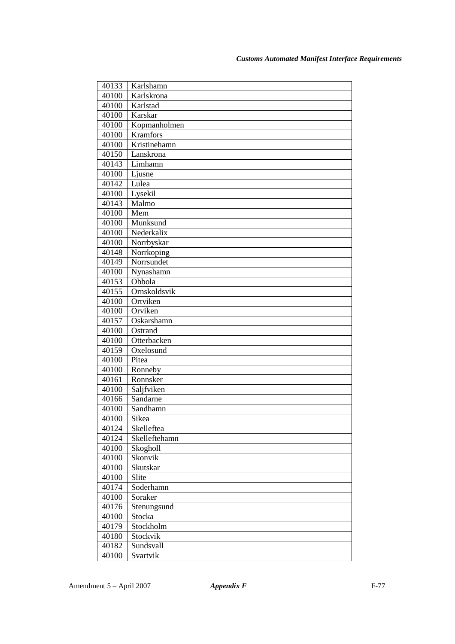| 40133 | Karlshamn     |
|-------|---------------|
| 40100 | Karlskrona    |
| 40100 | Karlstad      |
| 40100 | Karskar       |
| 40100 | Kopmanholmen  |
| 40100 | Kramfors      |
| 40100 | Kristinehamn  |
| 40150 | Lanskrona     |
| 40143 | Limhamn       |
| 40100 | Ljusne        |
| 40142 | Lulea         |
| 40100 | Lysekil       |
| 40143 | Malmo         |
| 40100 | Mem           |
| 40100 | Munksund      |
| 40100 | Nederkalix    |
| 40100 | Norrbyskar    |
| 40148 | Norrkoping    |
| 40149 | Norrsundet    |
| 40100 | Nynashamn     |
| 40153 | Obbola        |
| 40155 | Ornskoldsvik  |
| 40100 | Ortviken      |
| 40100 | Orviken       |
| 40157 | Oskarshamn    |
| 40100 | Ostrand       |
| 40100 | Otterbacken   |
| 40159 | Oxelosund     |
| 40100 | Pitea         |
| 40100 | Ronneby       |
| 40161 | Ronnsker      |
| 40100 | Saljfviken    |
| 40166 | Sandarne      |
| 40100 | Sandhamn      |
| 40100 | Sikea         |
| 40124 | Skelleftea    |
| 40124 | Skelleftehamn |
| 40100 | Skogholl      |
| 40100 | Skonvik       |
| 40100 | Skutskar      |
| 40100 | Slite         |
| 40174 | Soderhamn     |
| 40100 | Soraker       |
| 40176 | Stenungsund   |
| 40100 | Stocka        |
| 40179 | Stockholm     |
| 40180 | Stockvik      |
| 40182 | Sundsvall     |
| 40100 | Svartvik      |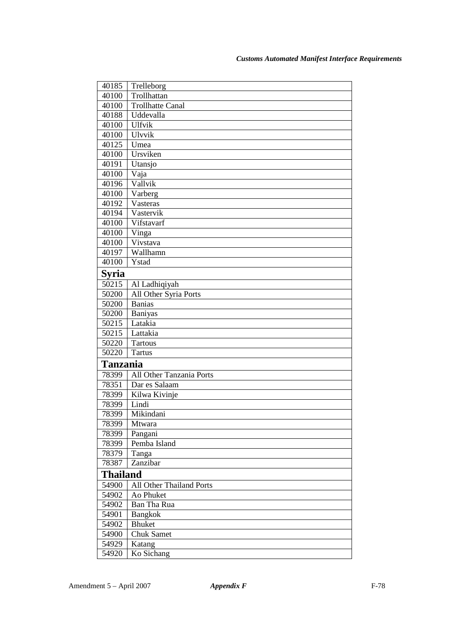| 40185              | Trelleborg               |
|--------------------|--------------------------|
| $\overline{40100}$ | Trollhattan              |
| 40100              | Trollhatte Canal         |
| 40188              | Uddevalla                |
| 40100              | <b>Ulfvik</b>            |
| 40100              | Ulvvik                   |
| 40125              | Umea                     |
| 40100              | Ursviken                 |
| 40191              | Utansjo                  |
| 40100              | Vaja                     |
| 40196              | Vallvik                  |
| 40100              | Varberg                  |
| 40192              | Vasteras                 |
| 40194              | Vastervik                |
| 40100              | Vifstavarf               |
| 40100              | Vinga                    |
| 40100              | Vivstava                 |
| 40197              | Wallhamn                 |
| 40100              | Ystad                    |
| Syria              |                          |
| 50215              | Al Ladhiqiyah            |
| 50200              | All Other Syria Ports    |
| 50200              | <b>Banias</b>            |
| 50200              | Baniyas                  |
| 50215              | Latakia                  |
| 50215              | Lattakia                 |
| 50220              | <b>Tartous</b>           |
| 50220              | <b>Tartus</b>            |
| <b>Tanzania</b>    |                          |
| 78399              | All Other Tanzania Ports |
| 78351              | Dar es Salaam            |
| 78399              | Kilwa Kivinje            |
| 78399              | Lindi                    |
| 78399              | Mikindani                |
| 78399              | Mtwara                   |
| 78399              | Pangani                  |
| 78399              | Pemba Island             |
| 78379              | Tanga                    |
| 78387              | Zanzibar                 |
| <b>Thailand</b>    |                          |
| 54900              | All Other Thailand Ports |
| 54902              | Ao Phuket                |
| 54902              | Ban Tha Rua              |
| 54901              | Bangkok                  |
| 54902              | <b>Bhuket</b>            |
| 54900              | <b>Chuk Samet</b>        |
| 54929              | Katang                   |
| 54920              | Ko Sichang               |
|                    |                          |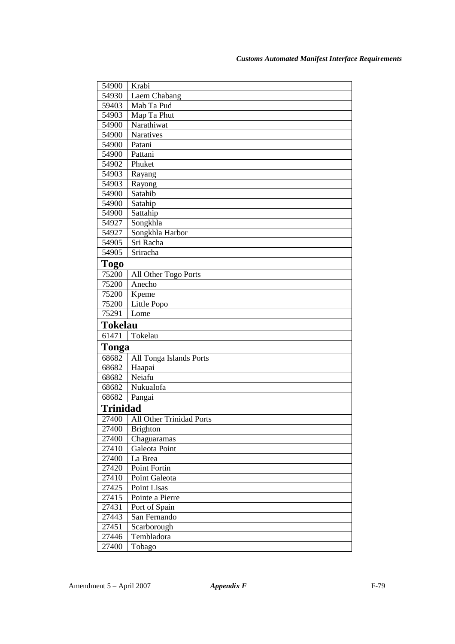| 54900          | Krabi                          |
|----------------|--------------------------------|
| 54930          | Laem Chabang                   |
| 59403          | Mab Ta Pud                     |
| 54903          | Map Ta Phut                    |
| 54900          | Narathiwat                     |
| 54900          | Naratives                      |
| 54900          | Patani                         |
| 54900          | Pattani                        |
| 54902          | Phuket                         |
| 54903          | Rayang                         |
| 54903          | Rayong                         |
| 54900          | Satahib                        |
| 54900          | Satahip                        |
| 54900          | Sattahip                       |
| 54927          | Songkhla                       |
| 54927          | Songkhla Harbor                |
| 54905          | Sri Racha                      |
| 54905          | Sriracha                       |
| <b>Togo</b>    |                                |
| 75200          | All Other Togo Ports           |
| 75200          | Anecho                         |
| 75200          | Kpeme                          |
| 75200          | Little Popo                    |
| 75291          | Lome                           |
| <b>Tokelau</b> |                                |
| 61471          | Tokelau                        |
| Tonga          |                                |
| 68682          | All Tonga Islands Ports        |
| 68682          | Haapai                         |
| 68682          | Neiafu                         |
| 68682          | Nukualofa                      |
| 68682          | Pangai                         |
| Trinidad       |                                |
|                |                                |
| 27400          | All Other Trinidad Ports       |
| 27400<br>27400 | <b>Brighton</b><br>Chaguaramas |
| 27410          | Galeota Point                  |
| 27400          | La Brea                        |
| 27420          | Point Fortin                   |
| 27410          | Point Galeota                  |
| 27425          | Point Lisas                    |
| 27415          | Pointe a Pierre                |
| 27431          | Port of Spain                  |
| 27443          | San Fernando                   |
| 27451          | Scarborough                    |
| 27446          | Tembladora                     |
| 27400          | Tobago                         |
|                |                                |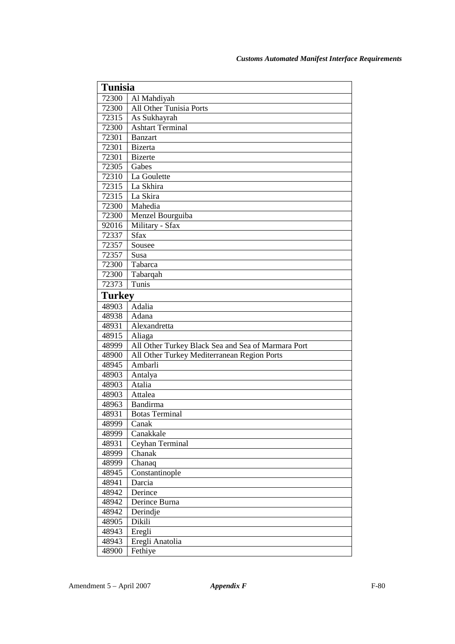| <b>Tunisia</b> |                                                    |
|----------------|----------------------------------------------------|
| 72300          | Al Mahdiyah                                        |
| 72300          | <b>All Other Tunisia Ports</b>                     |
| 72315          | As Sukhayrah                                       |
| 72300          | <b>Ashtart Terminal</b>                            |
| 72301          | <b>Banzart</b>                                     |
| 72301          | <b>Bizerta</b>                                     |
| 72301          | <b>Bizerte</b>                                     |
| 72305          | Gabes                                              |
| 72310          | La Goulette                                        |
| 72315          | La Skhira                                          |
| 72315          | La Skira                                           |
| 72300          | Mahedia                                            |
| 72300          | Menzel Bourguiba                                   |
| 92016          | Military - Sfax                                    |
| 72337          | <b>Sfax</b>                                        |
| 72357          | Sousee                                             |
| 72357          | Susa                                               |
| 72300          | Tabarca                                            |
| 72300          | Tabarqah                                           |
| 72373          | Tunis                                              |
| <b>Turkey</b>  |                                                    |
| 48903          | Adalia                                             |
| 48938          | Adana                                              |
| 48931          | Alexandretta                                       |
| 48915          | Aliaga                                             |
| 48999          | All Other Turkey Black Sea and Sea of Marmara Port |
| 48900          | All Other Turkey Mediterranean Region Ports        |
| 48945          | Ambarli                                            |
| 48903          | Antalya                                            |
| 48903          | Atalia                                             |
| 48903          | Attalea                                            |
| 48963          | Bandirma                                           |
| 48931          | <b>Botas Terminal</b>                              |
| 48999          | Canak                                              |
| 48999          | Canakkale                                          |
| 48931          | Ceyhan Terminal                                    |
| 48999          | Chanak                                             |
| 48999          | Chanaq                                             |
| 48945          | Constantinople                                     |
| 48941          | Darcia                                             |
| 48942          | Derince                                            |
| 48942          | Derince Burna                                      |
| 48942          | Derindje                                           |
| 48905          | Dikili                                             |
| 48943          | Eregli                                             |
| 48943          | Eregli Anatolia                                    |
| 48900          | Fethiye                                            |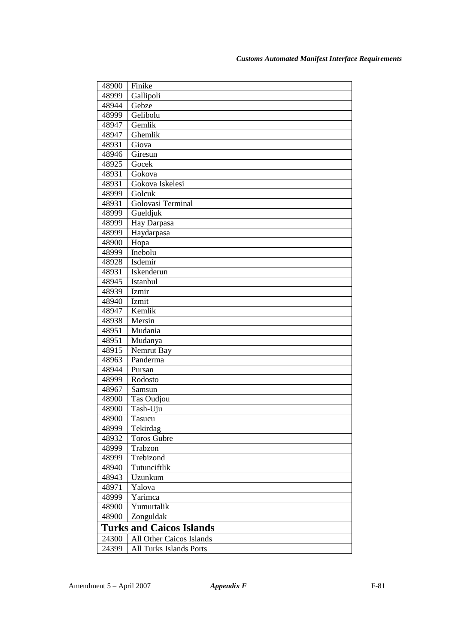| 48900 | Finike                          |
|-------|---------------------------------|
| 48999 | Gallipoli                       |
| 48944 | Gebze                           |
| 48999 | Gelibolu                        |
| 48947 | Gemlik                          |
| 48947 | Ghemlik                         |
| 48931 | Giova                           |
| 48946 | Giresun                         |
| 48925 | Gocek                           |
| 48931 | Gokova                          |
| 48931 | Gokova Iskelesi                 |
| 48999 | Golcuk                          |
| 48931 | Golovasi Terminal               |
| 48999 | Gueldjuk                        |
| 48999 | Hay Darpasa                     |
| 48999 | Haydarpasa                      |
| 48900 | Hopa                            |
| 48999 | Inebolu                         |
| 48928 | Isdemir                         |
| 48931 | Iskenderun                      |
| 48945 | Istanbul                        |
| 48939 | Izmir                           |
| 48940 | Izmit                           |
| 48947 | Kemlik                          |
| 48938 | Mersin                          |
| 48951 | Mudania                         |
| 48951 | Mudanya                         |
| 48915 | Nemrut Bay                      |
| 48963 | Panderma                        |
| 48944 | Pursan                          |
| 48999 | Rodosto                         |
| 48967 | Samsun                          |
| 48900 | <b>Tas Oudjou</b>               |
| 48900 | Tash-Uju                        |
| 48900 | Tasucu                          |
| 48999 | Tekirdag                        |
| 48932 | <b>Toros Gubre</b>              |
| 48999 | Trabzon                         |
| 48999 | Trebizond                       |
| 48940 | Tutunciftlik                    |
| 48943 | Uzunkum                         |
| 48971 | Yalova                          |
| 48999 | Yarimca                         |
| 48900 | Yumurtalik                      |
| 48900 | Zonguldak                       |
|       | <b>Turks and Caicos Islands</b> |
| 24300 | <b>All Other Caicos Islands</b> |
| 24399 | All Turks Islands Ports         |
|       |                                 |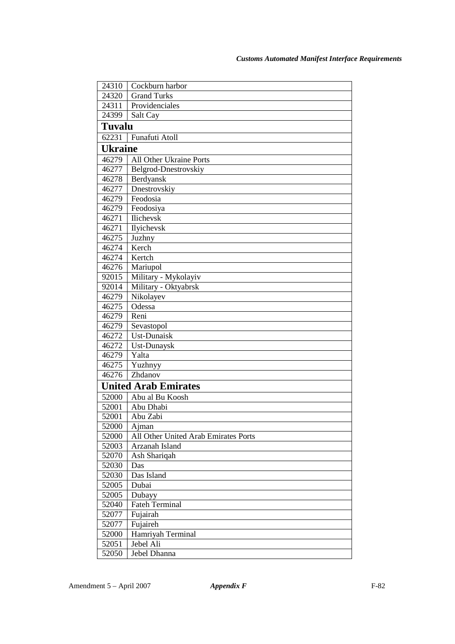| 24310          | Cockburn harbor                      |
|----------------|--------------------------------------|
| 24320          | <b>Grand Turks</b>                   |
| 24311          | Providenciales                       |
| 24399          | Salt Cay                             |
| Tuvalu         |                                      |
| 62231          | Funafuti Atoll                       |
| <b>Ukraine</b> |                                      |
| 46279          | All Other Ukraine Ports              |
| 46277          | Belgrod-Dnestrovskiy                 |
| 46278          | Berdyansk                            |
| 46277          | Dnestrovskiy                         |
| 46279          | Feodosia                             |
| 46279          | Feodosiya                            |
| 46271          | Ilichevsk                            |
| 46271          | Ilyichevsk                           |
| 46275          | Juzhny                               |
| 46274          | Kerch                                |
| 46274          | Kertch                               |
| 46276          | Mariupol                             |
| 92015          | Military - Mykolayiv                 |
| 92014          | Military - Oktyabrsk                 |
| 46279          | Nikolayev                            |
| 46275          | Odessa                               |
| 46279          | Reni                                 |
| 46279          | Sevastopol                           |
| 46272          | Ust-Dunaisk                          |
| 46272          | Ust-Dunaysk                          |
| 46279          | Yalta                                |
| 46275          | Yuzhnyy                              |
| 46276          | Zhdanov                              |
|                | <b>United Arab Emirates</b>          |
| 52000          | Abu al Bu Koosh                      |
| 52001          | Abu Dhabi                            |
| 52001          | Abu Zabi                             |
| 52000          | Ajman                                |
| 52000          | All Other United Arab Emirates Ports |
| 52003          | Arzanah Island                       |
| 52070          | Ash Shariqah                         |
| 52030          | Das                                  |
| 52030          | Das Island                           |
| 52005          | Dubai                                |
| 52005          | Dubayy                               |
| 52040          | <b>Fateh Terminal</b>                |
| 52077          | Fujairah                             |
| 52077          | Fujaireh                             |
| 52000          | Hamriyah Terminal                    |
| 52051          | Jebel Ali                            |
| 52050          | Jebel Dhanna                         |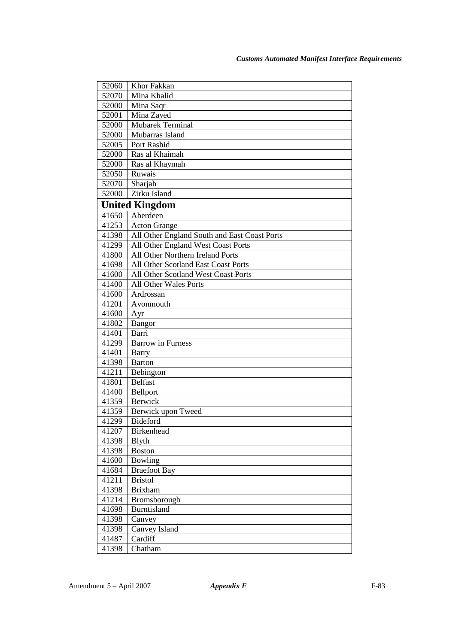| 52060 | Khor Fakkan                                  |
|-------|----------------------------------------------|
| 52070 | Mina Khalid                                  |
| 52000 | Mina Saqr                                    |
| 52001 | Mina Zayed                                   |
| 52000 | Mubarek Terminal                             |
| 52000 | Mubarras Island                              |
| 52005 | Port Rashid                                  |
| 52000 | Ras al Khaimah                               |
| 52000 | Ras al Khaymah                               |
| 52050 | Ruwais                                       |
| 52070 | Sharjah                                      |
| 52000 | Zirku Island                                 |
|       | <b>United Kingdom</b>                        |
| 41650 | Aberdeen                                     |
| 41253 | <b>Acton Grange</b>                          |
| 41398 | All Other England South and East Coast Ports |
| 41299 | All Other England West Coast Ports           |
| 41800 | All Other Northern Ireland Ports             |
| 41698 | All Other Scotland East Coast Ports          |
| 41600 | All Other Scotland West Coast Ports          |
| 41400 | All Other Wales Ports                        |
| 41600 | Ardrossan                                    |
| 41201 | Avonmouth                                    |
| 41600 | Ayr                                          |
| 41802 | Bangor                                       |
| 41401 | Barri                                        |
| 41299 | <b>Barrow</b> in Furness                     |
| 41401 | <b>Barry</b>                                 |
| 41398 | <b>Barton</b>                                |
| 41211 | Bebington                                    |
| 41801 | <b>Belfast</b>                               |
| 41400 | Bellport                                     |
| 41359 | <b>Berwick</b>                               |
| 41359 | Berwick upon Tweed                           |
| 41299 | Bideford                                     |
| 41207 | Birkenhead                                   |
| 41398 | <b>B</b> lyth                                |
| 41398 | <b>Boston</b>                                |
| 41600 | Bowling                                      |
| 41684 | <b>Braefoot Bay</b>                          |
| 41211 | <b>Bristol</b>                               |
| 41398 | Brixham                                      |
| 41214 | Bromsborough                                 |
| 41698 | <b>Burntisland</b>                           |
| 41398 | Canvey                                       |
| 41398 | Canvey Island                                |
| 41487 | Cardiff                                      |
| 41398 | Chatham                                      |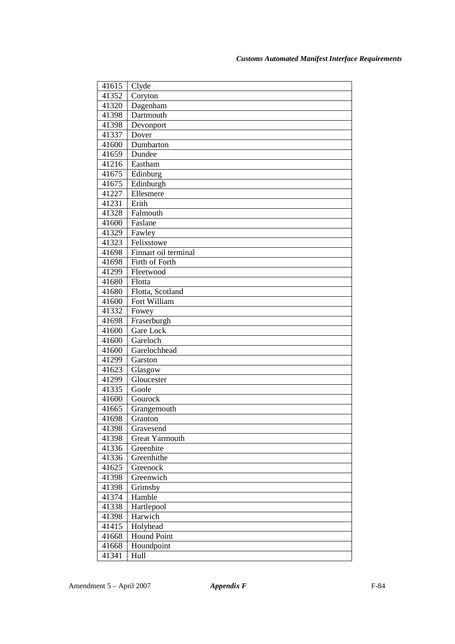| 41615 | Clyde                 |
|-------|-----------------------|
| 41352 | Coryton               |
| 41320 | Dagenham              |
| 41398 | Dartmouth             |
| 41398 | Devonport             |
| 41337 | Dover                 |
| 41600 | Dumbarton             |
| 41659 | Dundee                |
| 41216 | Eastham               |
| 41675 | Edinburg              |
| 41675 | Edinburgh             |
| 41227 | Ellesmere             |
| 41231 | Erith                 |
| 41328 | Falmouth              |
| 41600 | Faslane               |
| 41329 | Fawley                |
| 41323 | Felixstowe            |
| 41698 | Finnart oil terminal  |
| 41698 | Firth of Forth        |
| 41299 | Fleetwood             |
| 41680 | Flotta                |
| 41680 | Flotta, Scotland      |
| 41600 | Fort William          |
| 41332 | Fowey                 |
| 41698 | Fraserburgh           |
| 41600 | Gare Lock             |
| 41600 | Gareloch              |
| 41600 | Garelochhead          |
| 41299 | Garston               |
| 41623 | Glasgow               |
| 41299 | Gloucester            |
| 41335 | Goole                 |
| 41600 | Gourock               |
| 41665 | Grangemouth           |
| 41698 | Granton               |
| 41398 | Gravesend             |
| 41398 | <b>Great Yarmouth</b> |
| 41336 | Greenhite             |
| 41336 | Greenhithe            |
| 41625 | Greenock              |
| 41398 | Greenwich             |
| 41398 | Grimsby               |
| 41374 | Hamble                |
| 41338 | Hartlepool            |
| 41398 | Harwich               |
| 41415 | Holyhead              |
| 41668 | <b>Hound Point</b>    |
| 41668 | Houndpoint            |
| 41341 | Hull                  |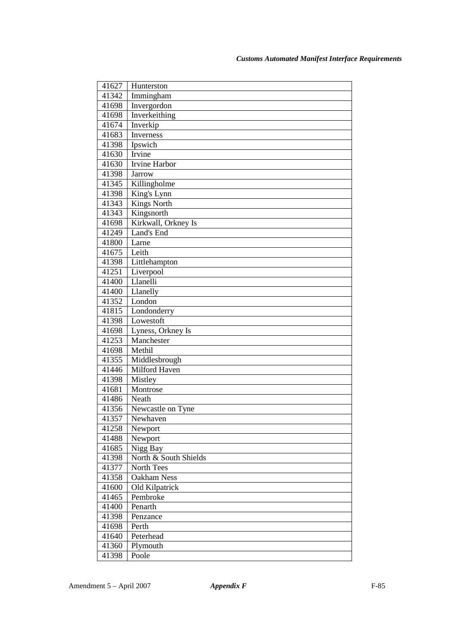| 41627          | Hunterston                          |
|----------------|-------------------------------------|
| 41342          | Immingham                           |
| 41698          | Invergordon                         |
| 41698          | Inverkeithing                       |
| 41674          | Inverkip                            |
| 41683          | Inverness                           |
| 41398          | Ipswich                             |
| 41630          | Irvine                              |
| 41630          | Irvine Harbor                       |
| 41398          | <b>Jarrow</b>                       |
| 41345          | Killingholme                        |
| 41398          | King's Lynn                         |
| 41343          | <b>Kings North</b>                  |
| 41343          | Kingsnorth                          |
| 41698          | Kirkwall, Orkney Is                 |
| 41249          | Land's End                          |
| 41800          | Larne                               |
| 41675          | Leith                               |
| 41398          | Littlehampton                       |
| 41251          | Liverpool                           |
| 41400          | Llanelli                            |
| 41400          | Llanelly                            |
| 41352          | London                              |
| 41815          | Londonderry                         |
| 41398          | Lowestoft                           |
| 41698          | Lyness, Orkney Is                   |
| 41253          | Manchester                          |
| 41698          | Methil                              |
| 41355          | Middlesbrough                       |
| 41446          | Milford Haven                       |
| 41398          | Mistley                             |
| 41681<br>41486 | Montrose<br>Neath                   |
|                |                                     |
| 41356          | Newcastle on Tyne<br>Newhaven       |
| 41357          |                                     |
| 41258          | Newport                             |
| 41488          | Newport                             |
| 41685          | Nigg Bay                            |
| 41398<br>41377 | North & South Shields<br>North Tees |
| 41358          | Oakham Ness                         |
| 41600          | Old Kilpatrick                      |
| 41465          | Pembroke                            |
| 41400          | Penarth                             |
| 41398          | Penzance                            |
| 41698          | Perth                               |
| 41640          | Peterhead                           |
| 41360          | Plymouth                            |
| 41398          | Poole                               |
|                |                                     |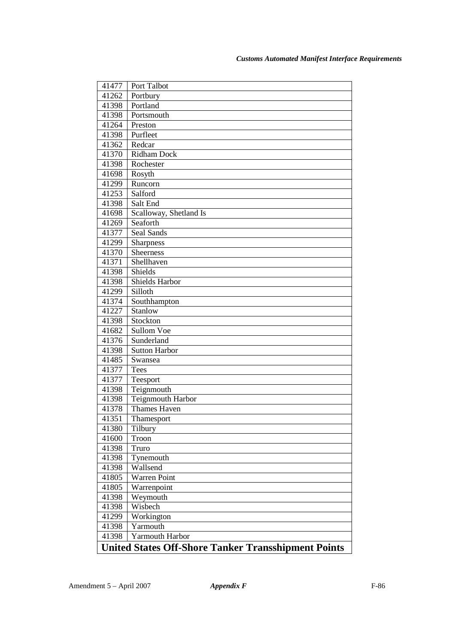| 41477 | Port Talbot                                                |
|-------|------------------------------------------------------------|
| 41262 | Portbury                                                   |
| 41398 | Portland                                                   |
| 41398 | Portsmouth                                                 |
| 41264 | Preston                                                    |
| 41398 | Purfleet                                                   |
| 41362 | Redcar                                                     |
| 41370 | <b>Ridham Dock</b>                                         |
| 41398 | Rochester                                                  |
| 41698 | Rosyth                                                     |
| 41299 | Runcorn                                                    |
| 41253 | Salford                                                    |
| 41398 | Salt End                                                   |
| 41698 | Scalloway, Shetland Is                                     |
| 41269 | Seaforth                                                   |
| 41377 | Seal Sands                                                 |
| 41299 | <b>Sharpness</b>                                           |
| 41370 | <b>Sheerness</b>                                           |
| 41371 | Shellhaven                                                 |
| 41398 | Shields                                                    |
| 41398 | <b>Shields Harbor</b>                                      |
| 41299 | Silloth                                                    |
| 41374 | Southhampton                                               |
| 41227 | <b>Stanlow</b>                                             |
| 41398 | Stockton                                                   |
| 41682 | Sullom Voe                                                 |
| 41376 | Sunderland                                                 |
| 41398 | <b>Sutton Harbor</b>                                       |
| 41485 | Swansea                                                    |
| 41377 | Tees                                                       |
| 41377 | Teesport                                                   |
| 41398 | Teignmouth                                                 |
| 41398 | Teignmouth Harbor                                          |
| 41378 | <b>Thames Haven</b>                                        |
| 41351 | Thamesport                                                 |
| 41380 | Tilbury                                                    |
| 41600 | Troon                                                      |
| 41398 | Truro                                                      |
| 41398 | Tynemouth                                                  |
| 41398 | Wallsend                                                   |
| 41805 | <b>Warren Point</b>                                        |
| 41805 | Warrenpoint                                                |
| 41398 | Weymouth                                                   |
| 41398 | Wisbech                                                    |
| 41299 | Workington                                                 |
| 41398 | Yarmouth                                                   |
| 41398 | Yarmouth Harbor                                            |
|       | <b>United States Off-Shore Tanker Transshipment Points</b> |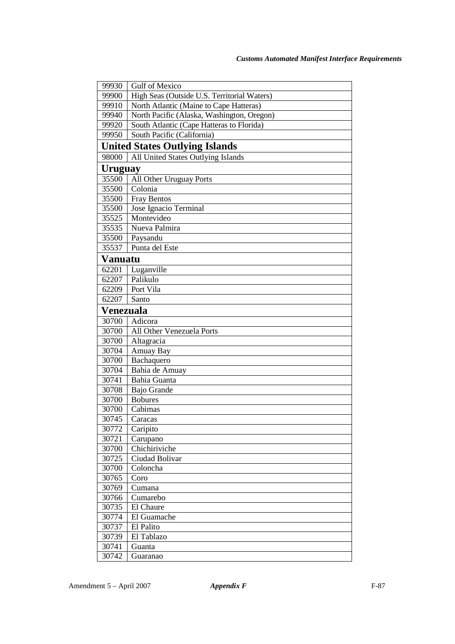| 99930          | Gulf of Mexico                              |
|----------------|---------------------------------------------|
| 99900          | High Seas (Outside U.S. Territorial Waters) |
| 99910          | North Atlantic (Maine to Cape Hatteras)     |
| 99940          | North Pacific (Alaska, Washington, Oregon)  |
| 99920          | South Atlantic (Cape Hatteras to Florida)   |
| 99950          | South Pacific (California)                  |
|                | <b>United States Outlying Islands</b>       |
| 98000          | All United States Outlying Islands          |
| <b>Uruguay</b> |                                             |
| 35500          | All Other Uruguay Ports                     |
| 35500          | Colonia                                     |
| 35500          | <b>Fray Bentos</b>                          |
| 35500          | Jose Ignacio Terminal                       |
| 35525          | Montevideo                                  |
| 35535          | Nueva Palmira                               |
| 35500          | Paysandu                                    |
| 35537          | Punta del Este                              |
| <b>Vanuatu</b> |                                             |
| 62201          | Luganville                                  |
| 62207          | Palikulo                                    |
| 62209          | Port Vila                                   |
| 62207          | Santo                                       |
| Venezuala      |                                             |
| 30700          | Adicora                                     |
| 30700          | All Other Venezuela Ports                   |
| 30700          | Altagracia                                  |
| 30704          | Amuay Bay                                   |
| 30700          | Bachaquero                                  |
| 30704          | Bahia de Amuay                              |
| 30741          | Bahia Guanta                                |
| 30708          | Bajo Grande                                 |
| 30700          | <b>Bobures</b>                              |
| 30700          | Cabimas                                     |
| 30745          | Caracas                                     |
| 30772          | Caripito                                    |
| 30721          | Carupano                                    |
| 30700          | Chichiriviche                               |
| 30725          | Ciudad Bolivar                              |
| 30700          | Coloncha                                    |
| 30765          | Coro                                        |
| 30769          | Cumana                                      |
| 30766          | Cumarebo                                    |
| 30735          | El Chaure                                   |
| 30774          | El Guamache                                 |
| 30737          | El Palito                                   |
| 30739          | El Tablazo                                  |
| 30741          | Guanta                                      |
| 30742          | Guaranao                                    |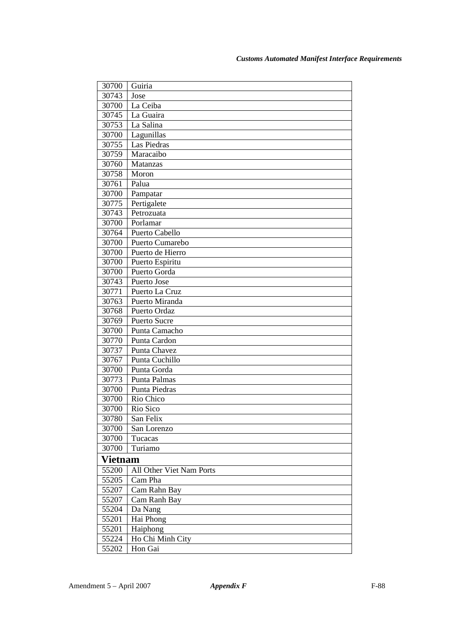| 30700          | Guiria                   |
|----------------|--------------------------|
| 30743          | Jose                     |
| 30700          | La Ceiba                 |
| 30745          | La Guaira                |
| 30753          | La Salina                |
| 30700          | Lagunillas               |
| 30755          | Las Piedras              |
| 30759          | Maracaibo                |
| 30760          | Matanzas                 |
| 30758          | Moron                    |
| 30761          | Palua                    |
| 30700          | Pampatar                 |
| 30775          | Pertigalete              |
| 30743          | Petrozuata               |
| 30700          | Porlamar                 |
| 30764          | Puerto Cabello           |
| 30700          | Puerto Cumarebo          |
| 30700          | Puerto de Hierro         |
| 30700          | Puerto Espiritu          |
| 30700          | Puerto Gorda             |
| 30743          | Puerto Jose              |
| 30771          | Puerto La Cruz           |
| 30763          | Puerto Miranda           |
| 30768          | Puerto Ordaz             |
| 30769          | <b>Puerto Sucre</b>      |
| 30700          | Punta Camacho            |
| 30770          | Punta Cardon             |
| 30737          | Punta Chavez             |
| 30767          | Punta Cuchillo           |
| 30700          | Punta Gorda              |
| 30773          | Punta Palmas             |
| 30700          | Punta Piedras            |
| 30700          | Rio Chico                |
| 30700          | Rio Sico                 |
| 30780          | San Felix                |
| 30700          | San Lorenzo              |
| 30700          | Tucacas                  |
| 30700          | Turiamo                  |
| <b>Vietnam</b> |                          |
| 55200          | All Other Viet Nam Ports |
| 55205          | Cam Pha                  |
| 55207          | Cam Rahn Bay             |
| 55207          | Cam Ranh Bay             |
| 55204          | Da Nang                  |
| 55201          | Hai Phong                |
| 55201          | Haiphong                 |
| 55224          | Ho Chi Minh City         |
| 55202          | Hon Gai                  |
|                |                          |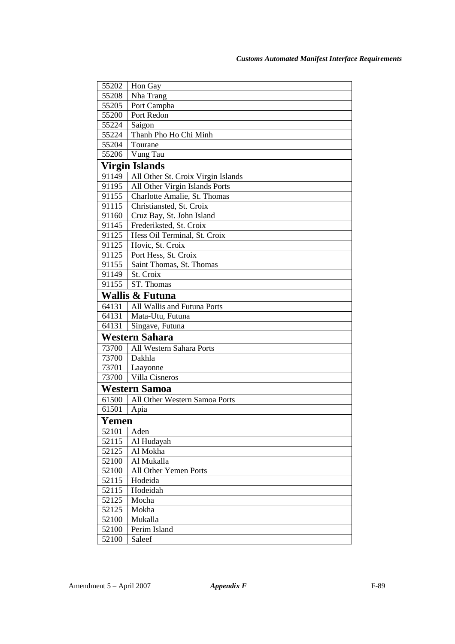| 55202 | Hon Gay                            |
|-------|------------------------------------|
| 55208 | Nha Trang                          |
| 55205 | Port Campha                        |
| 55200 | Port Redon                         |
| 55224 | Saigon                             |
| 55224 | Thanh Pho Ho Chi Minh              |
| 55204 | Tourane                            |
| 55206 | Vung Tau                           |
|       | <b>Virgin Islands</b>              |
| 91149 | All Other St. Croix Virgin Islands |
| 91195 | All Other Virgin Islands Ports     |
| 91155 | Charlotte Amalie, St. Thomas       |
| 91115 | Christiansted, St. Croix           |
| 91160 | Cruz Bay, St. John Island          |
| 91145 | Frederiksted, St. Croix            |
| 91125 | Hess Oil Terminal, St. Croix       |
| 91125 | Hovic, St. Croix                   |
| 91125 | Port Hess, St. Croix               |
| 91155 | Saint Thomas, St. Thomas           |
| 91149 | St. Croix                          |
| 91155 | ST. Thomas                         |
|       | <b>Wallis &amp; Futuna</b>         |
| 64131 | All Wallis and Futuna Ports        |
| 64131 | Mata-Utu, Futuna                   |
| 64131 | Singave, Futuna                    |
|       | Western Sahara                     |
| 73700 | All Western Sahara Ports           |
| 73700 | Dakhla                             |
| 73701 | Laayonne                           |
| 73700 | Villa Cisneros                     |
|       | <b>Western Samoa</b>               |
| 61500 | All Other Western Samoa Ports      |
| 61501 | Apia                               |
| Yemen |                                    |
| 52101 | Aden                               |
| 52115 | Al Hudayah                         |
| 52125 | Al Mokha                           |
| 52100 | Al Mukalla                         |
| 52100 | All Other Yemen Ports              |
| 52115 | Hodeida                            |
| 52115 | Hodeidah                           |
| 52125 | Mocha                              |
| 52125 | Mokha                              |
| 52100 | Mukalla                            |
| 52100 | Perim Island                       |
| 52100 | Saleef                             |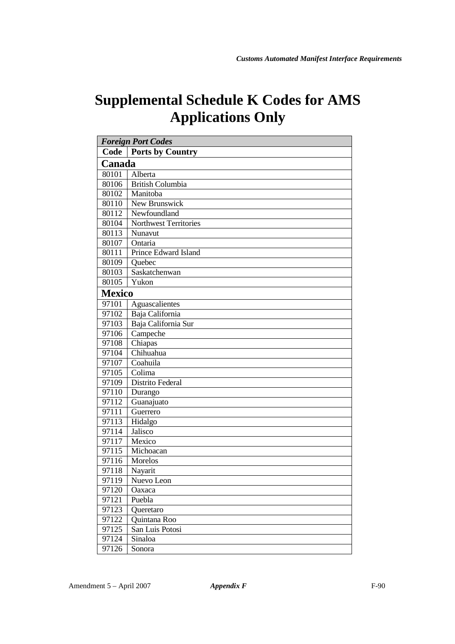# **Supplemental Schedule K Codes for AMS Applications Only**

| <b>Foreign Port Codes</b> |                              |
|---------------------------|------------------------------|
| Code                      | <b>Ports by Country</b>      |
| Canada                    |                              |
| 80101                     | Alberta                      |
| 80106                     | <b>British Columbia</b>      |
| 80102                     | Manitoba                     |
| 80110                     | New Brunswick                |
| 80112                     | Newfoundland                 |
| 80104                     | <b>Northwest Territories</b> |
| 80113                     | Nunavut                      |
| 80107                     | Ontaria                      |
| 80111                     | Prince Edward Island         |
| 80109                     | Quebec                       |
| 80103                     | Saskatchenwan                |
| 80105                     | Yukon                        |
| <b>Mexico</b>             |                              |
| 97101                     | Aguascalientes               |
| 97102                     | Baja California              |
| 97103                     | Baja California Sur          |
| 97106                     | Campeche                     |
| 97108                     | Chiapas                      |
| 97104                     | Chihuahua                    |
| 97107                     | Coahuila                     |
| 97105                     | Colima                       |
| 97109                     | Distrito Federal             |
| 97110                     | Durango                      |
| 97112                     | Guanajuato                   |
| 97111                     | Guerrero                     |
| 97113                     | Hidalgo                      |
| 97114                     | <b>Jalisco</b>               |
| 97117                     | Mexico                       |
| 97115                     | Michoacan                    |
| 97116                     | Morelos                      |
| 97118                     | Nayarit                      |
| 97119                     | Nuevo Leon                   |
| 97120                     | Oaxaca                       |
| 97121                     | Puebla                       |
| 97123                     | Queretaro                    |
| 97122                     | Quintana Roo                 |
| 97125                     | San Luis Potosi              |
| 97124                     | Sinaloa                      |
| 97126                     | Sonora                       |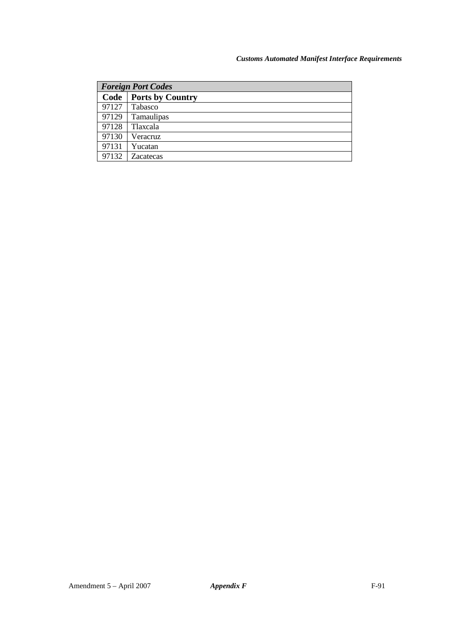#### *Customs Automated Manifest Interface Requirements*

| <b>Foreign Port Codes</b> |  |
|---------------------------|--|
| <b>Ports by Country</b>   |  |
| Tabasco                   |  |
| Tamaulipas                |  |
| Tlaxcala                  |  |
| Veracruz                  |  |
| Yucatan                   |  |
| <b>Zacatecas</b>          |  |
|                           |  |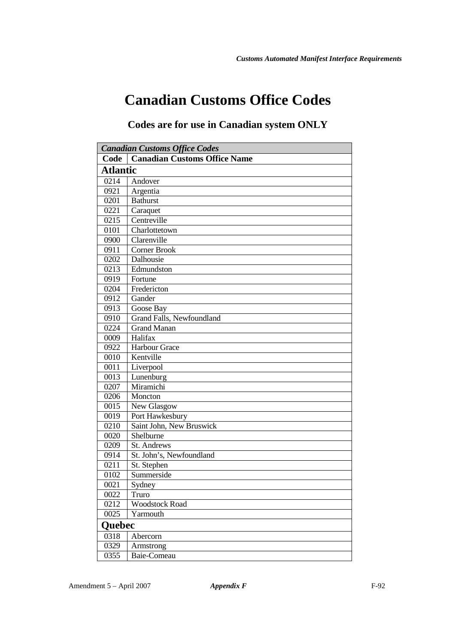## **Canadian Customs Office Codes**

#### **Codes are for use in Canadian system ONLY**

| <b>Canadian Customs Office Codes</b> |                                     |
|--------------------------------------|-------------------------------------|
| Code                                 | <b>Canadian Customs Office Name</b> |
| <b>Atlantic</b>                      |                                     |
| 0214                                 | Andover                             |
| 0921                                 | Argentia                            |
| 0201                                 | <b>Bathurst</b>                     |
| 0221                                 | Caraquet                            |
| 0215                                 | Centreville                         |
| 0101                                 | Charlottetown                       |
| 0900                                 | Clarenville                         |
| 0911                                 | Corner Brook                        |
| 0202                                 | Dalhousie                           |
| 0213                                 | Edmundston                          |
| 0919                                 | Fortune                             |
| 0204                                 | Fredericton                         |
| 0912                                 | Gander                              |
| 0913                                 | Goose Bay                           |
| 0910                                 | Grand Falls, Newfoundland           |
| 0224                                 | <b>Grand Manan</b>                  |
| 0009                                 | Halifax                             |
| 0922                                 | Harbour Grace                       |
| 0010                                 | Kentville                           |
| 0011                                 | Liverpool                           |
| 0013                                 | Lunenburg                           |
| 0207                                 | Miramichi                           |
| 0206                                 | Moncton                             |
| 0015                                 | New Glasgow                         |
| 0019                                 | Port Hawkesbury                     |
| 0210                                 | Saint John, New Bruswick            |
| 0020                                 | Shelburne                           |
| 0209                                 | St. Andrews                         |
| 0914                                 | St. John's, Newfoundland            |
| 0211                                 | St. Stephen                         |
| 0102                                 | Summerside                          |
| 0021                                 | Sydney                              |
| 0022                                 | Truro                               |
| 0212                                 | <b>Woodstock Road</b>               |
| 0025                                 | Yarmouth                            |
| Quebec                               |                                     |
| 0318                                 | Abercorn                            |
| 0329                                 | Armstrong                           |
| 0355                                 | Baie-Comeau                         |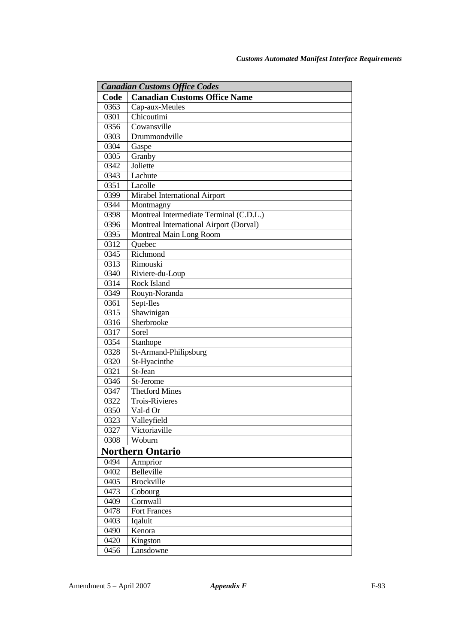| <b>Canadian Customs Office Codes</b> |                                         |
|--------------------------------------|-----------------------------------------|
| Code                                 | <b>Canadian Customs Office Name</b>     |
| 0363                                 | Cap-aux-Meules                          |
| 0301                                 | Chicoutimi                              |
| 0356                                 | Cowansville                             |
| 0303                                 | Drummondville                           |
| 0304                                 | Gaspe                                   |
| 0305                                 | Granby                                  |
| 0342                                 | Joliette                                |
| 0343                                 | Lachute                                 |
| 0351                                 | Lacolle                                 |
| 0399                                 | Mirabel International Airport           |
| 0344                                 | Montmagny                               |
| 0398                                 | Montreal Intermediate Terminal (C.D.L.) |
| 0396                                 | Montreal International Airport (Dorval) |
| 0395                                 | Montreal Main Long Room                 |
| 0312                                 | Ouebec                                  |
| 0345                                 | Richmond                                |
| 0313                                 | Rimouski                                |
| 0340                                 | Riviere-du-Loup                         |
| 0314                                 | Rock Island                             |
| 0349                                 | Rouyn-Noranda                           |
| 0361                                 | Sept-Iles                               |
| 0315                                 | Shawinigan                              |
| 0316                                 | Sherbrooke                              |
| 0317                                 | Sorel                                   |
| 0354                                 | Stanhope                                |
| 0328                                 | St-Armand-Philipsburg                   |
| 0320                                 | St-Hyacinthe                            |
| 0321                                 | St-Jean                                 |
| 0346                                 | St-Jerome                               |
| 0347                                 | <b>Thetford Mines</b>                   |
| 0322                                 | <b>Trois-Rivieres</b>                   |
| 0350                                 | Val-d Or                                |
| 0323                                 | Valleyfield                             |
| 0327                                 | Victoriaville                           |
| 0308                                 | Woburn                                  |
|                                      | <b>Northern Ontario</b>                 |
| 0494                                 | Armprior                                |
| 0402                                 | Belleville                              |
| 0405                                 | <b>Brockville</b>                       |
| 0473                                 | Cobourg                                 |
| 0409                                 | Cornwall                                |
| 0478                                 | <b>Fort Frances</b>                     |
| 0403                                 | Iqaluit                                 |
| 0490                                 | Kenora                                  |
| 0420                                 | Kingston                                |
| 0456                                 | Lansdowne                               |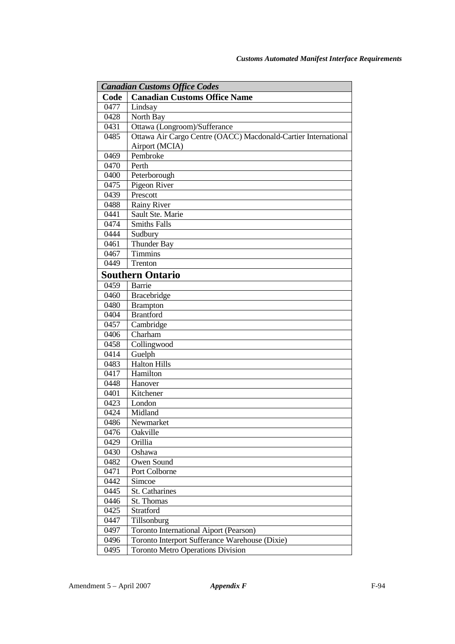| <b>Canadian Customs Office Codes</b> |                                                                |
|--------------------------------------|----------------------------------------------------------------|
| Code                                 | <b>Canadian Customs Office Name</b>                            |
| 0477                                 | Lindsay                                                        |
| 0428                                 | North Bay                                                      |
| 0431                                 | Ottawa (Longroom)/Sufferance                                   |
| 0485                                 | Ottawa Air Cargo Centre (OACC) Macdonald-Cartier International |
|                                      | Airport (MCIA)                                                 |
| 0469                                 | Pembroke                                                       |
| 0470                                 | Perth                                                          |
| 0400                                 | Peterborough                                                   |
| 0475                                 | Pigeon River                                                   |
| 0439                                 | Prescott                                                       |
| 0488                                 | <b>Rainy River</b>                                             |
| 0441                                 | Sault Ste. Marie                                               |
| 0474                                 | <b>Smiths Falls</b>                                            |
| 0444                                 | Sudbury                                                        |
| 0461                                 | <b>Thunder Bay</b>                                             |
| 0467                                 | <b>Timmins</b>                                                 |
| 0449                                 | Trenton                                                        |
|                                      | <b>Southern Ontario</b>                                        |
| 0459                                 | Barrie                                                         |
| 0460                                 | Bracebridge                                                    |
| 0480                                 | <b>Brampton</b>                                                |
| 0404                                 | <b>Brantford</b>                                               |
| 0457                                 | Cambridge                                                      |
| 0406                                 | $\overline{\text{Charham}}$                                    |
| 0458                                 | Collingwood                                                    |
| 0414                                 | Guelph                                                         |
| 0483                                 | Halton Hills                                                   |
| 0417                                 | Hamilton                                                       |
| 0448                                 | Hanover                                                        |
| 0401                                 | Kitchener                                                      |
| 0423                                 | London                                                         |
| 0424                                 | Midland                                                        |
| 0486                                 | Newmarket                                                      |
| 0476                                 | Oakville                                                       |
| 0429                                 | Orillia                                                        |
| 0430                                 | Oshawa                                                         |
| 0482                                 | Owen Sound                                                     |
| 0471                                 | Port Colborne                                                  |
| 0442                                 | Simcoe                                                         |
| 0445                                 | St. Catharines                                                 |
| 0446                                 | St. Thomas                                                     |
| 0425                                 | Stratford                                                      |
| 0447                                 | Tillsonburg                                                    |
| 0497                                 | Toronto International Aiport (Pearson)                         |
| 0496                                 | Toronto Interport Sufferance Warehouse (Dixie)                 |
| 0495                                 | <b>Toronto Metro Operations Division</b>                       |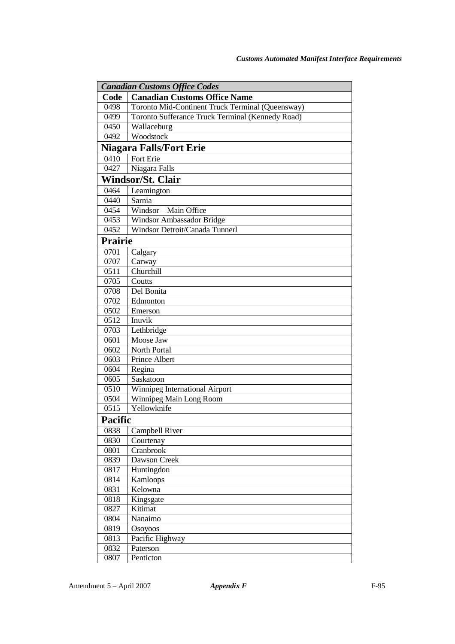| <b>Canadian Customs Office Codes</b> |                                                  |
|--------------------------------------|--------------------------------------------------|
| Code                                 | <b>Canadian Customs Office Name</b>              |
| 0498                                 | Toronto Mid-Continent Truck Terminal (Queensway) |
| 0499                                 | Toronto Sufferance Truck Terminal (Kennedy Road) |
| 0450                                 | Wallaceburg                                      |
| 0492                                 | Woodstock                                        |
|                                      | <b>Niagara Falls/Fort Erie</b>                   |
| 0410                                 | Fort Erie                                        |
| 0427                                 | Niagara Falls                                    |
|                                      | <b>Windsor/St. Clair</b>                         |
| 0464                                 | Leamington                                       |
| 0440                                 | Sarnia                                           |
| 0454                                 | Windsor - Main Office                            |
| 0453                                 | Windsor Ambassador Bridge                        |
| 0452                                 | Windsor Detroit/Canada Tunnerl                   |
| Prairie                              |                                                  |
| 0701                                 | Calgary                                          |
| 0707                                 | Carway                                           |
| 0511                                 | Churchill                                        |
| 0705                                 | Coutts                                           |
| 0708                                 | Del Bonita                                       |
| 0702                                 | Edmonton                                         |
| 0502                                 | Emerson                                          |
| 0512                                 | Inuvik                                           |
| 0703                                 | Lethbridge                                       |
| 0601                                 | Moose Jaw                                        |
| 0602                                 | <b>North Portal</b>                              |
| 0603                                 | Prince Albert                                    |
| 0604                                 | Regina                                           |
| 0605                                 | Saskatoon                                        |
| 0510                                 | Winnipeg International Airport                   |
| 0504                                 | Winnipeg Main Long Room                          |
| 0515                                 | Yellowknife                                      |
| Pacific                              |                                                  |
| 0838                                 | Campbell River                                   |
| 0830                                 | Courtenay                                        |
| 0801                                 | Cranbrook                                        |
| 0839                                 | Dawson Creek                                     |
| 0817                                 | Huntingdon                                       |
| 0814                                 | Kamloops                                         |
| 0831                                 | Kelowna                                          |
| 0818                                 | Kingsgate                                        |
| 0827                                 | Kitimat                                          |
| 0804                                 | Nanaimo                                          |
| 0819                                 | Osoyoos                                          |
| 0813                                 | Pacific Highway                                  |
| 0832                                 | Paterson                                         |
| 0807                                 | Penticton                                        |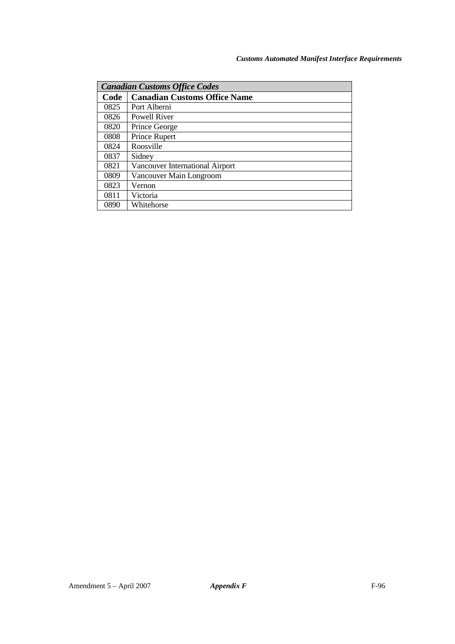| <b>Canadian Customs Office Codes</b> |                                     |
|--------------------------------------|-------------------------------------|
| Code                                 | <b>Canadian Customs Office Name</b> |
| 0825                                 | Port Alberni                        |
| 0826                                 | Powell River                        |
| 0820                                 | Prince George                       |
| 0808                                 | Prince Rupert                       |
| 0824                                 | Roosville                           |
| 0837                                 | Sidney                              |
| 0821                                 | Vancouver International Airport     |
| 0809                                 | Vancouver Main Longroom             |
| 0823                                 | Vernon                              |
| 0811                                 | Victoria                            |
| 0890                                 | Whitehorse                          |